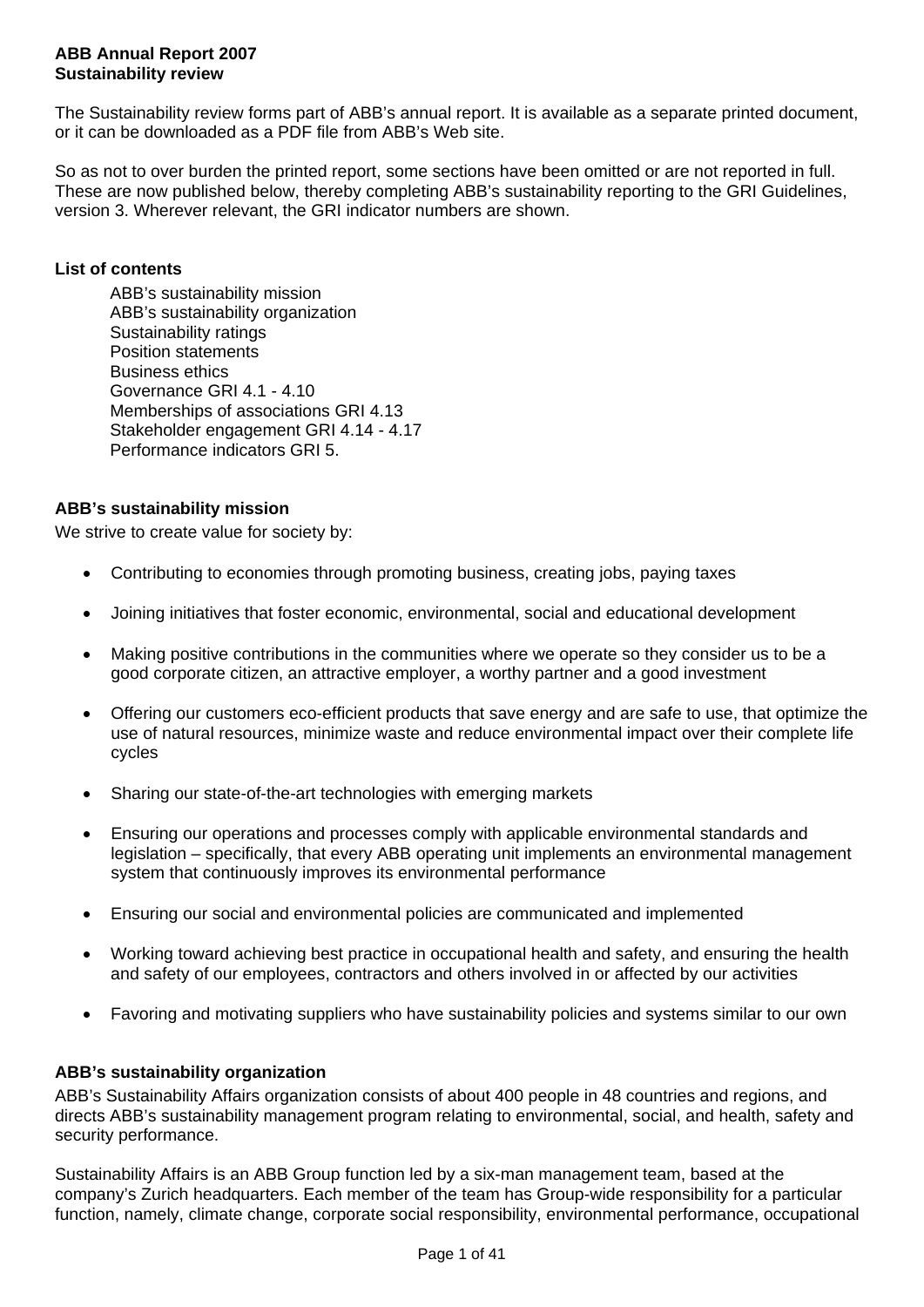#### **ABB Annual Report 2007 Sustainability review**

The Sustainability review forms part of ABB's annual report. It is available as a separate printed document, or it can be downloaded as a PDF file from ABB's Web site.

So as not to over burden the printed report, some sections have been omitted or are not reported in full. These are now published below, thereby completing ABB's sustainability reporting to the GRI Guidelines, version 3. Wherever relevant, the GRI indicator numbers are shown.

# **List of contents**

 ABB's sustainability mission ABB's sustainability organization Sustainability ratings Position statements Business ethics Governance GRI 4.1 - 4.10 Memberships of associations GRI 4.13 Stakeholder engagement GRI 4.14 - 4.17 Performance indicators GRI 5.

# **ABB's sustainability mission**

We strive to create value for society by:

- Contributing to economies through promoting business, creating jobs, paying taxes
- Joining initiatives that foster economic, environmental, social and educational development
- Making positive contributions in the communities where we operate so they consider us to be a good corporate citizen, an attractive employer, a worthy partner and a good investment
- Offering our customers eco-efficient products that save energy and are safe to use, that optimize the use of natural resources, minimize waste and reduce environmental impact over their complete life cycles
- Sharing our state-of-the-art technologies with emerging markets
- Ensuring our operations and processes comply with applicable environmental standards and legislation – specifically, that every ABB operating unit implements an environmental management system that continuously improves its environmental performance
- Ensuring our social and environmental policies are communicated and implemented
- Working toward achieving best practice in occupational health and safety, and ensuring the health and safety of our employees, contractors and others involved in or affected by our activities
- Favoring and motivating suppliers who have sustainability policies and systems similar to our own

## **ABB's sustainability organization**

ABB's Sustainability Affairs organization consists of about 400 people in 48 countries and regions, and directs ABB's sustainability management program relating to environmental, social, and health, safety and security performance.

Sustainability Affairs is an ABB Group function led by a six-man management team, based at the company's Zurich headquarters. Each member of the team has Group-wide responsibility for a particular function, namely, climate change, corporate social responsibility, environmental performance, occupational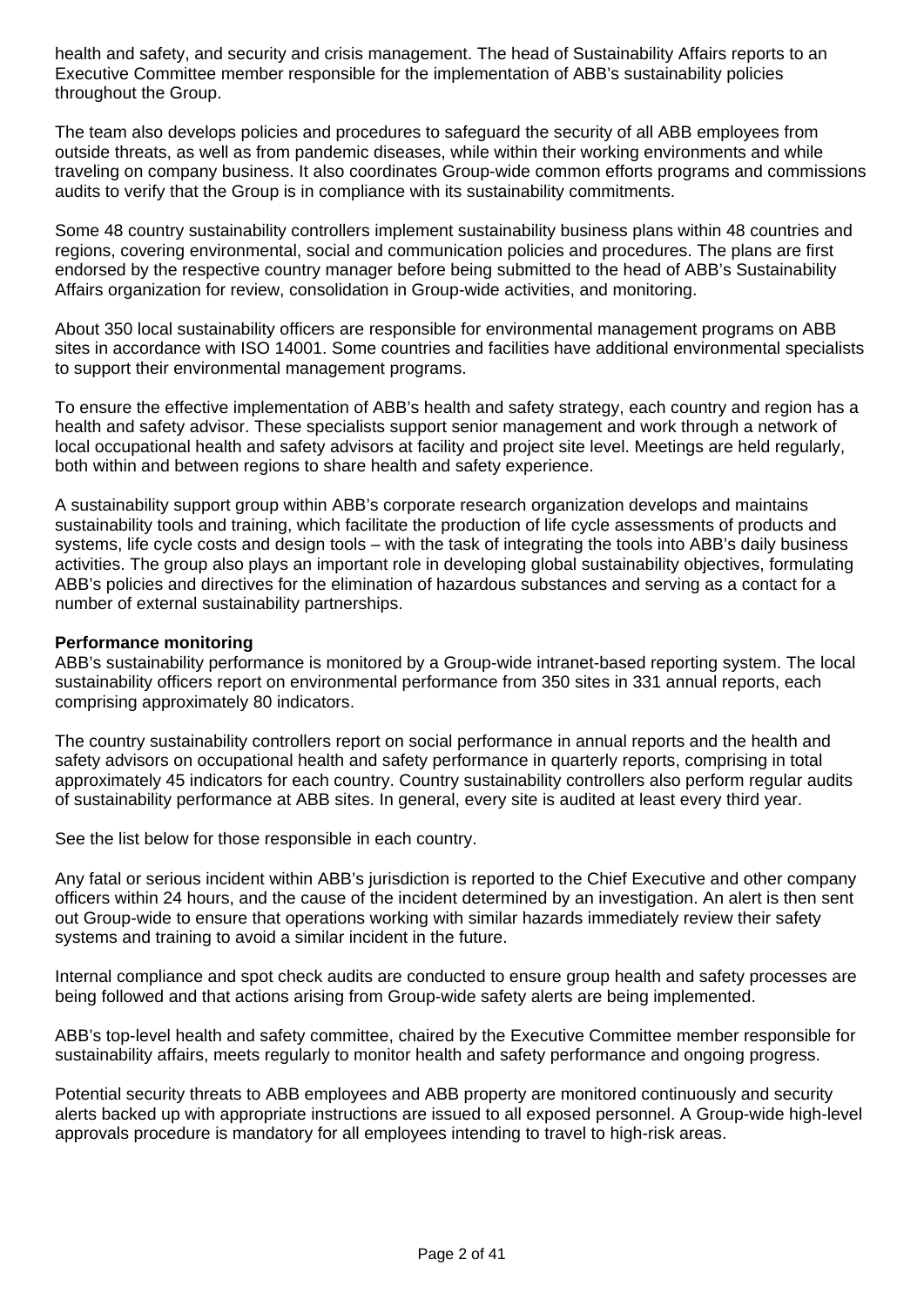health and safety, and security and crisis management. The head of Sustainability Affairs reports to an Executive Committee member responsible for the implementation of ABB's sustainability policies throughout the Group.

The team also develops policies and procedures to safeguard the security of all ABB employees from outside threats, as well as from pandemic diseases, while within their working environments and while traveling on company business. It also coordinates Group-wide common efforts programs and commissions audits to verify that the Group is in compliance with its sustainability commitments.

Some 48 country sustainability controllers implement sustainability business plans within 48 countries and regions, covering environmental, social and communication policies and procedures. The plans are first endorsed by the respective country manager before being submitted to the head of ABB's Sustainability Affairs organization for review, consolidation in Group-wide activities, and monitoring.

About 350 local sustainability officers are responsible for environmental management programs on ABB sites in accordance with ISO 14001. Some countries and facilities have additional environmental specialists to support their environmental management programs.

To ensure the effective implementation of ABB's health and safety strategy, each country and region has a health and safety advisor. These specialists support senior management and work through a network of local occupational health and safety advisors at facility and project site level. Meetings are held regularly, both within and between regions to share health and safety experience.

A sustainability support group within ABB's corporate research organization develops and maintains sustainability tools and training, which facilitate the production of life cycle assessments of products and systems, life cycle costs and design tools – with the task of integrating the tools into ABB's daily business activities. The group also plays an important role in developing global sustainability objectives, formulating ABB's policies and directives for the elimination of hazardous substances and serving as a contact for a number of external sustainability partnerships.

#### **Performance monitoring**

ABB's sustainability performance is monitored by a Group-wide intranet-based reporting system. The local sustainability officers report on environmental performance from 350 sites in 331 annual reports, each comprising approximately 80 indicators.

The country sustainability controllers report on social performance in annual reports and the health and safety advisors on occupational health and safety performance in quarterly reports, comprising in total approximately 45 indicators for each country. Country sustainability controllers also perform regular audits of sustainability performance at ABB sites. In general, every site is audited at least every third year.

See the list below for those responsible in each country.

Any fatal or serious incident within ABB's jurisdiction is reported to the Chief Executive and other company officers within 24 hours, and the cause of the incident determined by an investigation. An alert is then sent out Group-wide to ensure that operations working with similar hazards immediately review their safety systems and training to avoid a similar incident in the future.

Internal compliance and spot check audits are conducted to ensure group health and safety processes are being followed and that actions arising from Group-wide safety alerts are being implemented.

ABB's top-level health and safety committee, chaired by the Executive Committee member responsible for sustainability affairs, meets regularly to monitor health and safety performance and ongoing progress.

Potential security threats to ABB employees and ABB property are monitored continuously and security alerts backed up with appropriate instructions are issued to all exposed personnel. A Group-wide high-level approvals procedure is mandatory for all employees intending to travel to high-risk areas.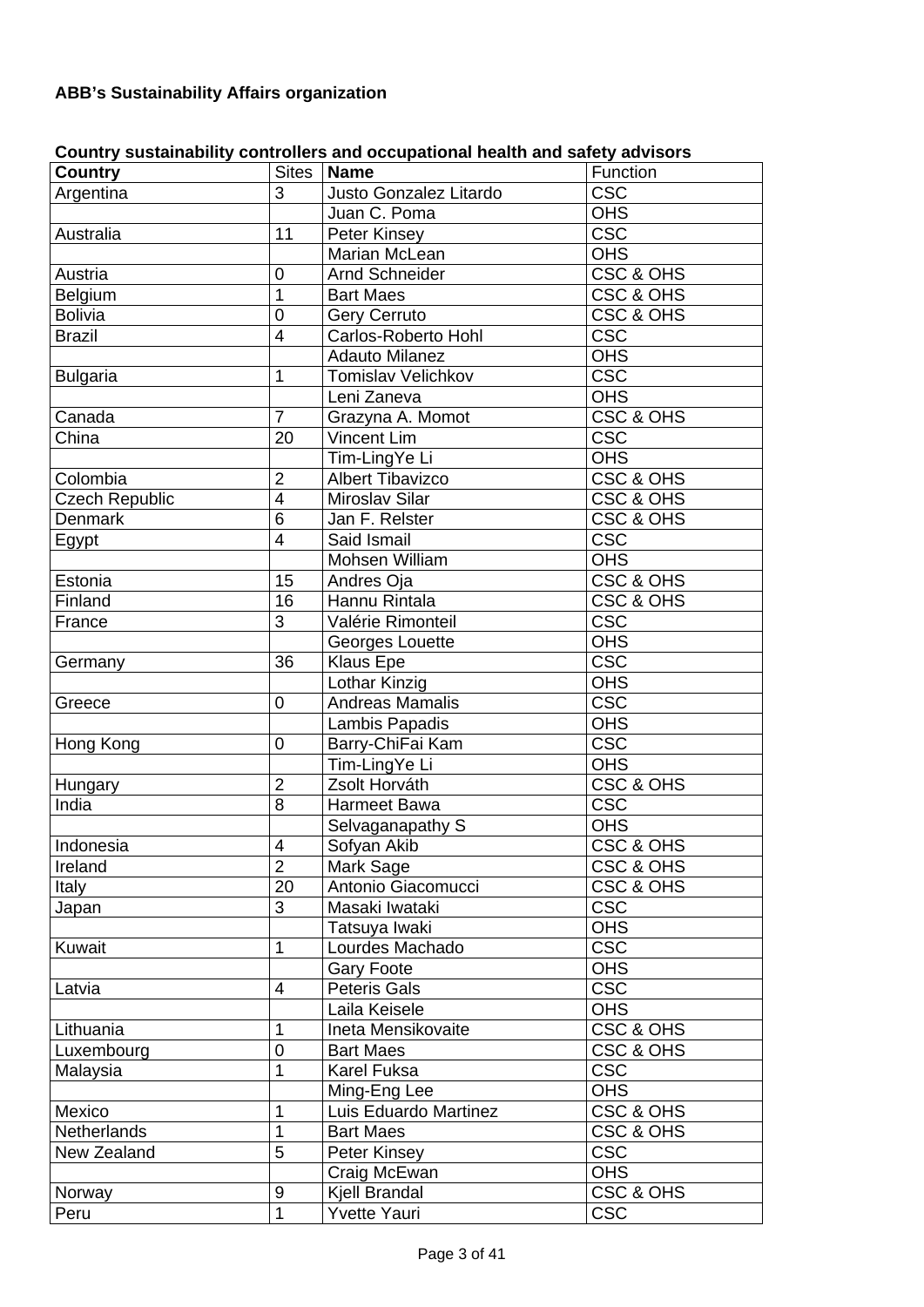# **ABB's Sustainability Affairs organization**

|                       |                         | oodini y sastamabinty oomi onors and oodipational noditii and saroty advisors |                         |
|-----------------------|-------------------------|-------------------------------------------------------------------------------|-------------------------|
| <b>Country</b>        |                         | Sites   Name                                                                  | Function                |
| Argentina             | 3                       | Justo Gonzalez Litardo                                                        | <b>CSC</b>              |
|                       |                         | Juan C. Poma                                                                  | <b>OHS</b>              |
| Australia             | 11                      | Peter Kinsey                                                                  | <b>CSC</b>              |
|                       |                         | <b>Marian McLean</b>                                                          | <b>OHS</b>              |
| Austria               | $\boldsymbol{0}$        | <b>Arnd Schneider</b>                                                         | CSC & OHS               |
| Belgium               | $\overline{1}$          | <b>Bart Maes</b>                                                              | CSC & OHS               |
| <b>Bolivia</b>        | $\overline{0}$          | <b>Gery Cerruto</b>                                                           | <b>CSC &amp; OHS</b>    |
| <b>Brazil</b>         | $\overline{\mathbf{4}}$ | Carlos-Roberto Hohl                                                           | <b>CSC</b>              |
|                       |                         | <b>Adauto Milanez</b>                                                         | OHS                     |
| <b>Bulgaria</b>       | $\mathbf{1}$            | <b>Tomislav Velichkov</b>                                                     | CSC                     |
|                       |                         | Leni Zaneva                                                                   | <b>OHS</b>              |
| Canada                | $\overline{7}$          | Grazyna A. Momot                                                              | <b>CSC &amp; OHS</b>    |
| China                 | $\overline{20}$         | <b>Vincent Lim</b>                                                            | <b>CSC</b>              |
|                       |                         | Tim-LingYe Li                                                                 | <b>OHS</b>              |
| Colombia              | $\overline{2}$          | <b>Albert Tibavizco</b>                                                       | <b>CSC &amp; OHS</b>    |
| <b>Czech Republic</b> | $\overline{4}$          | Miroslav Silar                                                                | CSC & OHS               |
| <b>Denmark</b>        | $\overline{6}$          | Jan F. Relster                                                                | CSC & OHS               |
| Egypt                 | $\overline{\mathbf{4}}$ | Said Ismail                                                                   | <b>CSC</b>              |
|                       |                         | Mohsen William                                                                | <b>OHS</b>              |
| Estonia               | 15                      | Andres Oja                                                                    | CSC & OHS               |
| Finland               | 16                      | Hannu Rintala                                                                 | <b>CSC &amp; OHS</b>    |
| France                | $\overline{3}$          | Valérie Rimonteil                                                             | <b>CSC</b>              |
|                       |                         | Georges Louette                                                               | <b>OHS</b>              |
| Germany               | 36                      | <b>Klaus Epe</b>                                                              | <b>CSC</b>              |
|                       |                         | Lothar Kinzig                                                                 | <b>OHS</b>              |
| Greece                | 0                       | <b>Andreas Mamalis</b>                                                        | $\overline{\csc}$       |
|                       |                         | Lambis Papadis                                                                | OHS                     |
| Hong Kong             | $\mathbf 0$             | Barry-ChiFai Kam                                                              | c <sub>sc</sub>         |
|                       |                         | Tim-LingYe Li                                                                 | <b>OHS</b>              |
| Hungary               | $\overline{2}$          | Zsolt Horváth                                                                 | CSC & OHS               |
| India                 | 8                       | Harmeet Bawa                                                                  | <b>CSC</b>              |
|                       |                         | Selvaganapathy S                                                              | <b>OHS</b>              |
| Indonesia             | $\overline{4}$          | Sofyan Akib                                                                   | <b>CSC &amp; OHS</b>    |
| Ireland               | $\overline{2}$          | Mark Sage                                                                     | CSC & OHS               |
| Italy                 | 20                      | Antonio Giacomucci                                                            | CSC & OHS               |
| Japan                 | 3                       | Masaki Iwataki                                                                | <b>CSC</b>              |
|                       |                         | Tatsuya Iwaki                                                                 | <b>OHS</b>              |
| Kuwait                | 1                       | Lourdes Machado                                                               | $\overline{\csc}$       |
|                       |                         | <b>Gary Foote</b>                                                             | <b>OHS</b>              |
| Latvia                | 4                       | <b>Peteris Gals</b>                                                           | $\overline{\text{csc}}$ |
|                       |                         | Laila Keisele                                                                 | <b>OHS</b>              |
| Lithuania             | 1                       | Ineta Mensikovaite                                                            | <b>CSC &amp; OHS</b>    |
| Luxembourg            | $\mathbf 0$             | <b>Bart Maes</b>                                                              | CSC & OHS               |
| Malaysia              | 1                       | Karel Fuksa                                                                   | <b>CSC</b>              |
|                       |                         | Ming-Eng Lee                                                                  | <b>OHS</b>              |
| Mexico                | 1                       | Luis Eduardo Martinez                                                         | CSC & OHS               |
| <b>Netherlands</b>    | 1                       | <b>Bart Maes</b>                                                              | CSC & OHS               |
| New Zealand           | 5                       | Peter Kinsey                                                                  | <b>CSC</b>              |
|                       |                         | Craig McEwan                                                                  | <b>OHS</b>              |
| Norway                | 9                       | Kjell Brandal                                                                 | CSC & OHS               |
| Peru                  | $\overline{1}$          | Yvette Yauri                                                                  | <b>CSC</b>              |

# **Country sustainability controllers and occupational health and safety advisors**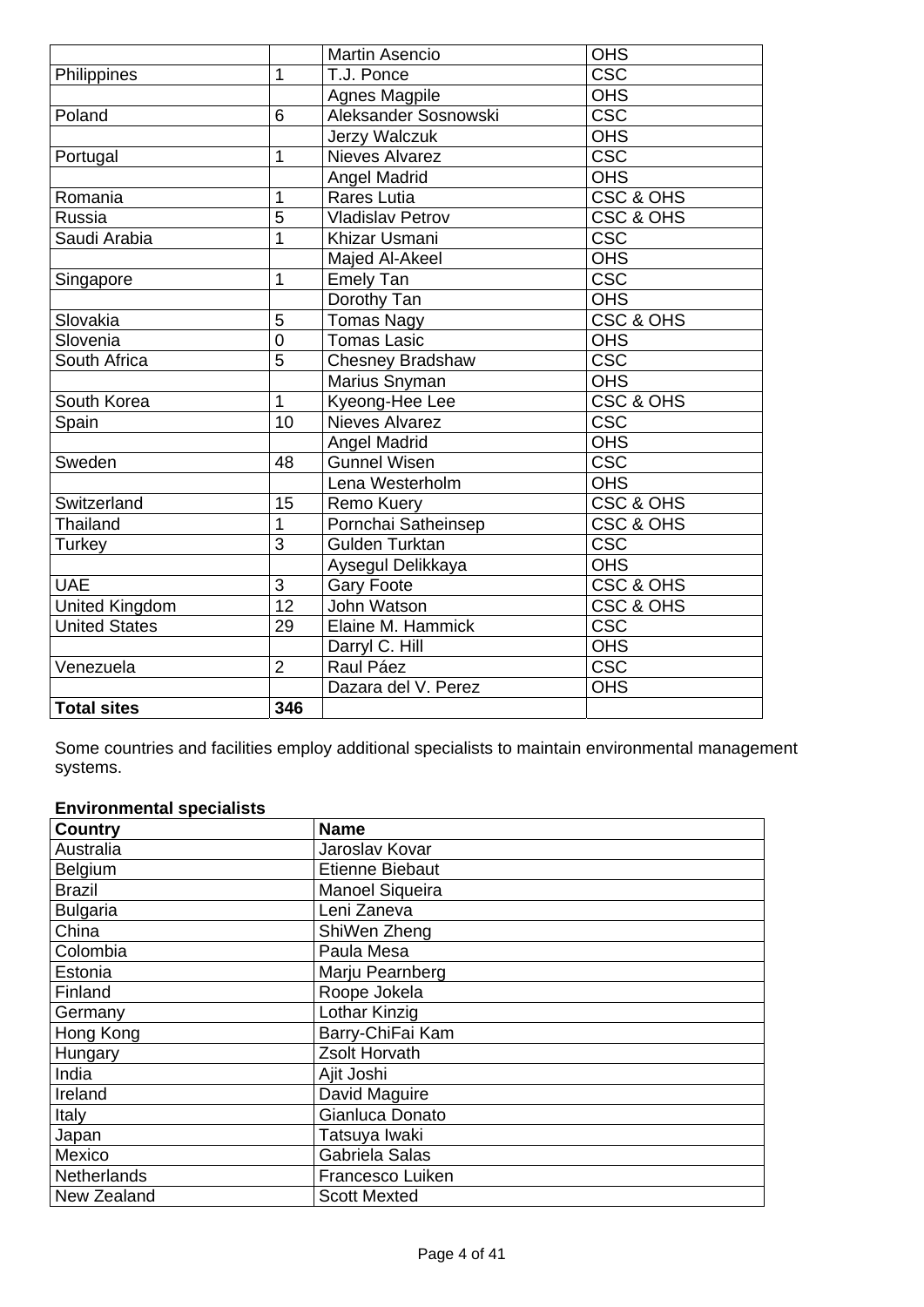|                      |                 | <b>Martin Asencio</b>   | <b>OHS</b>           |
|----------------------|-----------------|-------------------------|----------------------|
| Philippines          | 1               | T.J. Ponce              | <b>CSC</b>           |
|                      |                 | Agnes Magpile           | <b>OHS</b>           |
| Poland               | 6               | Aleksander Sosnowski    | $\overline{\csc}$    |
|                      |                 | Jerzy Walczuk           | <b>OHS</b>           |
| Portugal             | 1               | <b>Nieves Alvarez</b>   | $\overline{\csc}$    |
|                      |                 | <b>Angel Madrid</b>     | <b>OHS</b>           |
| Romania              | 1               | <b>Rares Lutia</b>      | <b>CSC &amp; OHS</b> |
| Russia               | 5               | <b>Vladislav Petrov</b> | <b>CSC &amp; OHS</b> |
| Saudi Arabia         | $\overline{1}$  | Khizar Usmani           | CSC                  |
|                      |                 | Majed Al-Akeel          | <b>OHS</b>           |
| Singapore            | 1               | <b>Emely Tan</b>        | <b>CSC</b>           |
|                      |                 | Dorothy Tan             | <b>OHS</b>           |
| Slovakia             | 5               | <b>Tomas Nagy</b>       | <b>CSC &amp; OHS</b> |
| Slovenia             | $\overline{0}$  | <b>Tomas Lasic</b>      | <b>OHS</b>           |
| South Africa         | $\overline{5}$  | <b>Chesney Bradshaw</b> | $c$ s $\overline{c}$ |
|                      |                 | Marius Snyman           | <b>OHS</b>           |
| South Korea          | $\mathbf{1}$    | Kyeong-Hee Lee          | <b>CSC &amp; OHS</b> |
| Spain                | $\overline{10}$ | <b>Nieves Alvarez</b>   | CSC                  |
|                      |                 | <b>Angel Madrid</b>     | <b>OHS</b>           |
| Sweden               | 48              | <b>Gunnel Wisen</b>     | <b>CSC</b>           |
|                      |                 | Lena Westerholm         | <b>OHS</b>           |
| Switzerland          | 15              | Remo Kuery              | CSC & OHS            |
| Thailand             | $\mathbf{1}$    | Pornchai Satheinsep     | <b>CSC &amp; OHS</b> |
| Turkey               | $\overline{3}$  | <b>Gulden Turktan</b>   | <b>CSC</b>           |
|                      |                 | Aysegul Delikkaya       | <b>OHS</b>           |
| <b>UAE</b>           | 3               | <b>Gary Foote</b>       | CSC & OHS            |
| United Kingdom       | $\overline{12}$ | John Watson             | CSC & OHS            |
| <b>United States</b> | 29              | Elaine M. Hammick       | <b>CSC</b>           |
|                      |                 | Darryl C. Hill          | <b>OHS</b>           |
| Venezuela            | $\overline{2}$  | Raul Páez               | <b>CSC</b>           |
|                      |                 | Dazara del V. Perez     | <b>OHS</b>           |
| <b>Total sites</b>   | 346             |                         |                      |

Some countries and facilities employ additional specialists to maintain environmental management systems.

# **Environmental specialists**

| <b>Country</b>     | <b>Name</b>            |
|--------------------|------------------------|
| Australia          | Jaroslav Kovar         |
| Belgium            | <b>Etienne Biebaut</b> |
| <b>Brazil</b>      | <b>Manoel Siqueira</b> |
| <b>Bulgaria</b>    | Leni Zaneva            |
| China              | ShiWen Zheng           |
| Colombia           | Paula Mesa             |
| Estonia            | Marju Pearnberg        |
| Finland            | Roope Jokela           |
| Germany            | Lothar Kinzig          |
| Hong Kong          | Barry-ChiFai Kam       |
| Hungary            | Zsolt Horvath          |
| India              | Ajit Joshi             |
| Ireland            | David Maguire          |
| Italy              | Gianluca Donato        |
| Japan              | Tatsuya Iwaki          |
| Mexico             | Gabriela Salas         |
| <b>Netherlands</b> | Francesco Luiken       |
| New Zealand        | <b>Scott Mexted</b>    |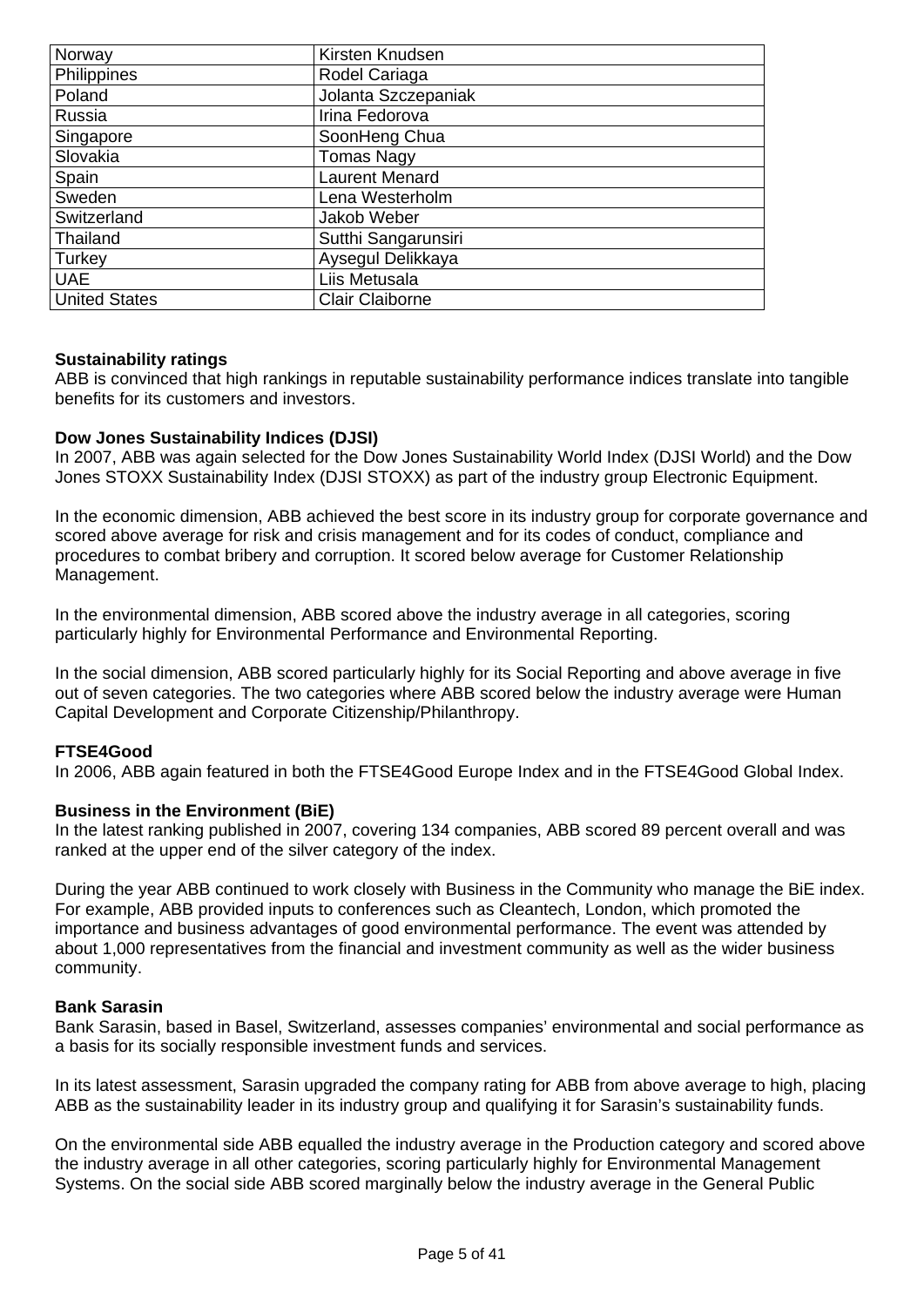| Norway               | Kirsten Knudsen        |
|----------------------|------------------------|
| Philippines          | Rodel Cariaga          |
| Poland               | Jolanta Szczepaniak    |
| Russia               | Irina Fedorova         |
| Singapore            | SoonHeng Chua          |
| Slovakia             | <b>Tomas Nagy</b>      |
| Spain                | <b>Laurent Menard</b>  |
| Sweden               | Lena Westerholm        |
| Switzerland          | Jakob Weber            |
| Thailand             | Sutthi Sangarunsiri    |
| Turkey               | Aysegul Delikkaya      |
| <b>UAE</b>           | Liis Metusala          |
| <b>United States</b> | <b>Clair Claiborne</b> |

## **Sustainability ratings**

ABB is convinced that high rankings in reputable sustainability performance indices translate into tangible benefits for its customers and investors.

#### **Dow Jones Sustainability Indices (DJSI)**

In 2007, ABB was again selected for the Dow Jones Sustainability World Index (DJSI World) and the Dow Jones STOXX Sustainability Index (DJSI STOXX) as part of the industry group Electronic Equipment.

In the economic dimension, ABB achieved the best score in its industry group for corporate governance and scored above average for risk and crisis management and for its codes of conduct, compliance and procedures to combat bribery and corruption. It scored below average for Customer Relationship Management.

In the environmental dimension, ABB scored above the industry average in all categories, scoring particularly highly for Environmental Performance and Environmental Reporting.

In the social dimension, ABB scored particularly highly for its Social Reporting and above average in five out of seven categories. The two categories where ABB scored below the industry average were Human Capital Development and Corporate Citizenship/Philanthropy.

#### **FTSE4Good**

In 2006, ABB again featured in both the FTSE4Good Europe Index and in the FTSE4Good Global Index.

#### **Business in the Environment (BiE)**

In the latest ranking published in 2007, covering 134 companies, ABB scored 89 percent overall and was ranked at the upper end of the silver category of the index.

During the year ABB continued to work closely with Business in the Community who manage the BiE index. For example, ABB provided inputs to conferences such as Cleantech, London, which promoted the importance and business advantages of good environmental performance. The event was attended by about 1,000 representatives from the financial and investment community as well as the wider business community.

#### **Bank Sarasin**

Bank Sarasin, based in Basel, Switzerland, assesses companies' environmental and social performance as a basis for its socially responsible investment funds and services.

In its latest assessment, Sarasin upgraded the company rating for ABB from above average to high, placing ABB as the sustainability leader in its industry group and qualifying it for Sarasin's sustainability funds.

On the environmental side ABB equalled the industry average in the Production category and scored above the industry average in all other categories, scoring particularly highly for Environmental Management Systems. On the social side ABB scored marginally below the industry average in the General Public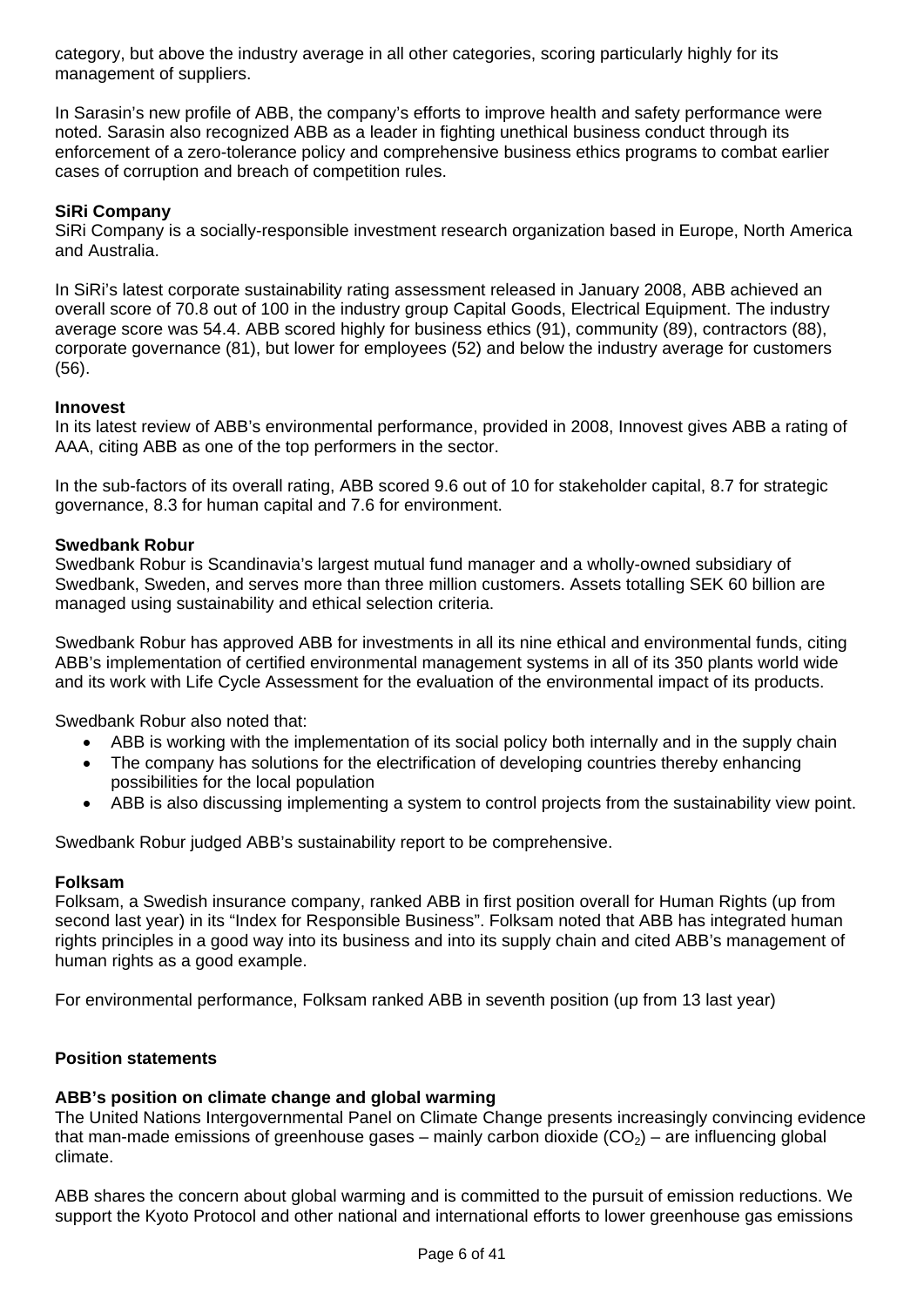category, but above the industry average in all other categories, scoring particularly highly for its management of suppliers.

In Sarasin's new profile of ABB, the company's efforts to improve health and safety performance were noted. Sarasin also recognized ABB as a leader in fighting unethical business conduct through its enforcement of a zero-tolerance policy and comprehensive business ethics programs to combat earlier cases of corruption and breach of competition rules.

# **SiRi Company**

SiRi Company is a socially-responsible investment research organization based in Europe, North America and Australia.

In SiRi's latest corporate sustainability rating assessment released in January 2008, ABB achieved an overall score of 70.8 out of 100 in the industry group Capital Goods, Electrical Equipment. The industry average score was 54.4. ABB scored highly for business ethics (91), community (89), contractors (88), corporate governance (81), but lower for employees (52) and below the industry average for customers (56).

# **Innovest**

In its latest review of ABB's environmental performance, provided in 2008, Innovest gives ABB a rating of AAA, citing ABB as one of the top performers in the sector.

In the sub-factors of its overall rating, ABB scored 9.6 out of 10 for stakeholder capital, 8.7 for strategic governance, 8.3 for human capital and 7.6 for environment.

## **Swedbank Robur**

Swedbank Robur is Scandinavia's largest mutual fund manager and a wholly-owned subsidiary of Swedbank, Sweden, and serves more than three million customers. Assets totalling SEK 60 billion are managed using sustainability and ethical selection criteria.

Swedbank Robur has approved ABB for investments in all its nine ethical and environmental funds, citing ABB's implementation of certified environmental management systems in all of its 350 plants world wide and its work with Life Cycle Assessment for the evaluation of the environmental impact of its products.

Swedbank Robur also noted that:

- ABB is working with the implementation of its social policy both internally and in the supply chain
- The company has solutions for the electrification of developing countries thereby enhancing possibilities for the local population
- ABB is also discussing implementing a system to control projects from the sustainability view point.

Swedbank Robur judged ABB's sustainability report to be comprehensive.

## **Folksam**

Folksam, a Swedish insurance company, ranked ABB in first position overall for Human Rights (up from second last year) in its "Index for Responsible Business". Folksam noted that ABB has integrated human rights principles in a good way into its business and into its supply chain and cited ABB's management of human rights as a good example.

For environmental performance, Folksam ranked ABB in seventh position (up from 13 last year)

## **Position statements**

# **ABB's position on climate change and global warming**

The United Nations Intergovernmental Panel on Climate Change presents increasingly convincing evidence that man-made emissions of greenhouse gases – mainly carbon dioxide  $(CO<sub>2</sub>)$  – are influencing global climate.

ABB shares the concern about global warming and is committed to the pursuit of emission reductions. We support the Kyoto Protocol and other national and international efforts to lower greenhouse gas emissions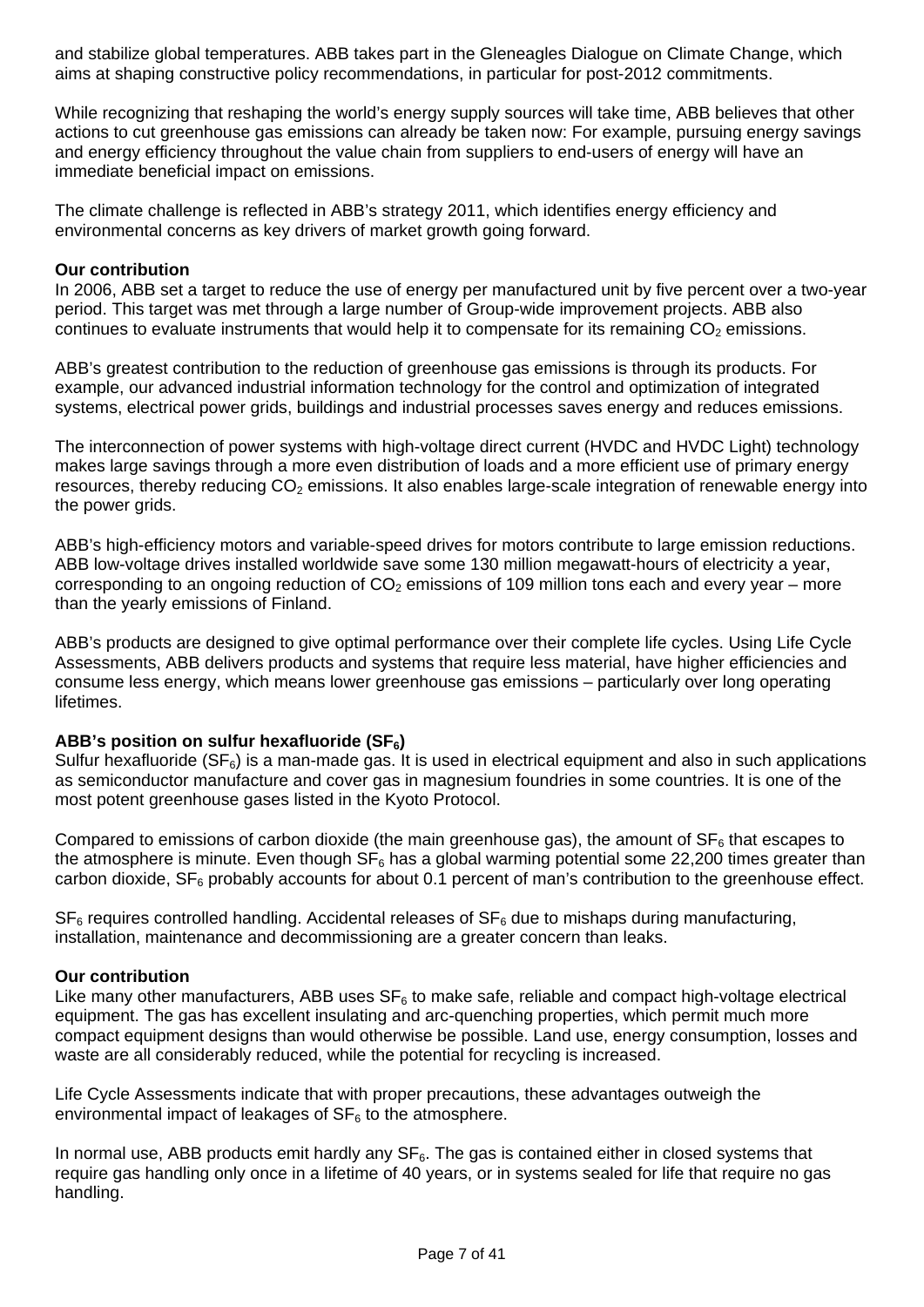and stabilize global temperatures. ABB takes part in the Gleneagles Dialogue on Climate Change, which aims at shaping constructive policy recommendations, in particular for post-2012 commitments.

While recognizing that reshaping the world's energy supply sources will take time, ABB believes that other actions to cut greenhouse gas emissions can already be taken now: For example, pursuing energy savings and energy efficiency throughout the value chain from suppliers to end-users of energy will have an immediate beneficial impact on emissions.

The climate challenge is reflected in ABB's strategy 2011, which identifies energy efficiency and environmental concerns as key drivers of market growth going forward.

#### **Our contribution**

In 2006, ABB set a target to reduce the use of energy per manufactured unit by five percent over a two-year period. This target was met through a large number of Group-wide improvement projects. ABB also continues to evaluate instruments that would help it to compensate for its remaining  $CO<sub>2</sub>$  emissions.

ABB's greatest contribution to the reduction of greenhouse gas emissions is through its products. For example, our advanced industrial information technology for the control and optimization of integrated systems, electrical power grids, buildings and industrial processes saves energy and reduces emissions.

The interconnection of power systems with high-voltage direct current (HVDC and HVDC Light) technology makes large savings through a more even distribution of loads and a more efficient use of primary energy resources, thereby reducing  $CO<sub>2</sub>$  emissions. It also enables large-scale integration of renewable energy into the power grids.

ABB's high-efficiency motors and variable-speed drives for motors contribute to large emission reductions. ABB low-voltage drives installed worldwide save some 130 million megawatt-hours of electricity a year, corresponding to an ongoing reduction of  $CO<sub>2</sub>$  emissions of 109 million tons each and every year – more than the yearly emissions of Finland.

ABB's products are designed to give optimal performance over their complete life cycles. Using Life Cycle Assessments, ABB delivers products and systems that require less material, have higher efficiencies and consume less energy, which means lower greenhouse gas emissions – particularly over long operating lifetimes.

## ABB's position on sulfur hexafluoride (SF<sub>6</sub>)

Sulfur hexafluoride  $(SF_6)$  is a man-made gas. It is used in electrical equipment and also in such applications as semiconductor manufacture and cover gas in magnesium foundries in some countries. It is one of the most potent greenhouse gases listed in the Kyoto Protocol.

Compared to emissions of carbon dioxide (the main greenhouse gas), the amount of  $SF<sub>6</sub>$  that escapes to the atmosphere is minute. Even though  $SF_6$  has a global warming potential some 22,200 times greater than carbon dioxide,  $SF<sub>6</sub>$  probably accounts for about 0.1 percent of man's contribution to the greenhouse effect.

 $SF<sub>6</sub>$  requires controlled handling. Accidental releases of  $SF<sub>6</sub>$  due to mishaps during manufacturing, installation, maintenance and decommissioning are a greater concern than leaks.

#### **Our contribution**

Like many other manufacturers, ABB uses  $SF<sub>6</sub>$  to make safe, reliable and compact high-voltage electrical equipment. The gas has excellent insulating and arc-quenching properties, which permit much more compact equipment designs than would otherwise be possible. Land use, energy consumption, losses and waste are all considerably reduced, while the potential for recycling is increased.

Life Cycle Assessments indicate that with proper precautions, these advantages outweigh the environmental impact of leakages of  $SF<sub>6</sub>$  to the atmosphere.

In normal use, ABB products emit hardly any  $SF<sub>6</sub>$ . The gas is contained either in closed systems that require gas handling only once in a lifetime of 40 years, or in systems sealed for life that require no gas handling.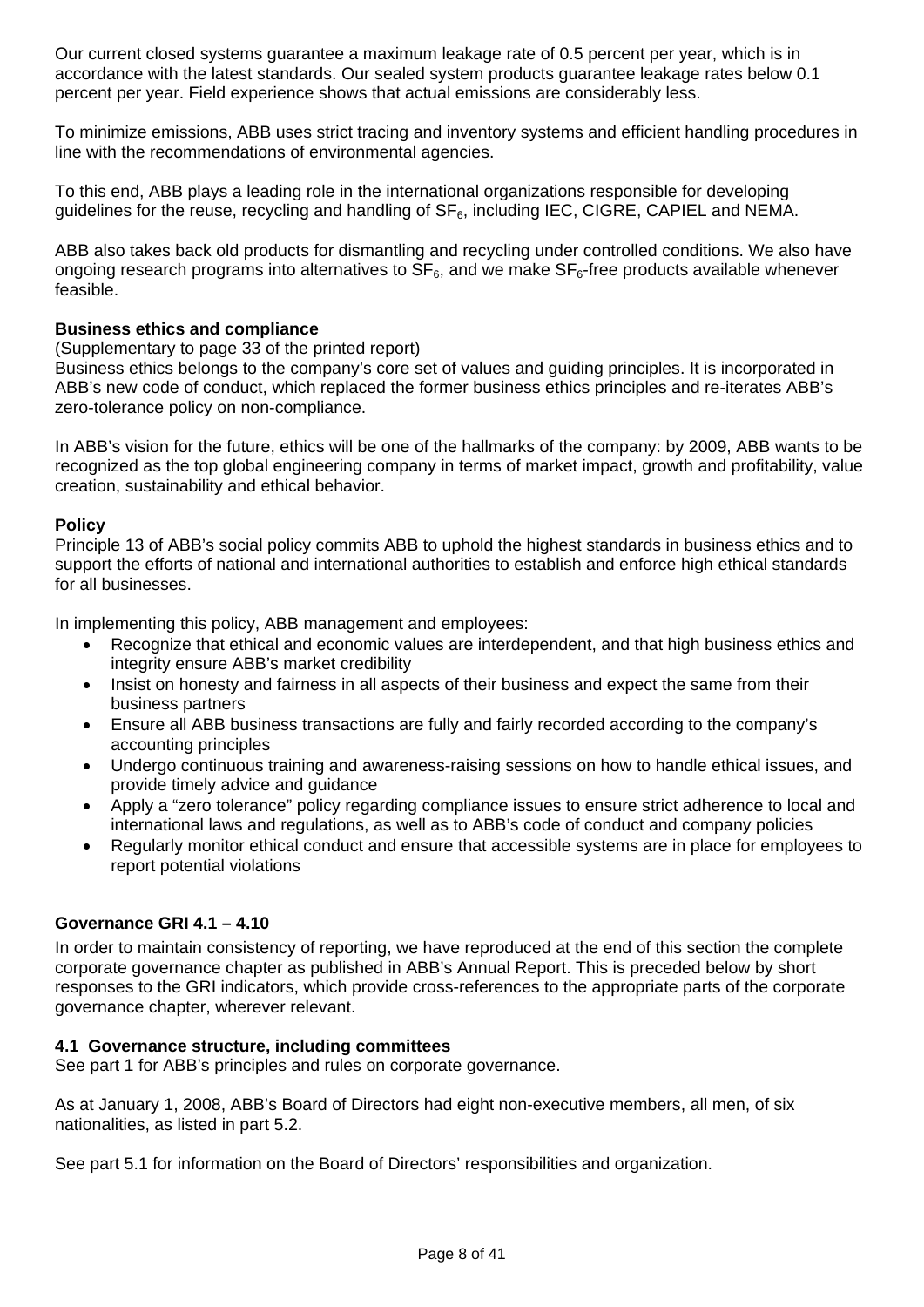Our current closed systems guarantee a maximum leakage rate of 0.5 percent per year, which is in accordance with the latest standards. Our sealed system products guarantee leakage rates below 0.1 percent per year. Field experience shows that actual emissions are considerably less.

To minimize emissions, ABB uses strict tracing and inventory systems and efficient handling procedures in line with the recommendations of environmental agencies.

To this end, ABB plays a leading role in the international organizations responsible for developing guidelines for the reuse, recycling and handling of  $SF<sub>6</sub>$ , including IEC, CIGRE, CAPIEL and NEMA.

ABB also takes back old products for dismantling and recycling under controlled conditions. We also have ongoing research programs into alternatives to  $SF<sub>6</sub>$ , and we make  $SF<sub>6</sub>$ -free products available whenever feasible.

#### **Business ethics and compliance**

(Supplementary to page 33 of the printed report)

Business ethics belongs to the company's core set of values and guiding principles. It is incorporated in ABB's new code of conduct, which replaced the former business ethics principles and re-iterates ABB's zero-tolerance policy on non-compliance.

In ABB's vision for the future, ethics will be one of the hallmarks of the company: by 2009, ABB wants to be recognized as the top global engineering company in terms of market impact, growth and profitability, value creation, sustainability and ethical behavior.

#### **Policy**

Principle 13 of ABB's social policy commits ABB to uphold the highest standards in business ethics and to support the efforts of national and international authorities to establish and enforce high ethical standards for all businesses.

In implementing this policy, ABB management and employees:

- Recognize that ethical and economic values are interdependent, and that high business ethics and integrity ensure ABB's market credibility
- Insist on honesty and fairness in all aspects of their business and expect the same from their business partners
- Ensure all ABB business transactions are fully and fairly recorded according to the company's accounting principles
- Undergo continuous training and awareness-raising sessions on how to handle ethical issues, and provide timely advice and guidance
- Apply a "zero tolerance" policy regarding compliance issues to ensure strict adherence to local and international laws and regulations, as well as to ABB's code of conduct and company policies
- Regularly monitor ethical conduct and ensure that accessible systems are in place for employees to report potential violations

#### **Governance GRI 4.1 – 4.10**

In order to maintain consistency of reporting, we have reproduced at the end of this section the complete corporate governance chapter as published in ABB's Annual Report. This is preceded below by short responses to the GRI indicators, which provide cross-references to the appropriate parts of the corporate governance chapter, wherever relevant.

#### **4.1 Governance structure, including committees**

See part 1 for ABB's principles and rules on corporate governance.

As at January 1, 2008, ABB's Board of Directors had eight non-executive members, all men, of six nationalities, as listed in part 5.2.

See part 5.1 for information on the Board of Directors' responsibilities and organization.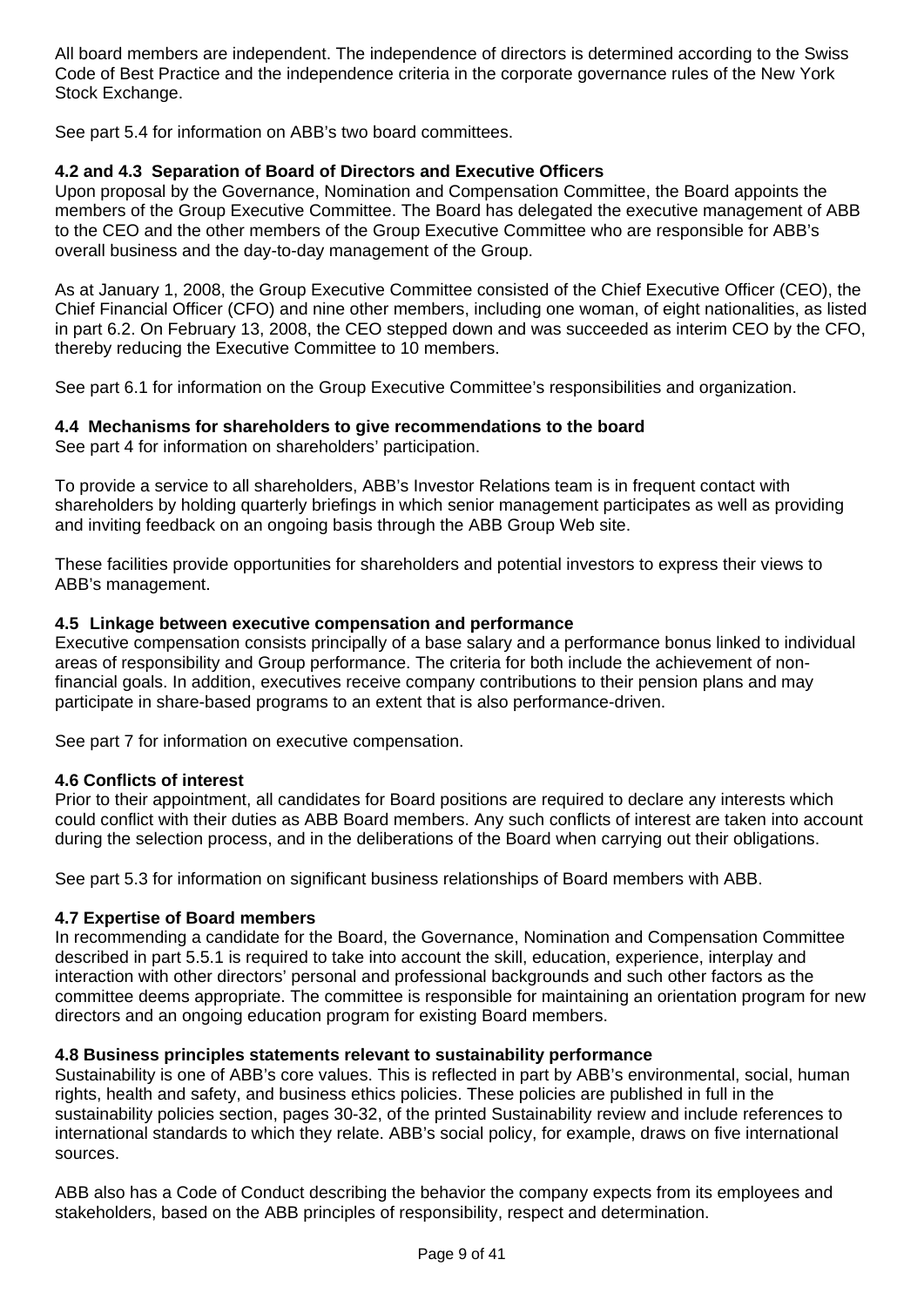All board members are independent. The independence of directors is determined according to the Swiss Code of Best Practice and the independence criteria in the corporate governance rules of the New York Stock Exchange.

See part 5.4 for information on ABB's two board committees.

# **4.2 and 4.3 Separation of Board of Directors and Executive Officers**

Upon proposal by the Governance, Nomination and Compensation Committee, the Board appoints the members of the Group Executive Committee. The Board has delegated the executive management of ABB to the CEO and the other members of the Group Executive Committee who are responsible for ABB's overall business and the day-to-day management of the Group.

As at January 1, 2008, the Group Executive Committee consisted of the Chief Executive Officer (CEO), the Chief Financial Officer (CFO) and nine other members, including one woman, of eight nationalities, as listed in part 6.2. On February 13, 2008, the CEO stepped down and was succeeded as interim CEO by the CFO, thereby reducing the Executive Committee to 10 members.

See part 6.1 for information on the Group Executive Committee's responsibilities and organization.

# **4.4 Mechanisms for shareholders to give recommendations to the board**

See part 4 for information on shareholders' participation.

To provide a service to all shareholders, ABB's Investor Relations team is in frequent contact with shareholders by holding quarterly briefings in which senior management participates as well as providing and inviting feedback on an ongoing basis through the ABB Group Web site.

These facilities provide opportunities for shareholders and potential investors to express their views to ABB's management.

# **4.5 Linkage between executive compensation and performance**

Executive compensation consists principally of a base salary and a performance bonus linked to individual areas of responsibility and Group performance. The criteria for both include the achievement of nonfinancial goals. In addition, executives receive company contributions to their pension plans and may participate in share-based programs to an extent that is also performance-driven.

See part 7 for information on executive compensation.

## **4.6 Conflicts of interest**

Prior to their appointment, all candidates for Board positions are required to declare any interests which could conflict with their duties as ABB Board members. Any such conflicts of interest are taken into account during the selection process, and in the deliberations of the Board when carrying out their obligations.

See part 5.3 for information on significant business relationships of Board members with ABB.

## **4.7 Expertise of Board members**

In recommending a candidate for the Board, the Governance, Nomination and Compensation Committee described in part 5.5.1 is required to take into account the skill, education, experience, interplay and interaction with other directors' personal and professional backgrounds and such other factors as the committee deems appropriate. The committee is responsible for maintaining an orientation program for new directors and an ongoing education program for existing Board members.

# **4.8 Business principles statements relevant to sustainability performance**

Sustainability is one of ABB's core values. This is reflected in part by ABB's environmental, social, human rights, health and safety, and business ethics policies. These policies are published in full in the sustainability policies section, pages 30-32, of the printed Sustainability review and include references to international standards to which they relate. ABB's social policy, for example, draws on five international sources.

ABB also has a Code of Conduct describing the behavior the company expects from its employees and stakeholders, based on the ABB principles of responsibility, respect and determination.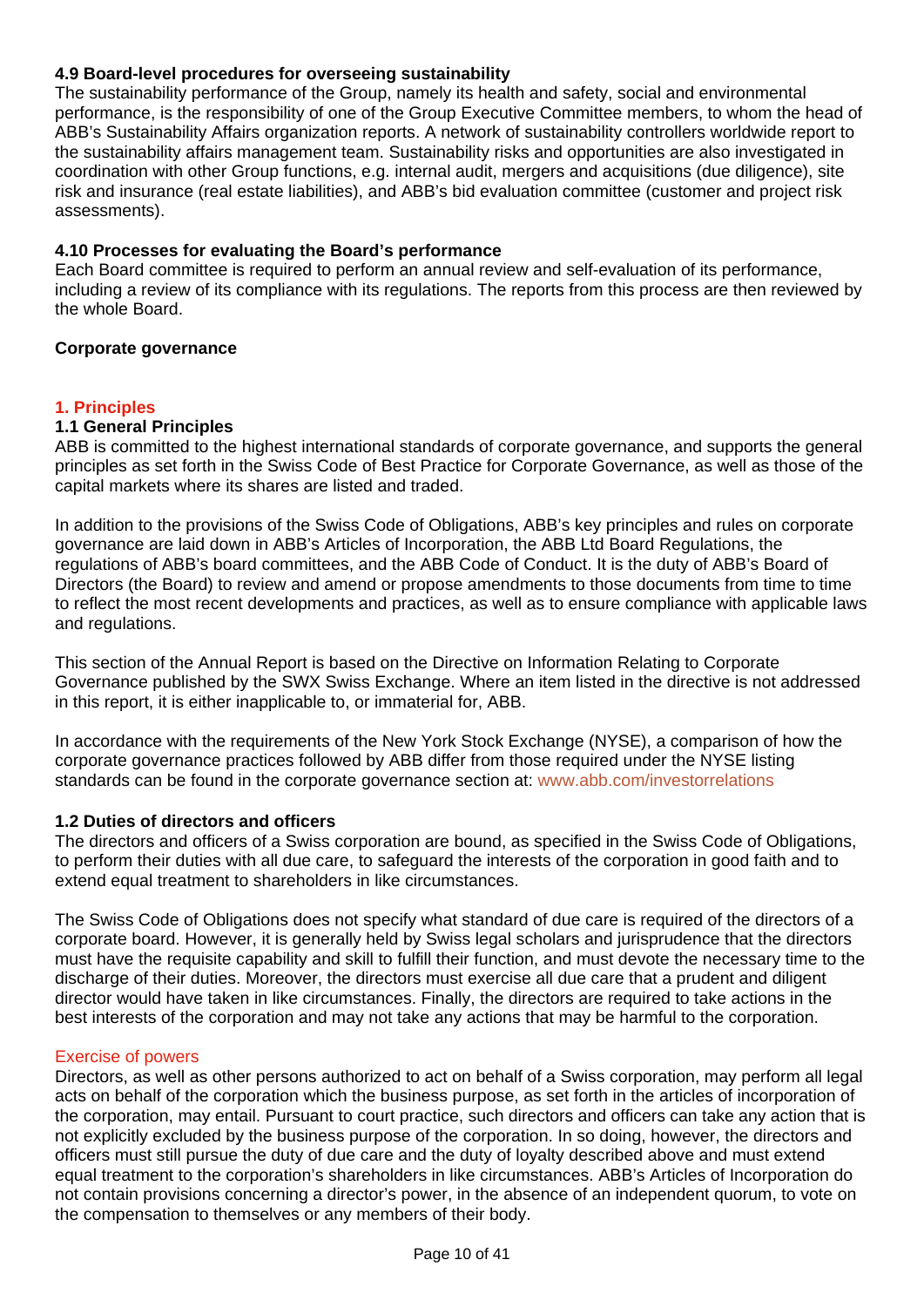# **4.9 Board-level procedures for overseeing sustainability**

The sustainability performance of the Group, namely its health and safety, social and environmental performance, is the responsibility of one of the Group Executive Committee members, to whom the head of ABB's Sustainability Affairs organization reports. A network of sustainability controllers worldwide report to the sustainability affairs management team. Sustainability risks and opportunities are also investigated in coordination with other Group functions, e.g. internal audit, mergers and acquisitions (due diligence), site risk and insurance (real estate liabilities), and ABB's bid evaluation committee (customer and project risk assessments).

# **4.10 Processes for evaluating the Board's performance**

Each Board committee is required to perform an annual review and self-evaluation of its performance, including a review of its compliance with its regulations. The reports from this process are then reviewed by the whole Board.

## **Corporate governance**

# **1. Principles**

## **1.1 General Principles**

ABB is committed to the highest international standards of corporate governance, and supports the general principles as set forth in the Swiss Code of Best Practice for Corporate Governance, as well as those of the capital markets where its shares are listed and traded.

In addition to the provisions of the Swiss Code of Obligations, ABB's key principles and rules on corporate governance are laid down in ABB's Articles of Incorporation, the ABB Ltd Board Regulations, the regulations of ABB's board committees, and the ABB Code of Conduct. It is the duty of ABB's Board of Directors (the Board) to review and amend or propose amendments to those documents from time to time to reflect the most recent developments and practices, as well as to ensure compliance with applicable laws and regulations.

This section of the Annual Report is based on the Directive on Information Relating to Corporate Governance published by the SWX Swiss Exchange. Where an item listed in the directive is not addressed in this report, it is either inapplicable to, or immaterial for, ABB.

In accordance with the requirements of the New York Stock Exchange (NYSE), a comparison of how the corporate governance practices followed by ABB differ from those required under the NYSE listing standards can be found in the corporate governance section at: www.abb.com/investorrelations

## **1.2 Duties of directors and officers**

The directors and officers of a Swiss corporation are bound, as specified in the Swiss Code of Obligations, to perform their duties with all due care, to safeguard the interests of the corporation in good faith and to extend equal treatment to shareholders in like circumstances.

The Swiss Code of Obligations does not specify what standard of due care is required of the directors of a corporate board. However, it is generally held by Swiss legal scholars and jurisprudence that the directors must have the requisite capability and skill to fulfill their function, and must devote the necessary time to the discharge of their duties. Moreover, the directors must exercise all due care that a prudent and diligent director would have taken in like circumstances. Finally, the directors are required to take actions in the best interests of the corporation and may not take any actions that may be harmful to the corporation.

## Exercise of powers

Directors, as well as other persons authorized to act on behalf of a Swiss corporation, may perform all legal acts on behalf of the corporation which the business purpose, as set forth in the articles of incorporation of the corporation, may entail. Pursuant to court practice, such directors and officers can take any action that is not explicitly excluded by the business purpose of the corporation. In so doing, however, the directors and officers must still pursue the duty of due care and the duty of loyalty described above and must extend equal treatment to the corporation's shareholders in like circumstances. ABB's Articles of Incorporation do not contain provisions concerning a director's power, in the absence of an independent quorum, to vote on the compensation to themselves or any members of their body.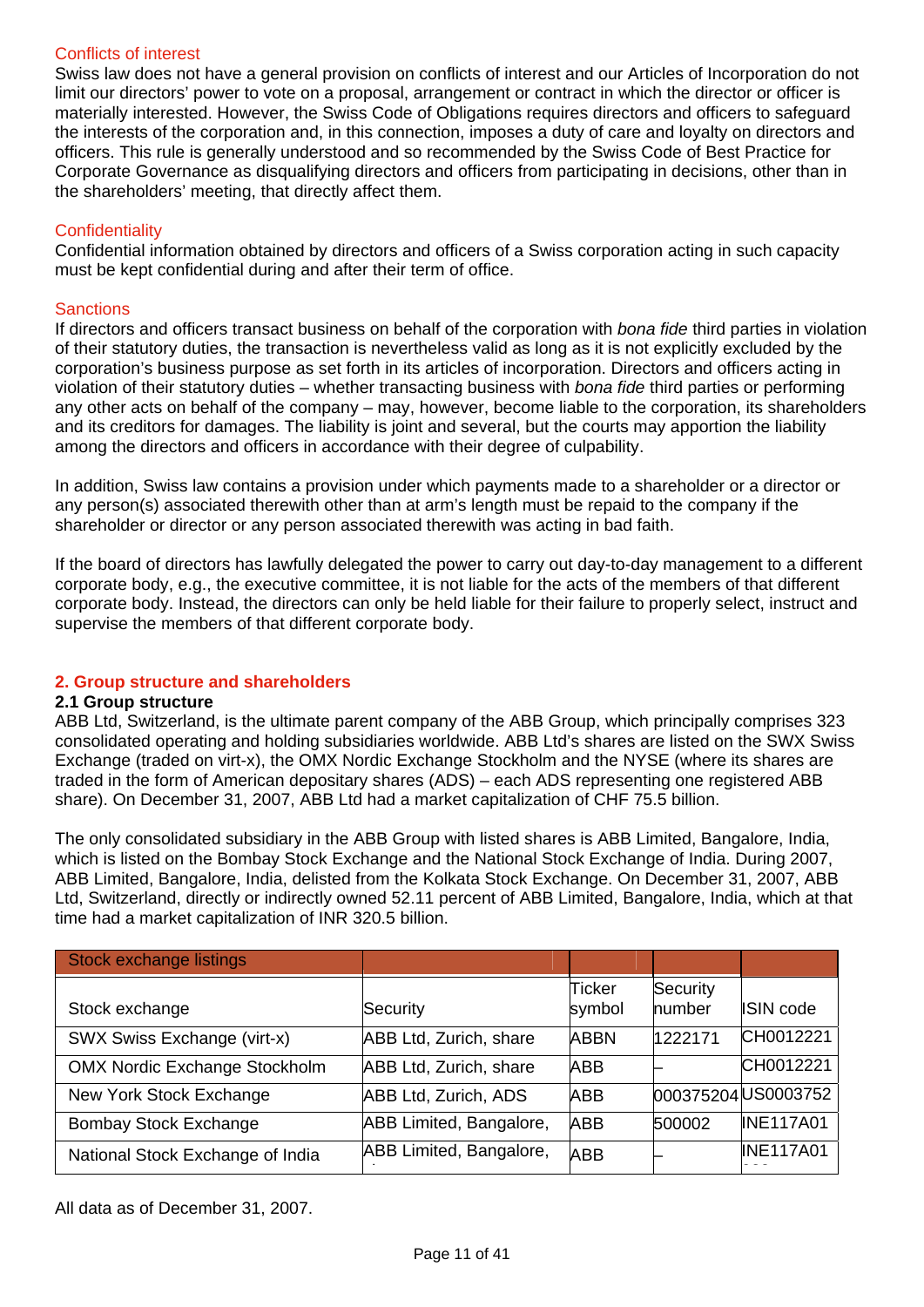# Conflicts of interest

Swiss law does not have a general provision on conflicts of interest and our Articles of Incorporation do not limit our directors' power to vote on a proposal, arrangement or contract in which the director or officer is materially interested. However, the Swiss Code of Obligations requires directors and officers to safeguard the interests of the corporation and, in this connection, imposes a duty of care and loyalty on directors and officers. This rule is generally understood and so recommended by the Swiss Code of Best Practice for Corporate Governance as disqualifying directors and officers from participating in decisions, other than in the shareholders' meeting, that directly affect them.

## **Confidentiality**

Confidential information obtained by directors and officers of a Swiss corporation acting in such capacity must be kept confidential during and after their term of office.

#### **Sanctions**

If directors and officers transact business on behalf of the corporation with *bona fide* third parties in violation of their statutory duties, the transaction is nevertheless valid as long as it is not explicitly excluded by the corporation's business purpose as set forth in its articles of incorporation. Directors and officers acting in violation of their statutory duties – whether transacting business with *bona fide* third parties or performing any other acts on behalf of the company – may, however, become liable to the corporation, its shareholders and its creditors for damages. The liability is joint and several, but the courts may apportion the liability among the directors and officers in accordance with their degree of culpability.

In addition, Swiss law contains a provision under which payments made to a shareholder or a director or any person(s) associated therewith other than at arm's length must be repaid to the company if the shareholder or director or any person associated therewith was acting in bad faith.

If the board of directors has lawfully delegated the power to carry out day-to-day management to a different corporate body, e.g., the executive committee, it is not liable for the acts of the members of that different corporate body. Instead, the directors can only be held liable for their failure to properly select, instruct and supervise the members of that different corporate body.

## **2. Group structure and shareholders**

#### **2.1 Group structure**

ABB Ltd, Switzerland, is the ultimate parent company of the ABB Group, which principally comprises 323 consolidated operating and holding subsidiaries worldwide. ABB Ltd's shares are listed on the SWX Swiss Exchange (traded on virt-x), the OMX Nordic Exchange Stockholm and the NYSE (where its shares are traded in the form of American depositary shares (ADS) – each ADS representing one registered ABB share). On December 31, 2007, ABB Ltd had a market capitalization of CHF 75.5 billion.

The only consolidated subsidiary in the ABB Group with listed shares is ABB Limited, Bangalore, India, which is listed on the Bombay Stock Exchange and the National Stock Exchange of India. During 2007, ABB Limited, Bangalore, India, delisted from the Kolkata Stock Exchange. On December 31, 2007, ABB Ltd, Switzerland, directly or indirectly owned 52.11 percent of ABB Limited, Bangalore, India, which at that time had a market capitalization of INR 320.5 billion.

| Stock exchange listings              |                             |                  |                            |                     |
|--------------------------------------|-----------------------------|------------------|----------------------------|---------------------|
| Stock exchange                       | Security                    | Ticker<br>symbol | Security<br><b>lnumber</b> | <b>ISIN</b> code    |
| SWX Swiss Exchange (virt-x)          | ABB Ltd, Zurich, share      | <b>ABBN</b>      | 1222171                    | CH0012221           |
| <b>OMX Nordic Exchange Stockholm</b> | ABB Ltd, Zurich, share      | <b>ABB</b>       |                            | CH0012221           |
| New York Stock Exchange              | <b>ABB Ltd, Zurich, ADS</b> | <b>ABB</b>       |                            | 000375204 US0003752 |
| <b>Bombay Stock Exchange</b>         | ABB Limited, Bangalore,     | <b>ABB</b>       | 500002                     | <b>INE117A01</b>    |
| National Stock Exchange of India     | ABB Limited, Bangalore,     | <b>ABB</b>       |                            | <b>INE117A01</b>    |

All data as of December 31, 2007.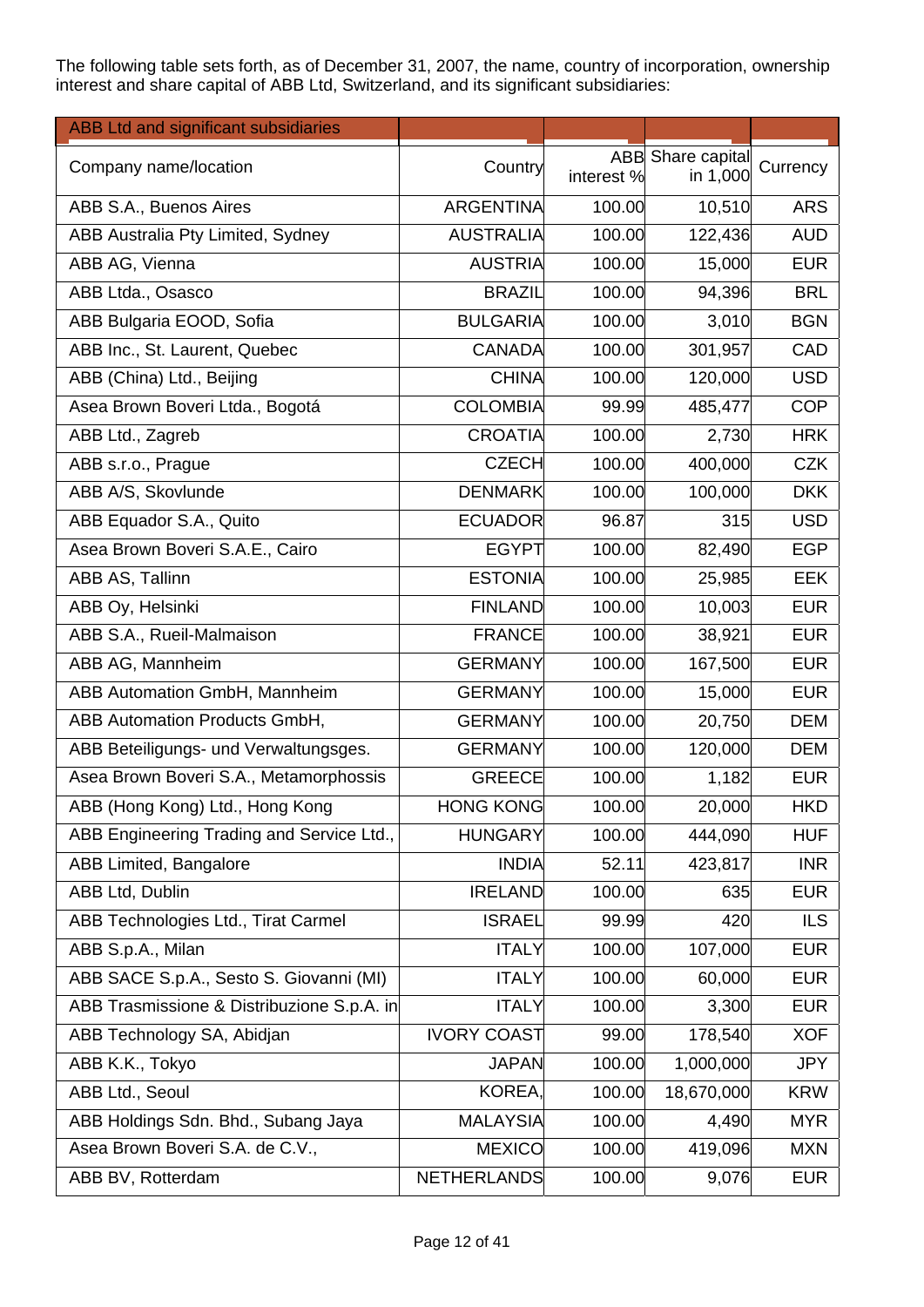The following table sets forth, as of December 31, 2007, the name, country of incorporation, ownership interest and share capital of ABB Ltd, Switzerland, and its significant subsidiaries:

| <b>ABB Ltd and significant subsidiaries</b> |                    |            |                   |            |
|---------------------------------------------|--------------------|------------|-------------------|------------|
| Company name/location                       | Country            |            | ABB Share capital | Currency   |
|                                             |                    | interest % | in 1,000          |            |
| ABB S.A., Buenos Aires                      | <b>ARGENTINA</b>   | 100.00     | 10,510            | <b>ARS</b> |
| ABB Australia Pty Limited, Sydney           | <b>AUSTRALIA</b>   | 100.00     | 122,436           | <b>AUD</b> |
| ABB AG, Vienna                              | <b>AUSTRIA</b>     | 100.00     | 15,000            | <b>EUR</b> |
| ABB Ltda., Osasco                           | <b>BRAZIL</b>      | 100.00     | 94,396            | <b>BRL</b> |
| ABB Bulgaria EOOD, Sofia                    | <b>BULGARIA</b>    | 100.00     | 3,010             | <b>BGN</b> |
| ABB Inc., St. Laurent, Quebec               | <b>CANADA</b>      | 100.00     | 301,957           | CAD        |
| ABB (China) Ltd., Beijing                   | <b>CHINA</b>       | 100.00     | 120,000           | <b>USD</b> |
| Asea Brown Boveri Ltda., Bogotá             | <b>COLOMBIA</b>    | 99.99      | 485,477           | <b>COP</b> |
| ABB Ltd., Zagreb                            | <b>CROATIA</b>     | 100.00     | 2,730             | <b>HRK</b> |
| ABB s.r.o., Prague                          | <b>CZECH</b>       | 100.00     | 400,000           | <b>CZK</b> |
| ABB A/S, Skovlunde                          | <b>DENMARK</b>     | 100.00     | 100,000           | <b>DKK</b> |
| ABB Equador S.A., Quito                     | <b>ECUADOR</b>     | 96.87      | 315               | <b>USD</b> |
| Asea Brown Boveri S.A.E., Cairo             | <b>EGYPT</b>       | 100.00     | 82,490            | <b>EGP</b> |
| ABB AS, Tallinn                             | <b>ESTONIA</b>     | 100.00     | 25,985            | <b>EEK</b> |
| ABB Oy, Helsinki                            | <b>FINLAND</b>     | 100.00     | 10,003            | <b>EUR</b> |
| ABB S.A., Rueil-Malmaison                   | <b>FRANCE</b>      | 100.00     | 38,921            | <b>EUR</b> |
| ABB AG, Mannheim                            | <b>GERMANY</b>     | 100.00     | 167,500           | <b>EUR</b> |
| ABB Automation GmbH, Mannheim               | <b>GERMANY</b>     | 100.00     | 15,000            | <b>EUR</b> |
| ABB Automation Products GmbH,               | <b>GERMANY</b>     | 100.00     | 20,750            | <b>DEM</b> |
| ABB Beteiligungs- und Verwaltungsges.       | <b>GERMANY</b>     | 100.00     | 120,000           | <b>DEM</b> |
| Asea Brown Boveri S.A., Metamorphossis      | <b>GREECE</b>      | 100.00     | 1,182             | <b>EUR</b> |
| ABB (Hong Kong) Ltd., Hong Kong             | <b>HONG KONG</b>   | 100.00     | 20,000            | <b>HKD</b> |
| ABB Engineering Trading and Service Ltd.,   | <b>HUNGARY</b>     | 100.00     | 444,090           | <b>HUF</b> |
| ABB Limited, Bangalore                      | <b>INDIA</b>       | 52.11      | 423,817           | <b>INR</b> |
| ABB Ltd, Dublin                             | <b>IRELAND</b>     | 100.00     | 635               | <b>EUR</b> |
| ABB Technologies Ltd., Tirat Carmel         | <b>ISRAEL</b>      | 99.99      | 420               | <b>ILS</b> |
| ABB S.p.A., Milan                           | <b>ITALY</b>       | 100.00     | 107,000           | <b>EUR</b> |
| ABB SACE S.p.A., Sesto S. Giovanni (MI)     | <b>ITALY</b>       | 100.00     | 60,000            | <b>EUR</b> |
| ABB Trasmissione & Distribuzione S.p.A. in  | <b>ITALY</b>       | 100.00     | 3,300             | <b>EUR</b> |
| ABB Technology SA, Abidjan                  | <b>IVORY COAST</b> | 99.00      | 178,540           | <b>XOF</b> |
| ABB K.K., Tokyo                             | <b>JAPAN</b>       | 100.00     | 1,000,000         | <b>JPY</b> |
| ABB Ltd., Seoul                             | KOREA,             | 100.00     | 18,670,000        | <b>KRW</b> |
| ABB Holdings Sdn. Bhd., Subang Jaya         | <b>MALAYSIA</b>    | 100.00     | 4,490             | <b>MYR</b> |
| Asea Brown Boveri S.A. de C.V.,             | <b>MEXICO</b>      | 100.00     | 419,096           | <b>MXN</b> |
| ABB BV, Rotterdam                           | <b>NETHERLANDS</b> | 100.00     | 9,076             | <b>EUR</b> |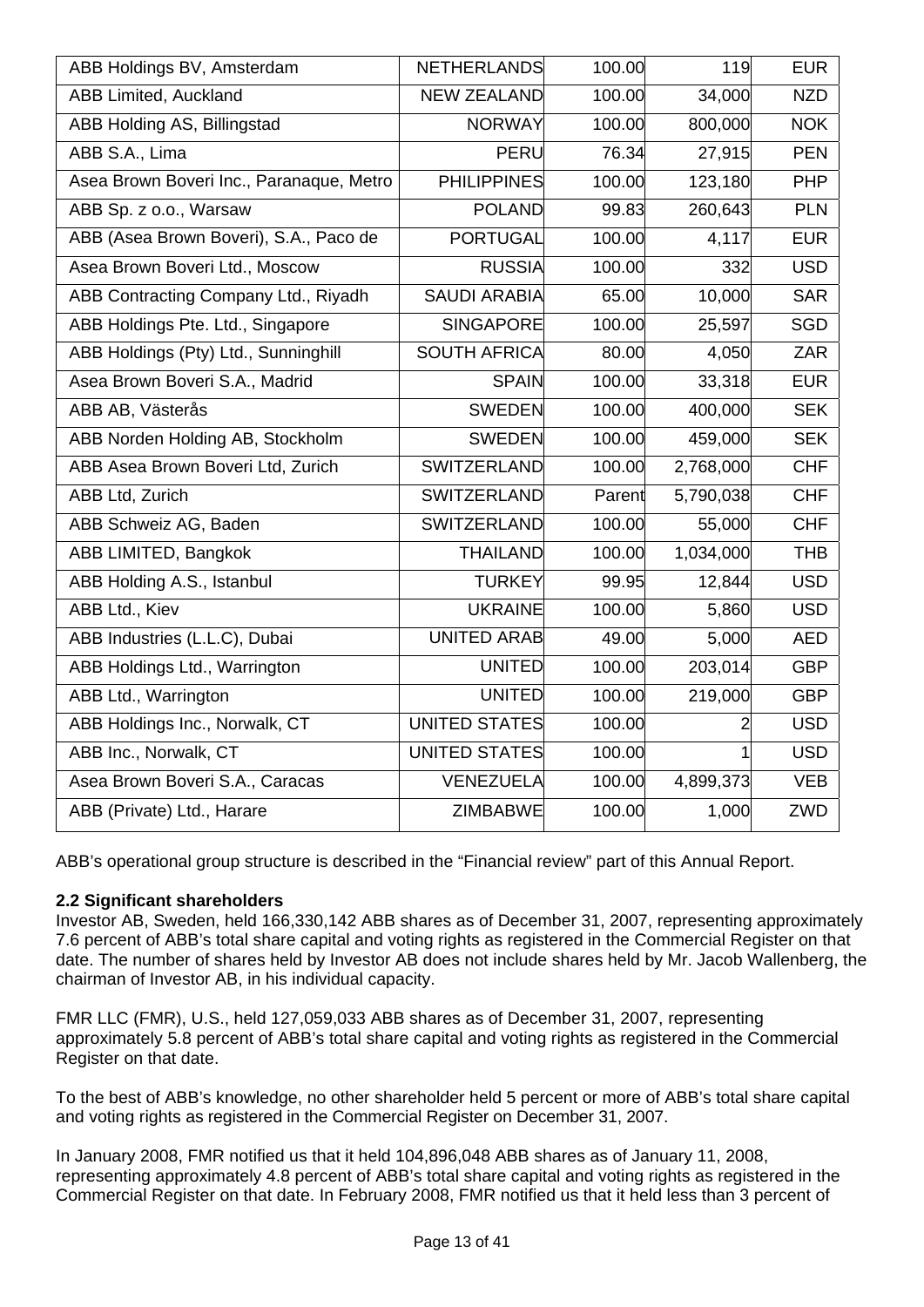| ABB Holdings BV, Amsterdam               | <b>NETHERLANDS</b>  | 100.00 | 119       | <b>EUR</b> |
|------------------------------------------|---------------------|--------|-----------|------------|
| <b>ABB Limited, Auckland</b>             | <b>NEW ZEALAND</b>  | 100.00 | 34,000    | <b>NZD</b> |
| ABB Holding AS, Billingstad              | <b>NORWAY</b>       | 100.00 | 800,000   | <b>NOK</b> |
| ABB S.A., Lima                           | <b>PERU</b>         | 76.34  | 27,915    | <b>PEN</b> |
| Asea Brown Boveri Inc., Paranaque, Metro | <b>PHILIPPINES</b>  | 100.00 | 123,180   | <b>PHP</b> |
| ABB Sp. z o.o., Warsaw                   | <b>POLAND</b>       | 99.83  | 260,643   | <b>PLN</b> |
| ABB (Asea Brown Boveri), S.A., Paco de   | <b>PORTUGAL</b>     | 100.00 | 4,117     | <b>EUR</b> |
| Asea Brown Boveri Ltd., Moscow           | <b>RUSSIA</b>       | 100.00 | 332       | <b>USD</b> |
| ABB Contracting Company Ltd., Riyadh     | <b>SAUDI ARABIA</b> | 65.00  | 10,000    | <b>SAR</b> |
| ABB Holdings Pte. Ltd., Singapore        | <b>SINGAPORE</b>    | 100.00 | 25,597    | <b>SGD</b> |
| ABB Holdings (Pty) Ltd., Sunninghill     | <b>SOUTH AFRICA</b> | 80.00  | 4,050     | ZAR        |
| Asea Brown Boveri S.A., Madrid           | <b>SPAIN</b>        | 100.00 | 33,318    | <b>EUR</b> |
| ABB AB, Västerås                         | <b>SWEDEN</b>       | 100.00 | 400,000   | <b>SEK</b> |
| ABB Norden Holding AB, Stockholm         | <b>SWEDEN</b>       | 100.00 | 459,000   | <b>SEK</b> |
| ABB Asea Brown Boveri Ltd, Zurich        | <b>SWITZERLAND</b>  | 100.00 | 2,768,000 | <b>CHF</b> |
| ABB Ltd, Zurich                          | SWITZERLAND         | Parent | 5,790,038 | <b>CHF</b> |
| ABB Schweiz AG, Baden                    | SWITZERLAND         | 100.00 | 55,000    | <b>CHF</b> |
| ABB LIMITED, Bangkok                     | <b>THAILAND</b>     | 100.00 | 1,034,000 | <b>THB</b> |
| ABB Holding A.S., Istanbul               | <b>TURKEY</b>       | 99.95  | 12,844    | <b>USD</b> |
| ABB Ltd., Kiev                           | <b>UKRAINE</b>      | 100.00 | 5,860     | <b>USD</b> |
| ABB Industries (L.L.C), Dubai            | <b>UNITED ARAB</b>  | 49.00  | 5,000     | <b>AED</b> |
| ABB Holdings Ltd., Warrington            | <b>UNITED</b>       | 100.00 | 203,014   | <b>GBP</b> |
| ABB Ltd., Warrington                     | <b>UNITED</b>       | 100.00 | 219,000   | <b>GBP</b> |
| ABB Holdings Inc., Norwalk, CT           | UNITED STATES       | 100.00 | 2         | <b>USD</b> |
| ABB Inc., Norwalk, CT                    | UNITED STATES       | 100.00 | 1         | <b>USD</b> |
| Asea Brown Boveri S.A., Caracas          | <b>VENEZUELA</b>    | 100.00 | 4,899,373 | <b>VEB</b> |
| ABB (Private) Ltd., Harare               | <b>ZIMBABWE</b>     | 100.00 | 1,000     | ZWD        |
|                                          |                     |        |           |            |

ABB's operational group structure is described in the "Financial review" part of this Annual Report.

## **2.2 Significant shareholders**

Investor AB, Sweden, held 166,330,142 ABB shares as of December 31, 2007, representing approximately 7.6 percent of ABB's total share capital and voting rights as registered in the Commercial Register on that date. The number of shares held by Investor AB does not include shares held by Mr. Jacob Wallenberg, the chairman of Investor AB, in his individual capacity.

FMR LLC (FMR), U.S., held 127,059,033 ABB shares as of December 31, 2007, representing approximately 5.8 percent of ABB's total share capital and voting rights as registered in the Commercial Register on that date.

To the best of ABB's knowledge, no other shareholder held 5 percent or more of ABB's total share capital and voting rights as registered in the Commercial Register on December 31, 2007.

In January 2008, FMR notified us that it held 104,896,048 ABB shares as of January 11, 2008, representing approximately 4.8 percent of ABB's total share capital and voting rights as registered in the Commercial Register on that date. In February 2008, FMR notified us that it held less than 3 percent of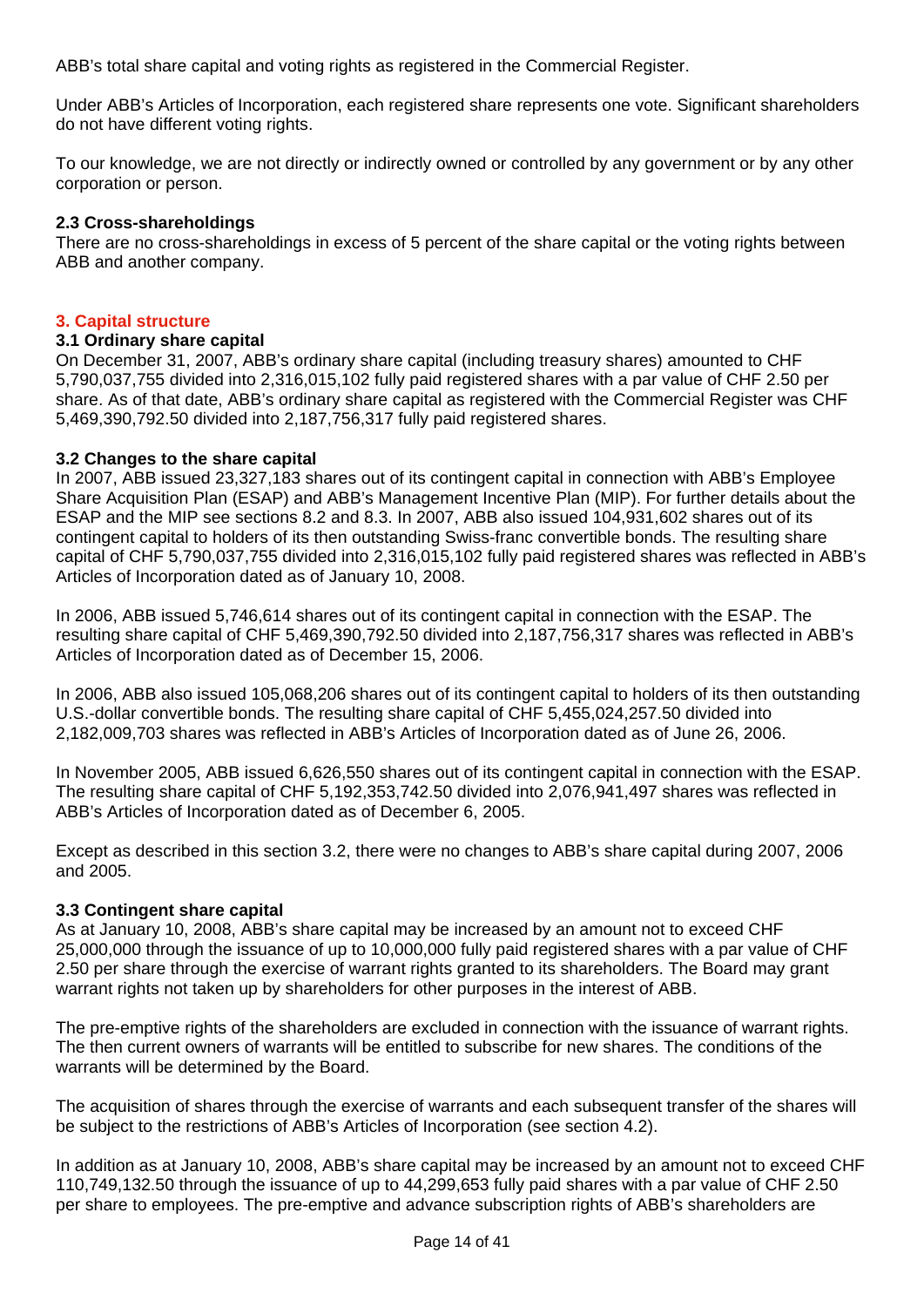ABB's total share capital and voting rights as registered in the Commercial Register.

Under ABB's Articles of Incorporation, each registered share represents one vote. Significant shareholders do not have different voting rights.

To our knowledge, we are not directly or indirectly owned or controlled by any government or by any other corporation or person.

#### **2.3 Cross-shareholdings**

There are no cross-shareholdings in excess of 5 percent of the share capital or the voting rights between ABB and another company.

#### **3. Capital structure**

#### **3.1 Ordinary share capital**

On December 31, 2007, ABB's ordinary share capital (including treasury shares) amounted to CHF 5,790,037,755 divided into 2,316,015,102 fully paid registered shares with a par value of CHF 2.50 per share. As of that date, ABB's ordinary share capital as registered with the Commercial Register was CHF 5,469,390,792.50 divided into 2,187,756,317 fully paid registered shares.

#### **3.2 Changes to the share capital**

In 2007, ABB issued 23,327,183 shares out of its contingent capital in connection with ABB's Employee Share Acquisition Plan (ESAP) and ABB's Management Incentive Plan (MIP). For further details about the ESAP and the MIP see sections 8.2 and 8.3. In 2007, ABB also issued 104,931,602 shares out of its contingent capital to holders of its then outstanding Swiss-franc convertible bonds. The resulting share capital of CHF 5,790,037,755 divided into 2,316,015,102 fully paid registered shares was reflected in ABB's Articles of Incorporation dated as of January 10, 2008.

In 2006, ABB issued 5,746,614 shares out of its contingent capital in connection with the ESAP. The resulting share capital of CHF 5,469,390,792.50 divided into 2,187,756,317 shares was reflected in ABB's Articles of Incorporation dated as of December 15, 2006.

In 2006, ABB also issued 105,068,206 shares out of its contingent capital to holders of its then outstanding U.S.-dollar convertible bonds. The resulting share capital of CHF 5,455,024,257.50 divided into 2,182,009,703 shares was reflected in ABB's Articles of Incorporation dated as of June 26, 2006.

In November 2005, ABB issued 6,626,550 shares out of its contingent capital in connection with the ESAP. The resulting share capital of CHF 5,192,353,742.50 divided into 2,076,941,497 shares was reflected in ABB's Articles of Incorporation dated as of December 6, 2005.

Except as described in this section 3.2, there were no changes to ABB's share capital during 2007, 2006 and 2005.

#### **3.3 Contingent share capital**

As at January 10, 2008, ABB's share capital may be increased by an amount not to exceed CHF 25,000,000 through the issuance of up to 10,000,000 fully paid registered shares with a par value of CHF 2.50 per share through the exercise of warrant rights granted to its shareholders. The Board may grant warrant rights not taken up by shareholders for other purposes in the interest of ABB.

The pre-emptive rights of the shareholders are excluded in connection with the issuance of warrant rights. The then current owners of warrants will be entitled to subscribe for new shares. The conditions of the warrants will be determined by the Board.

The acquisition of shares through the exercise of warrants and each subsequent transfer of the shares will be subject to the restrictions of ABB's Articles of Incorporation (see section 4.2).

In addition as at January 10, 2008, ABB's share capital may be increased by an amount not to exceed CHF 110,749,132.50 through the issuance of up to 44,299,653 fully paid shares with a par value of CHF 2.50 per share to employees. The pre-emptive and advance subscription rights of ABB's shareholders are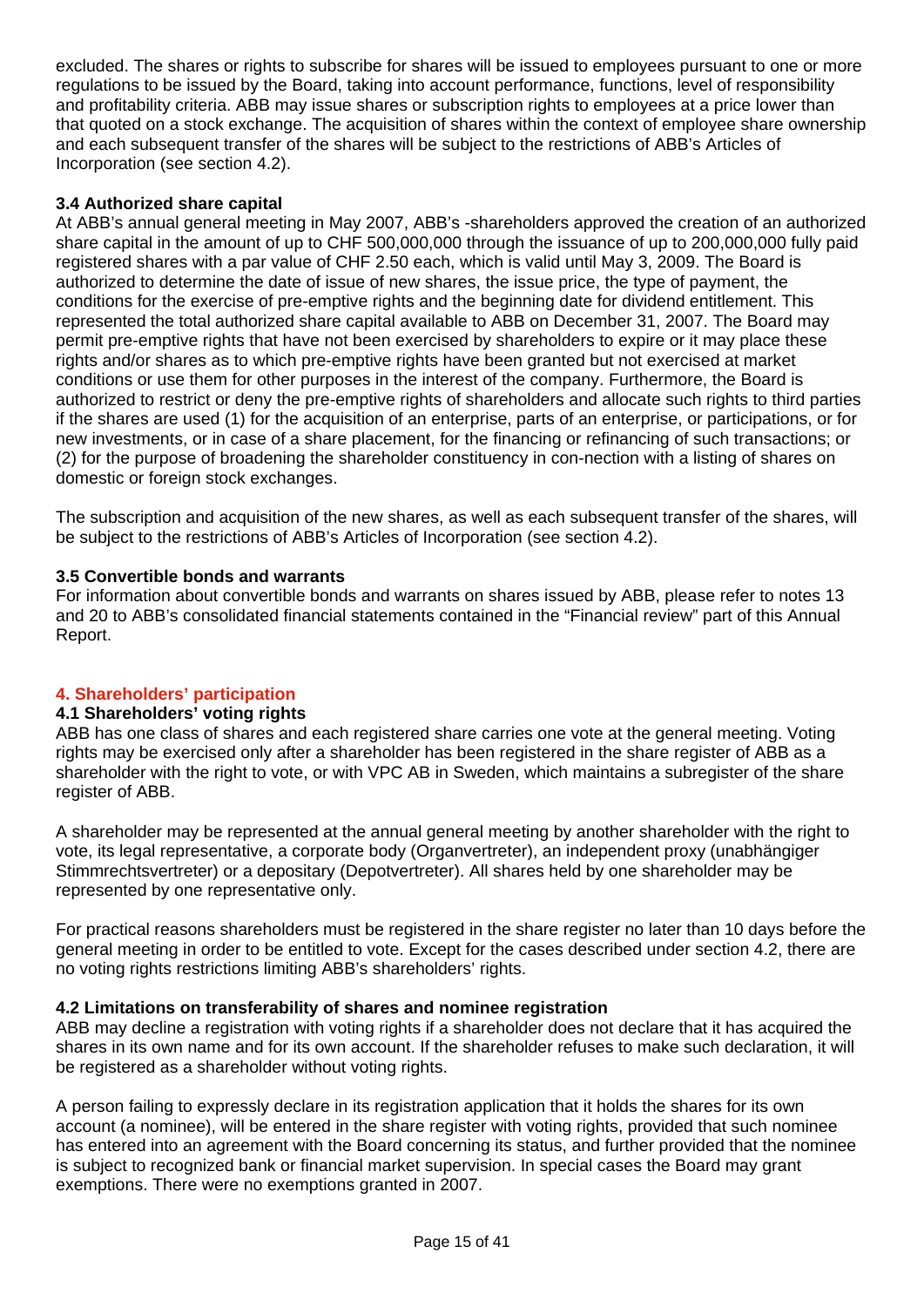excluded. The shares or rights to subscribe for shares will be issued to employees pursuant to one or more regulations to be issued by the Board, taking into account performance, functions, level of responsibility and profitability criteria. ABB may issue shares or subscription rights to employees at a price lower than that quoted on a stock exchange. The acquisition of shares within the context of employee share ownership and each subsequent transfer of the shares will be subject to the restrictions of ABB's Articles of Incorporation (see section 4.2).

# **3.4 Authorized share capital**

At ABB's annual general meeting in May 2007, ABB's -shareholders approved the creation of an authorized share capital in the amount of up to CHF 500,000,000 through the issuance of up to 200,000,000 fully paid registered shares with a par value of CHF 2.50 each, which is valid until May 3, 2009. The Board is authorized to determine the date of issue of new shares, the issue price, the type of payment, the conditions for the exercise of pre-emptive rights and the beginning date for dividend entitlement. This represented the total authorized share capital available to ABB on December 31, 2007. The Board may permit pre-emptive rights that have not been exercised by shareholders to expire or it may place these rights and/or shares as to which pre-emptive rights have been granted but not exercised at market conditions or use them for other purposes in the interest of the company. Furthermore, the Board is authorized to restrict or deny the pre-emptive rights of shareholders and allocate such rights to third parties if the shares are used (1) for the acquisition of an enterprise, parts of an enterprise, or participations, or for new investments, or in case of a share placement, for the financing or refinancing of such transactions; or (2) for the purpose of broadening the shareholder constituency in con-nection with a listing of shares on domestic or foreign stock exchanges.

The subscription and acquisition of the new shares, as well as each subsequent transfer of the shares, will be subject to the restrictions of ABB's Articles of Incorporation (see section 4.2).

## **3.5 Convertible bonds and warrants**

For information about convertible bonds and warrants on shares issued by ABB, please refer to notes 13 and 20 to ABB's consolidated financial statements contained in the "Financial review" part of this Annual Report.

## **4. Shareholders' participation**

## **4.1 Shareholders' voting rights**

ABB has one class of shares and each registered share carries one vote at the general meeting. Voting rights may be exercised only after a shareholder has been registered in the share register of ABB as a shareholder with the right to vote, or with VPC AB in Sweden, which maintains a subregister of the share register of ABB.

A shareholder may be represented at the annual general meeting by another shareholder with the right to vote, its legal representative, a corporate body (Organvertreter), an independent proxy (unabhängiger Stimmrechtsvertreter) or a depositary (Depotvertreter). All shares held by one shareholder may be represented by one representative only.

For practical reasons shareholders must be registered in the share register no later than 10 days before the general meeting in order to be entitled to vote. Except for the cases described under section 4.2, there are no voting rights restrictions limiting ABB's shareholders' rights.

## **4.2 Limitations on transferability of shares and nominee registration**

ABB may decline a registration with voting rights if a shareholder does not declare that it has acquired the shares in its own name and for its own account. If the shareholder refuses to make such declaration, it will be registered as a shareholder without voting rights.

A person failing to expressly declare in its registration application that it holds the shares for its own account (a nominee), will be entered in the share register with voting rights, provided that such nominee has entered into an agreement with the Board concerning its status, and further provided that the nominee is subject to recognized bank or financial market supervision. In special cases the Board may grant exemptions. There were no exemptions granted in 2007.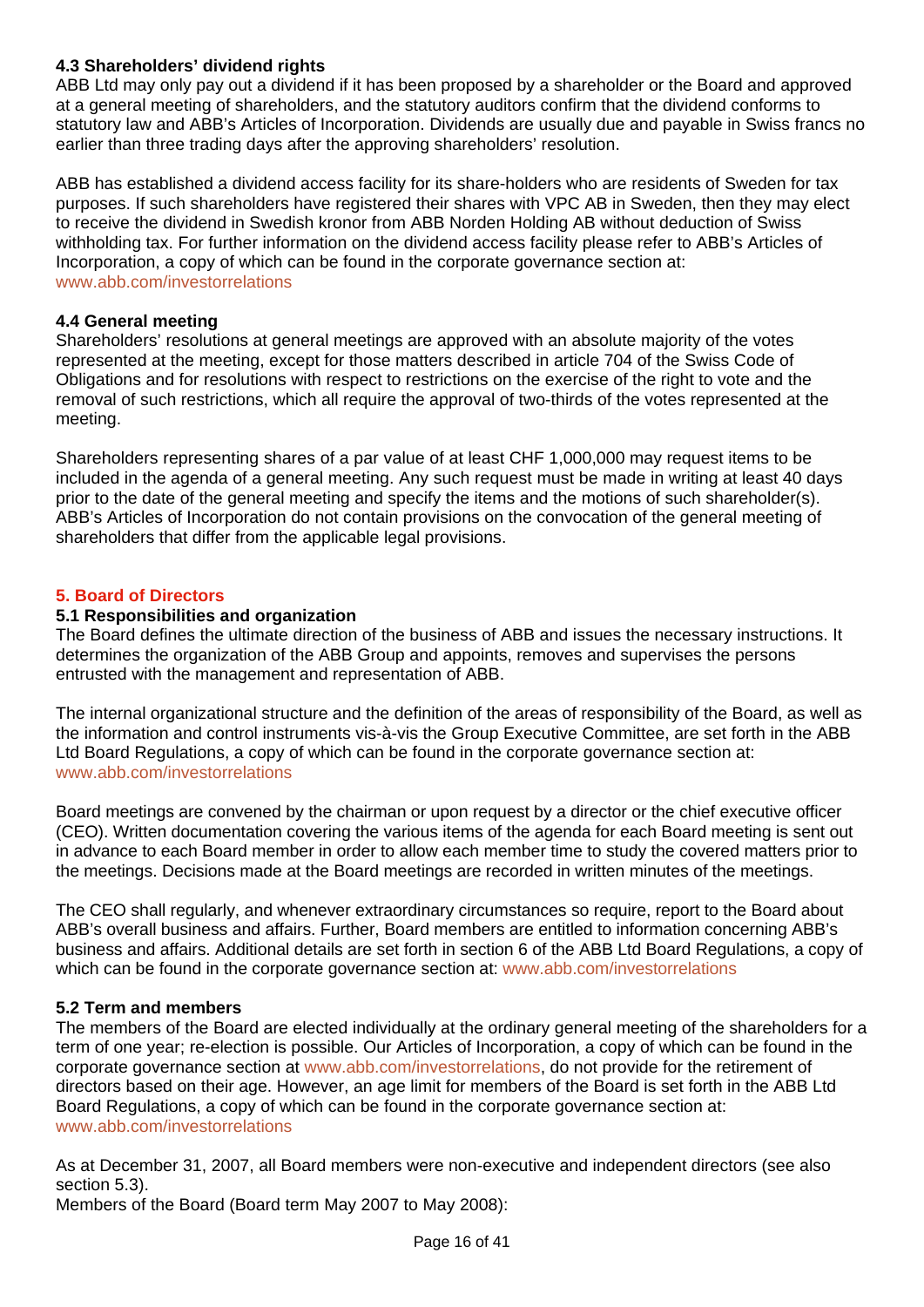# **4.3 Shareholders' dividend rights**

ABB Ltd may only pay out a dividend if it has been proposed by a shareholder or the Board and approved at a general meeting of shareholders, and the statutory auditors confirm that the dividend conforms to statutory law and ABB's Articles of Incorporation. Dividends are usually due and payable in Swiss francs no earlier than three trading days after the approving shareholders' resolution.

ABB has established a dividend access facility for its share-holders who are residents of Sweden for tax purposes. If such shareholders have registered their shares with VPC AB in Sweden, then they may elect to receive the dividend in Swedish kronor from ABB Norden Holding AB without deduction of Swiss withholding tax. For further information on the dividend access facility please refer to ABB's Articles of Incorporation, a copy of which can be found in the corporate governance section at: www.abb.com/investorrelations

## **4.4 General meeting**

Shareholders' resolutions at general meetings are approved with an absolute majority of the votes represented at the meeting, except for those matters described in article 704 of the Swiss Code of Obligations and for resolutions with respect to restrictions on the exercise of the right to vote and the removal of such restrictions, which all require the approval of two-thirds of the votes represented at the meeting.

Shareholders representing shares of a par value of at least CHF 1,000,000 may request items to be included in the agenda of a general meeting. Any such request must be made in writing at least 40 days prior to the date of the general meeting and specify the items and the motions of such shareholder(s). ABB's Articles of Incorporation do not contain provisions on the convocation of the general meeting of shareholders that differ from the applicable legal provisions.

## **5. Board of Directors**

## **5.1 Responsibilities and organization**

The Board defines the ultimate direction of the business of ABB and issues the necessary instructions. It determines the organization of the ABB Group and appoints, removes and supervises the persons entrusted with the management and representation of ABB.

The internal organizational structure and the definition of the areas of responsibility of the Board, as well as the information and control instruments vis-à-vis the Group Executive Committee, are set forth in the ABB Ltd Board Regulations, a copy of which can be found in the corporate governance section at: www.abb.com/investorrelations

Board meetings are convened by the chairman or upon request by a director or the chief executive officer (CEO). Written documentation covering the various items of the agenda for each Board meeting is sent out in advance to each Board member in order to allow each member time to study the covered matters prior to the meetings. Decisions made at the Board meetings are recorded in written minutes of the meetings.

The CEO shall regularly, and whenever extraordinary circumstances so require, report to the Board about ABB's overall business and affairs. Further, Board members are entitled to information concerning ABB's business and affairs. Additional details are set forth in section 6 of the ABB Ltd Board Regulations, a copy of which can be found in the corporate governance section at: www.abb.com/investorrelations

## **5.2 Term and members**

The members of the Board are elected individually at the ordinary general meeting of the shareholders for a term of one year; re-election is possible. Our Articles of Incorporation, a copy of which can be found in the corporate governance section at www.abb.com/investorrelations, do not provide for the retirement of directors based on their age. However, an age limit for members of the Board is set forth in the ABB Ltd Board Regulations, a copy of which can be found in the corporate governance section at: www.abb.com/investorrelations

As at December 31, 2007, all Board members were non-executive and independent directors (see also section 5.3).

Members of the Board (Board term May 2007 to May 2008):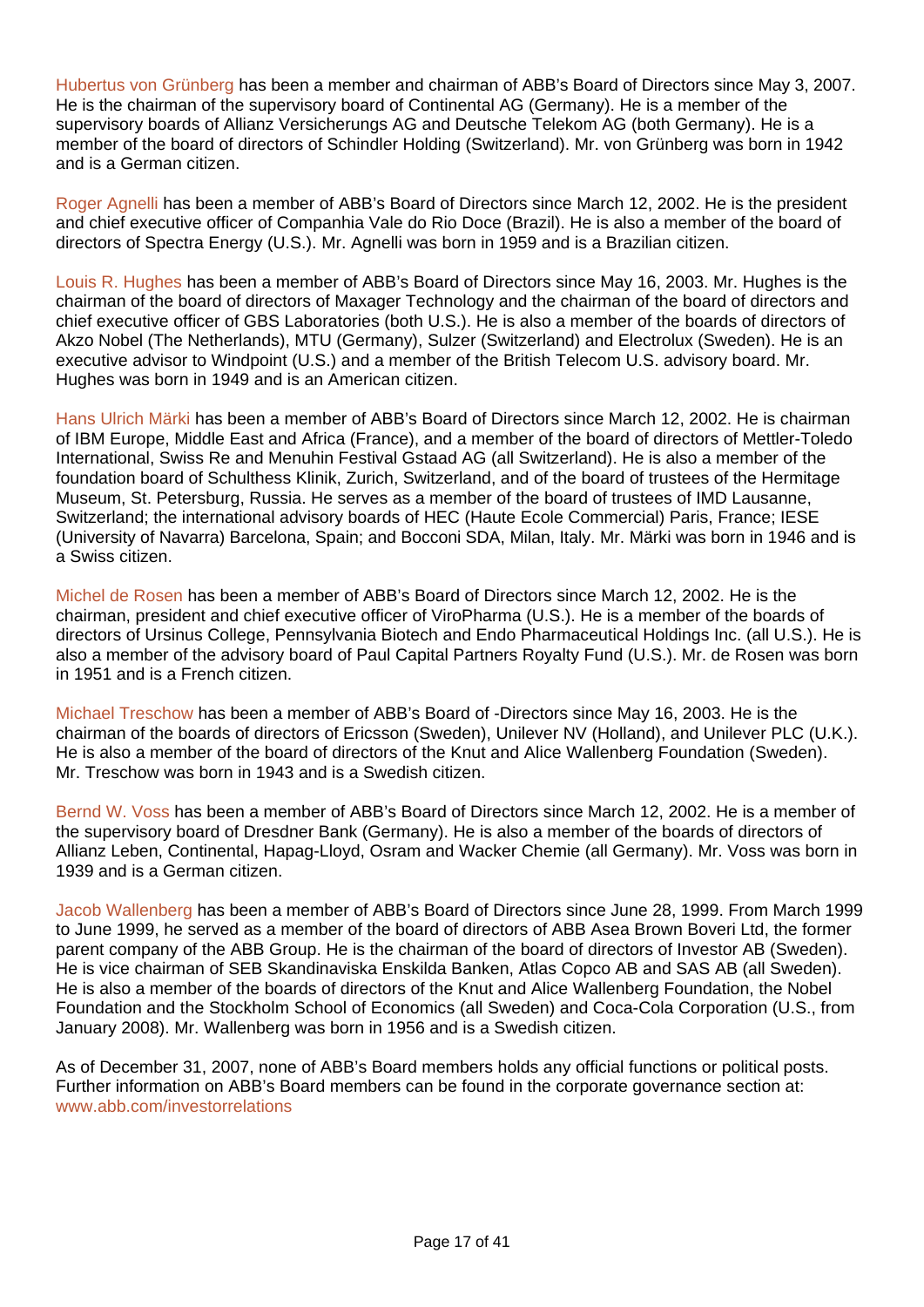Hubertus von Grünberg has been a member and chairman of ABB's Board of Directors since May 3, 2007. He is the chairman of the supervisory board of Continental AG (Germany). He is a member of the supervisory boards of Allianz Versicherungs AG and Deutsche Telekom AG (both Germany). He is a member of the board of directors of Schindler Holding (Switzerland). Mr. von Grünberg was born in 1942 and is a German citizen.

Roger Agnelli has been a member of ABB's Board of Directors since March 12, 2002. He is the president and chief executive officer of Companhia Vale do Rio Doce (Brazil). He is also a member of the board of directors of Spectra Energy (U.S.). Mr. Agnelli was born in 1959 and is a Brazilian citizen.

Louis R. Hughes has been a member of ABB's Board of Directors since May 16, 2003. Mr. Hughes is the chairman of the board of directors of Maxager Technology and the chairman of the board of directors and chief executive officer of GBS Laboratories (both U.S.). He is also a member of the boards of directors of Akzo Nobel (The Netherlands), MTU (Germany), Sulzer (Switzerland) and Electrolux (Sweden). He is an executive advisor to Windpoint (U.S.) and a member of the British Telecom U.S. advisory board. Mr. Hughes was born in 1949 and is an American citizen.

Hans Ulrich Märki has been a member of ABB's Board of Directors since March 12, 2002. He is chairman of IBM Europe, Middle East and Africa (France), and a member of the board of directors of Mettler-Toledo International, Swiss Re and Menuhin Festival Gstaad AG (all Switzerland). He is also a member of the foundation board of Schulthess Klinik, Zurich, Switzerland, and of the board of trustees of the Hermitage Museum, St. Petersburg, Russia. He serves as a member of the board of trustees of IMD Lausanne, Switzerland; the international advisory boards of HEC (Haute Ecole Commercial) Paris, France; IESE (University of Navarra) Barcelona, Spain; and Bocconi SDA, Milan, Italy. Mr. Märki was born in 1946 and is a Swiss citizen.

Michel de Rosen has been a member of ABB's Board of Directors since March 12, 2002. He is the chairman, president and chief executive officer of ViroPharma (U.S.). He is a member of the boards of directors of Ursinus College, Pennsylvania Biotech and Endo Pharmaceutical Holdings Inc. (all U.S.). He is also a member of the advisory board of Paul Capital Partners Royalty Fund (U.S.). Mr. de Rosen was born in 1951 and is a French citizen.

Michael Treschow has been a member of ABB's Board of -Directors since May 16, 2003. He is the chairman of the boards of directors of Ericsson (Sweden), Unilever NV (Holland), and Unilever PLC (U.K.). He is also a member of the board of directors of the Knut and Alice Wallenberg Foundation (Sweden). Mr. Treschow was born in 1943 and is a Swedish citizen.

Bernd W. Voss has been a member of ABB's Board of Directors since March 12, 2002. He is a member of the supervisory board of Dresdner Bank (Germany). He is also a member of the boards of directors of Allianz Leben, Continental, Hapag-Lloyd, Osram and Wacker Chemie (all Germany). Mr. Voss was born in 1939 and is a German citizen.

Jacob Wallenberg has been a member of ABB's Board of Directors since June 28, 1999. From March 1999 to June 1999, he served as a member of the board of directors of ABB Asea Brown Boveri Ltd, the former parent company of the ABB Group. He is the chairman of the board of directors of Investor AB (Sweden). He is vice chairman of SEB Skandinaviska Enskilda Banken, Atlas Copco AB and SAS AB (all Sweden). He is also a member of the boards of directors of the Knut and Alice Wallenberg Foundation, the Nobel Foundation and the Stockholm School of Economics (all Sweden) and Coca-Cola Corporation (U.S., from January 2008). Mr. Wallenberg was born in 1956 and is a Swedish citizen.

As of December 31, 2007, none of ABB's Board members holds any official functions or political posts. Further information on ABB's Board members can be found in the corporate governance section at: www.abb.com/investorrelations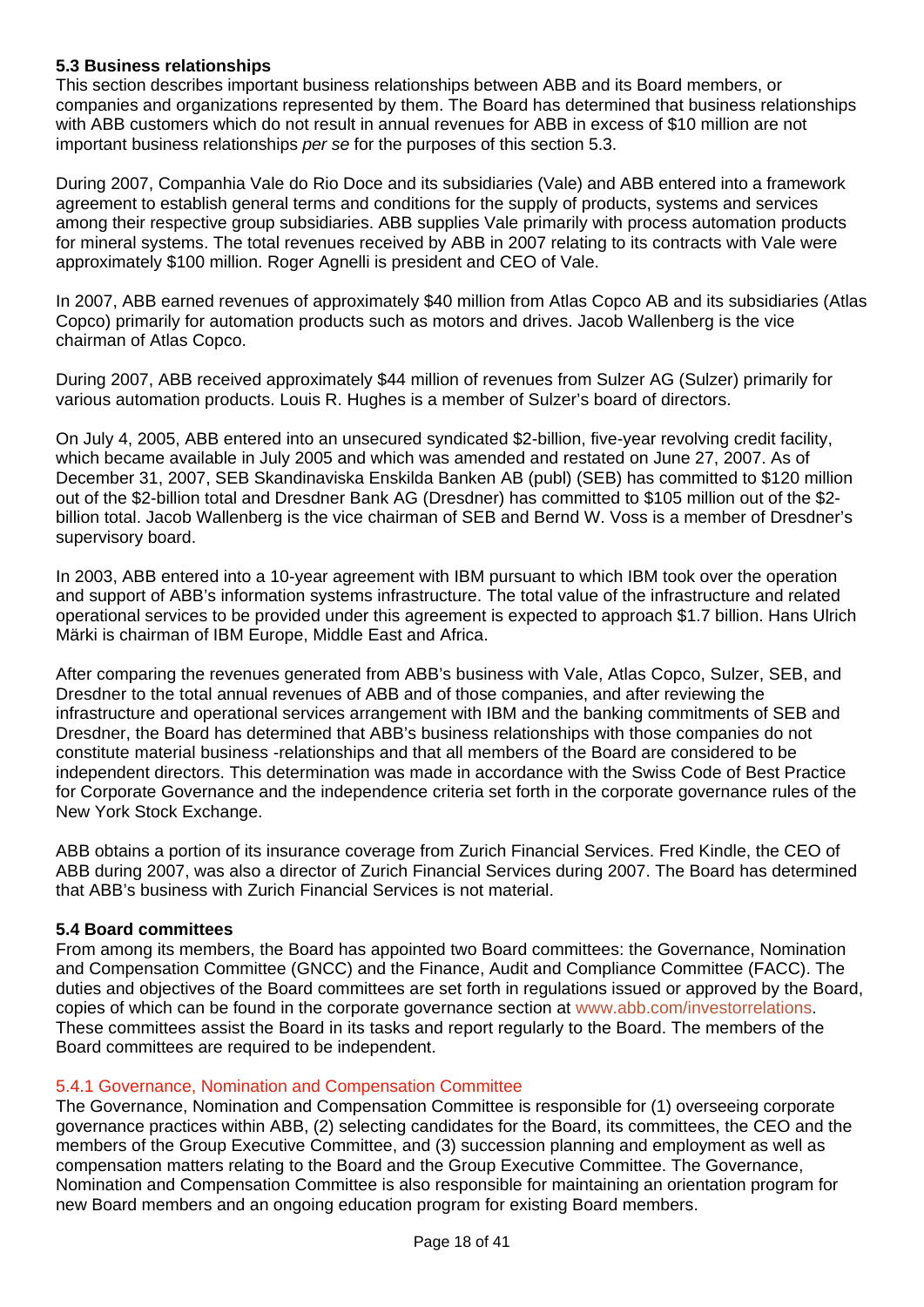# **5.3 Business relationships**

This section describes important business relationships between ABB and its Board members, or companies and organizations represented by them. The Board has determined that business relationships with ABB customers which do not result in annual revenues for ABB in excess of \$10 million are not important business relationships *per se* for the purposes of this section 5.3.

During 2007, Companhia Vale do Rio Doce and its subsidiaries (Vale) and ABB entered into a framework agreement to establish general terms and conditions for the supply of products, systems and services among their respective group subsidiaries. ABB supplies Vale primarily with process automation products for mineral systems. The total revenues received by ABB in 2007 relating to its contracts with Vale were approximately \$100 million. Roger Agnelli is president and CEO of Vale.

In 2007, ABB earned revenues of approximately \$40 million from Atlas Copco AB and its subsidiaries (Atlas Copco) primarily for automation products such as motors and drives. Jacob Wallenberg is the vice chairman of Atlas Copco.

During 2007, ABB received approximately \$44 million of revenues from Sulzer AG (Sulzer) primarily for various automation products. Louis R. Hughes is a member of Sulzer's board of directors.

On July 4, 2005, ABB entered into an unsecured syndicated \$2-billion, five-year revolving credit facility, which became available in July 2005 and which was amended and restated on June 27, 2007. As of December 31, 2007, SEB Skandinaviska Enskilda Banken AB (publ) (SEB) has committed to \$120 million out of the \$2-billion total and Dresdner Bank AG (Dresdner) has committed to \$105 million out of the \$2 billion total. Jacob Wallenberg is the vice chairman of SEB and Bernd W. Voss is a member of Dresdner's supervisory board.

In 2003, ABB entered into a 10-year agreement with IBM pursuant to which IBM took over the operation and support of ABB's information systems infrastructure. The total value of the infrastructure and related operational services to be provided under this agreement is expected to approach \$1.7 billion. Hans Ulrich Märki is chairman of IBM Europe, Middle East and Africa.

After comparing the revenues generated from ABB's business with Vale, Atlas Copco, Sulzer, SEB, and Dresdner to the total annual revenues of ABB and of those companies, and after reviewing the infrastructure and operational services arrangement with IBM and the banking commitments of SEB and Dresdner, the Board has determined that ABB's business relationships with those companies do not constitute material business -relationships and that all members of the Board are considered to be independent directors. This determination was made in accordance with the Swiss Code of Best Practice for Corporate Governance and the independence criteria set forth in the corporate governance rules of the New York Stock Exchange.

ABB obtains a portion of its insurance coverage from Zurich Financial Services. Fred Kindle, the CEO of ABB during 2007, was also a director of Zurich Financial Services during 2007. The Board has determined that ABB's business with Zurich Financial Services is not material.

## **5.4 Board committees**

From among its members, the Board has appointed two Board committees: the Governance, Nomination and Compensation Committee (GNCC) and the Finance, Audit and Compliance Committee (FACC). The duties and objectives of the Board committees are set forth in regulations issued or approved by the Board, copies of which can be found in the corporate governance section at www.abb.com/investorrelations. These committees assist the Board in its tasks and report regularly to the Board. The members of the Board committees are required to be independent.

## 5.4.1 Governance, Nomination and Compensation Committee

The Governance, Nomination and Compensation Committee is responsible for (1) overseeing corporate governance practices within ABB, (2) selecting candidates for the Board, its committees, the CEO and the members of the Group Executive Committee, and (3) succession planning and employment as well as compensation matters relating to the Board and the Group Executive Committee. The Governance, Nomination and Compensation Committee is also responsible for maintaining an orientation program for new Board members and an ongoing education program for existing Board members.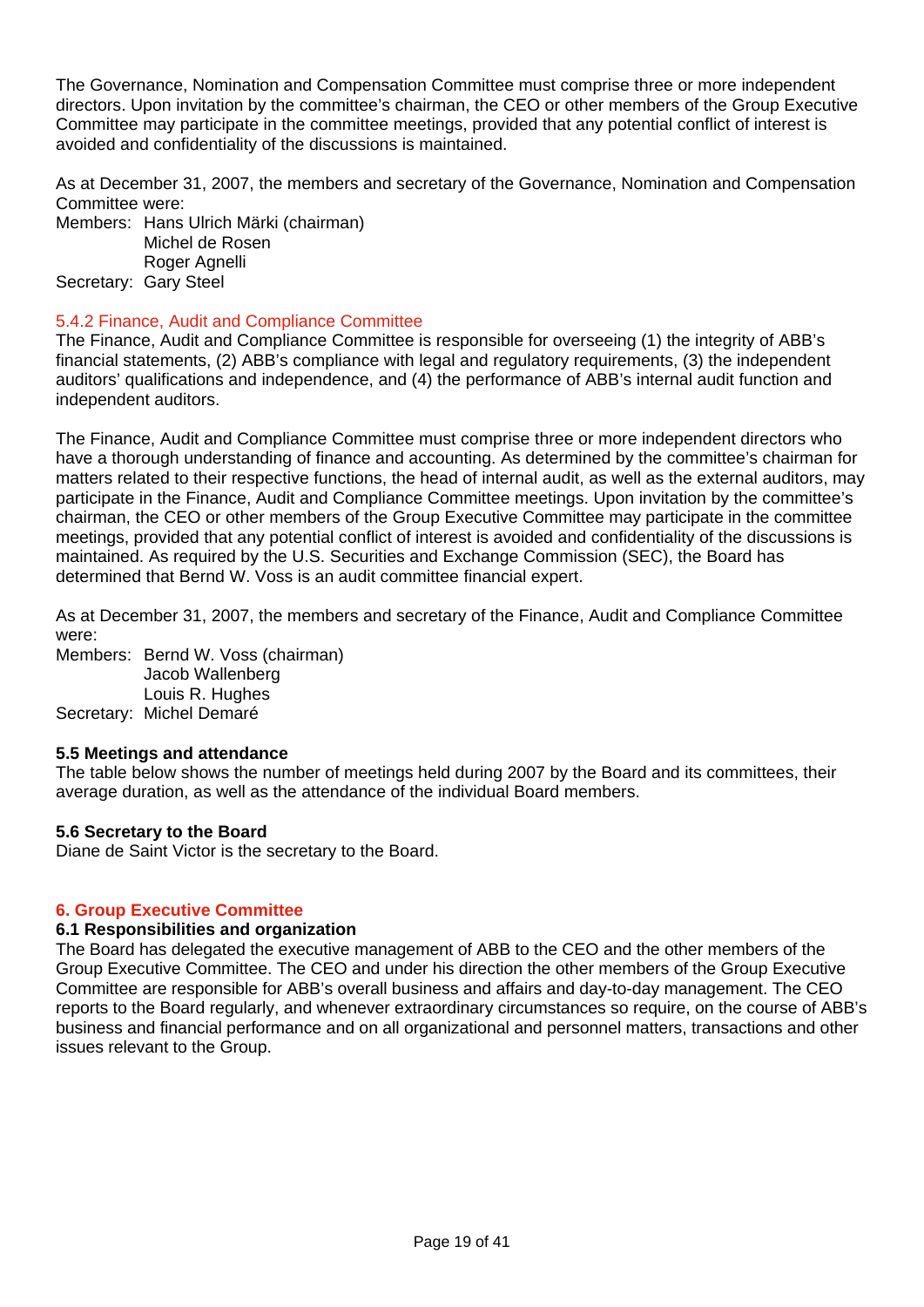The Governance, Nomination and Compensation Committee must comprise three or more independent directors. Upon invitation by the committee's chairman, the CEO or other members of the Group Executive Committee may participate in the committee meetings, provided that any potential conflict of interest is avoided and confidentiality of the discussions is maintained.

As at December 31, 2007, the members and secretary of the Governance, Nomination and Compensation Committee were:

Members: Hans Ulrich Märki (chairman) Michel de Rosen Roger Agnelli Secretary: Gary Steel

## 5.4.2 Finance, Audit and Compliance Committee

The Finance, Audit and Compliance Committee is responsible for overseeing (1) the integrity of ABB's financial statements, (2) ABB's compliance with legal and regulatory requirements, (3) the independent auditors' qualifications and independence, and (4) the performance of ABB's internal audit function and independent auditors.

The Finance, Audit and Compliance Committee must comprise three or more independent directors who have a thorough understanding of finance and accounting. As determined by the committee's chairman for matters related to their respective functions, the head of internal audit, as well as the external auditors, may participate in the Finance, Audit and Compliance Committee meetings. Upon invitation by the committee's chairman, the CEO or other members of the Group Executive Committee may participate in the committee meetings, provided that any potential conflict of interest is avoided and confidentiality of the discussions is maintained. As required by the U.S. Securities and Exchange Commission (SEC), the Board has determined that Bernd W. Voss is an audit committee financial expert.

As at December 31, 2007, the members and secretary of the Finance, Audit and Compliance Committee were:

Members: Bernd W. Voss (chairman) Jacob Wallenberg Louis R. Hughes Secretary: Michel Demaré

#### **5.5 Meetings and attendance**

The table below shows the number of meetings held during 2007 by the Board and its committees, their average duration, as well as the attendance of the individual Board members.

#### **5.6 Secretary to the Board**

Diane de Saint Victor is the secretary to the Board.

#### **6. Group Executive Committee**

#### **6.1 Responsibilities and organization**

The Board has delegated the executive management of ABB to the CEO and the other members of the Group Executive Committee. The CEO and under his direction the other members of the Group Executive Committee are responsible for ABB's overall business and affairs and day-to-day management. The CEO reports to the Board regularly, and whenever extraordinary circumstances so require, on the course of ABB's business and financial performance and on all organizational and personnel matters, transactions and other issues relevant to the Group.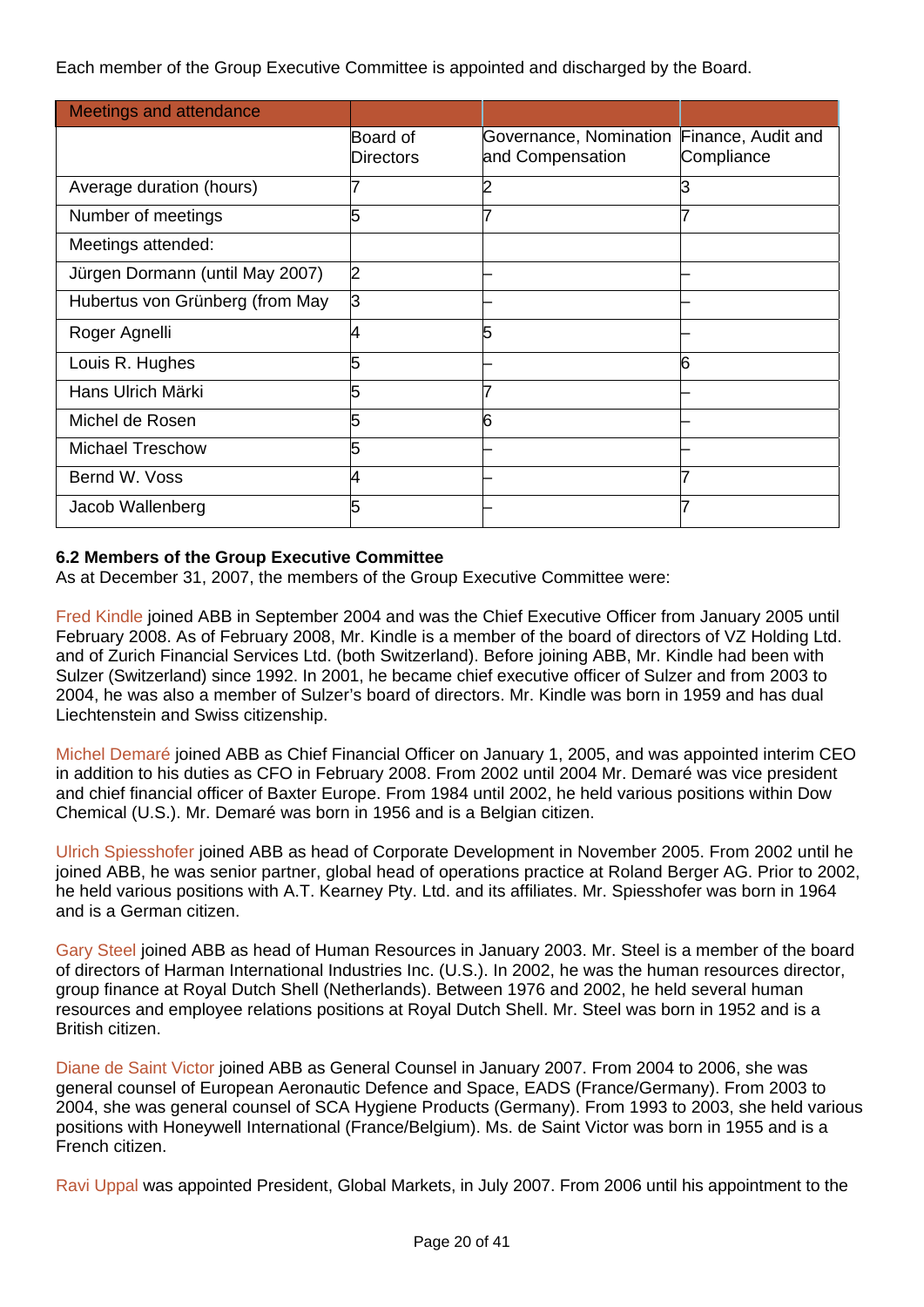Each member of the Group Executive Committee is appointed and discharged by the Board.

| <b>Meetings and attendance</b>  |                                     |                                            |                                  |
|---------------------------------|-------------------------------------|--------------------------------------------|----------------------------------|
|                                 | <b>Board of</b><br><b>Directors</b> | Governance, Nomination<br>and Compensation | Finance, Audit and<br>Compliance |
| Average duration (hours)        |                                     |                                            |                                  |
| Number of meetings              | 5                                   |                                            |                                  |
| Meetings attended:              |                                     |                                            |                                  |
| Jürgen Dormann (until May 2007) | 2                                   |                                            |                                  |
| Hubertus von Grünberg (from May | З                                   |                                            |                                  |
| Roger Agnelli                   |                                     |                                            |                                  |
| Louis R. Hughes                 | 5                                   |                                            | 6                                |
| Hans Ulrich Märki               | 5                                   |                                            |                                  |
| Michel de Rosen                 | 5                                   | 6                                          |                                  |
| <b>Michael Treschow</b>         | 5                                   |                                            |                                  |
| Bernd W. Voss                   | 4                                   |                                            |                                  |
| Jacob Wallenberg                | 5                                   |                                            |                                  |

# **6.2 Members of the Group Executive Committee**

As at December 31, 2007, the members of the Group Executive Committee were:

Fred Kindle joined ABB in September 2004 and was the Chief Executive Officer from January 2005 until February 2008. As of February 2008, Mr. Kindle is a member of the board of directors of VZ Holding Ltd. and of Zurich Financial Services Ltd. (both Switzerland). Before joining ABB, Mr. Kindle had been with Sulzer (Switzerland) since 1992. In 2001, he became chief executive officer of Sulzer and from 2003 to 2004, he was also a member of Sulzer's board of directors. Mr. Kindle was born in 1959 and has dual Liechtenstein and Swiss citizenship.

Michel Demaré joined ABB as Chief Financial Officer on January 1, 2005, and was appointed interim CEO in addition to his duties as CFO in February 2008. From 2002 until 2004 Mr. Demaré was vice president and chief financial officer of Baxter Europe. From 1984 until 2002, he held various positions within Dow Chemical (U.S.). Mr. Demaré was born in 1956 and is a Belgian citizen.

Ulrich Spiesshofer joined ABB as head of Corporate Development in November 2005. From 2002 until he joined ABB, he was senior partner, global head of operations practice at Roland Berger AG. Prior to 2002, he held various positions with A.T. Kearney Pty. Ltd. and its affiliates. Mr. Spiesshofer was born in 1964 and is a German citizen.

Gary Steel joined ABB as head of Human Resources in January 2003. Mr. Steel is a member of the board of directors of Harman International Industries Inc. (U.S.). In 2002, he was the human resources director, group finance at Royal Dutch Shell (Netherlands). Between 1976 and 2002, he held several human resources and employee relations positions at Royal Dutch Shell. Mr. Steel was born in 1952 and is a British citizen.

Diane de Saint Victor joined ABB as General Counsel in January 2007. From 2004 to 2006, she was general counsel of European Aeronautic Defence and Space, EADS (France/Germany). From 2003 to 2004, she was general counsel of SCA Hygiene Products (Germany). From 1993 to 2003, she held various positions with Honeywell International (France/Belgium). Ms. de Saint Victor was born in 1955 and is a French citizen.

Ravi Uppal was appointed President, Global Markets, in July 2007. From 2006 until his appointment to the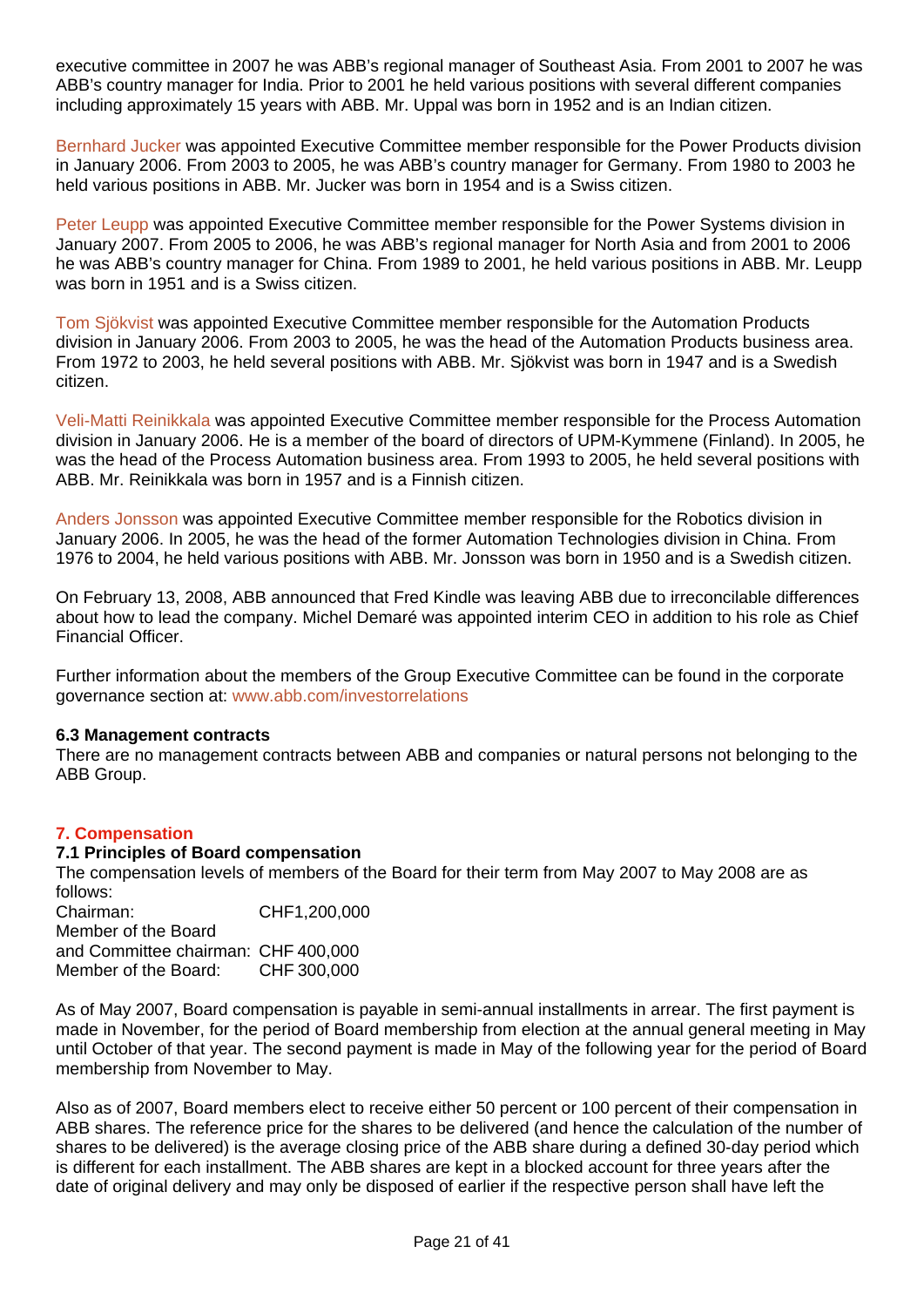executive committee in 2007 he was ABB's regional manager of Southeast Asia. From 2001 to 2007 he was ABB's country manager for India. Prior to 2001 he held various positions with several different companies including approximately 15 years with ABB. Mr. Uppal was born in 1952 and is an Indian citizen.

Bernhard Jucker was appointed Executive Committee member responsible for the Power Products division in January 2006. From 2003 to 2005, he was ABB's country manager for Germany. From 1980 to 2003 he held various positions in ABB. Mr. Jucker was born in 1954 and is a Swiss citizen.

Peter Leupp was appointed Executive Committee member responsible for the Power Systems division in January 2007. From 2005 to 2006, he was ABB's regional manager for North Asia and from 2001 to 2006 he was ABB's country manager for China. From 1989 to 2001, he held various positions in ABB. Mr. Leupp was born in 1951 and is a Swiss citizen.

Tom Sjökvist was appointed Executive Committee member responsible for the Automation Products division in January 2006. From 2003 to 2005, he was the head of the Automation Products business area. From 1972 to 2003, he held several positions with ABB. Mr. Sjökvist was born in 1947 and is a Swedish citizen.

Veli-Matti Reinikkala was appointed Executive Committee member responsible for the Process Automation division in January 2006. He is a member of the board of directors of UPM-Kymmene (Finland). In 2005, he was the head of the Process Automation business area. From 1993 to 2005, he held several positions with ABB. Mr. Reinikkala was born in 1957 and is a Finnish citizen.

Anders Jonsson was appointed Executive Committee member responsible for the Robotics division in January 2006. In 2005, he was the head of the former Automation Technologies division in China. From 1976 to 2004, he held various positions with ABB. Mr. Jonsson was born in 1950 and is a Swedish citizen.

On February 13, 2008, ABB announced that Fred Kindle was leaving ABB due to irreconcilable differences about how to lead the company. Michel Demaré was appointed interim CEO in addition to his role as Chief Financial Officer.

Further information about the members of the Group Executive Committee can be found in the corporate governance section at: www.abb.com/investorrelations

#### **6.3 Management contracts**

There are no management contracts between ABB and companies or natural persons not belonging to the ABB Group.

## **7. Compensation**

#### **7.1 Principles of Board compensation**

The compensation levels of members of the Board for their term from May 2007 to May 2008 are as follows:

Chairman: CHF1,200,000 Member of the Board and Committee chairman: CHF 400,000 Member of the Board: CHF 300,000

As of May 2007, Board compensation is payable in semi-annual installments in arrear. The first payment is made in November, for the period of Board membership from election at the annual general meeting in May until October of that year. The second payment is made in May of the following year for the period of Board membership from November to May.

Also as of 2007, Board members elect to receive either 50 percent or 100 percent of their compensation in ABB shares. The reference price for the shares to be delivered (and hence the calculation of the number of shares to be delivered) is the average closing price of the ABB share during a defined 30-day period which is different for each installment. The ABB shares are kept in a blocked account for three years after the date of original delivery and may only be disposed of earlier if the respective person shall have left the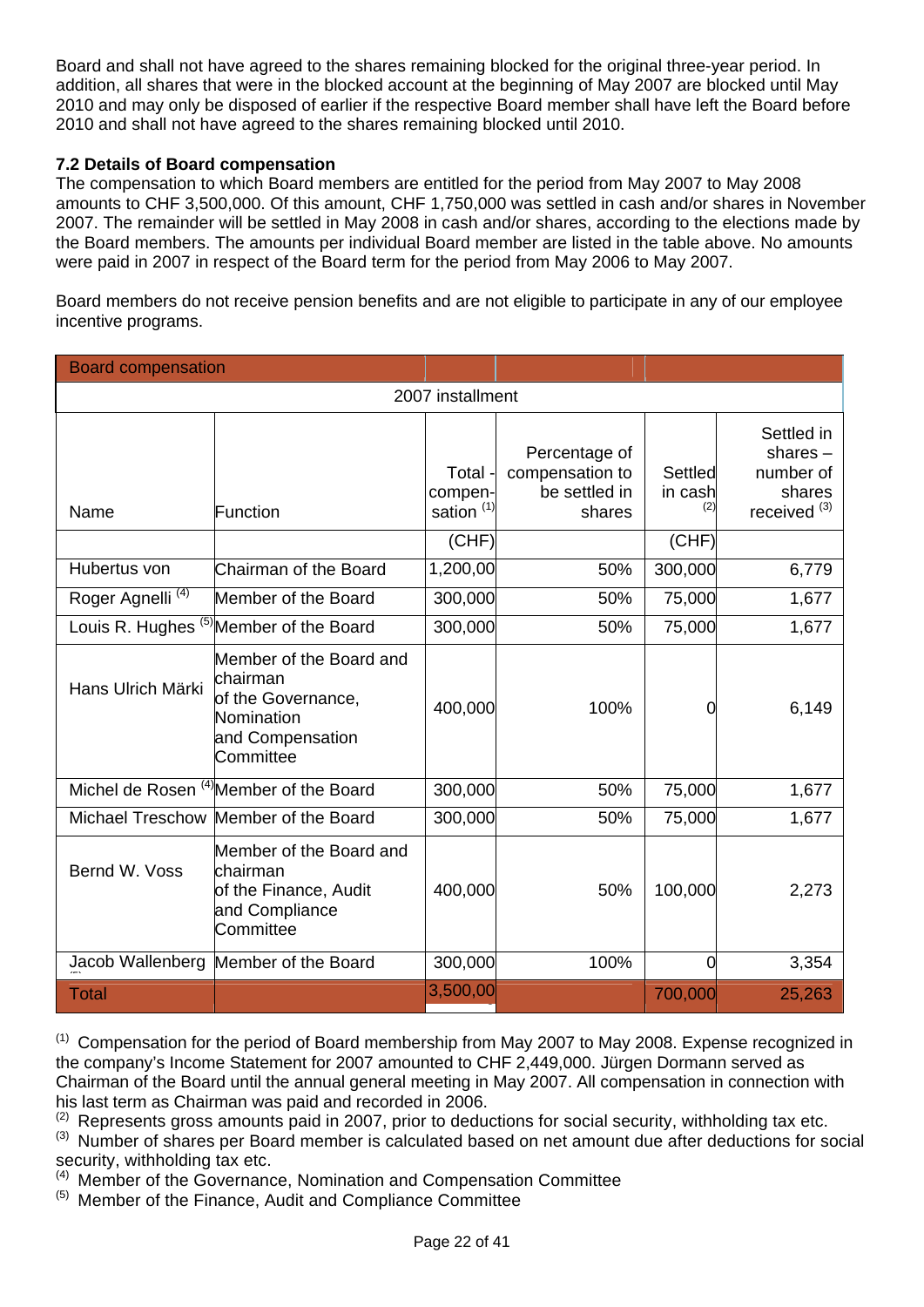Board and shall not have agreed to the shares remaining blocked for the original three-year period. In addition, all shares that were in the blocked account at the beginning of May 2007 are blocked until May 2010 and may only be disposed of earlier if the respective Board member shall have left the Board before 2010 and shall not have agreed to the shares remaining blocked until 2010.

# **7.2 Details of Board compensation**

The compensation to which Board members are entitled for the period from May 2007 to May 2008 amounts to CHF 3,500,000. Of this amount, CHF 1,750,000 was settled in cash and/or shares in November 2007. The remainder will be settled in May 2008 in cash and/or shares, according to the elections made by the Board members. The amounts per individual Board member are listed in the table above. No amounts were paid in 2007 in respect of the Board term for the period from May 2006 to May 2007.

Board members do not receive pension benefits and are not eligible to participate in any of our employee incentive programs.

| <b>Board compensation</b>    |                                                                                                          |                                             |                                                             |                                  |                                                                            |
|------------------------------|----------------------------------------------------------------------------------------------------------|---------------------------------------------|-------------------------------------------------------------|----------------------------------|----------------------------------------------------------------------------|
|                              |                                                                                                          | 2007 installment                            |                                                             |                                  |                                                                            |
| Name                         | Function                                                                                                 | Total -<br>compen-<br>sation <sup>(1)</sup> | Percentage of<br>compensation to<br>be settled in<br>shares | <b>Settled</b><br>in cash<br>(2) | Settled in<br>shares $-$<br>number of<br>shares<br>received <sup>(3)</sup> |
|                              |                                                                                                          | (CHF)                                       |                                                             | (CHF)                            |                                                                            |
| Hubertus von                 | Chairman of the Board                                                                                    | 1,200,00                                    | 50%                                                         | 300,000                          | 6,779                                                                      |
| Roger Agnelli <sup>(4)</sup> | Member of the Board                                                                                      | 300,000                                     | 50%                                                         | 75,000                           | 1,677                                                                      |
|                              | Louis R. Hughes (5) Member of the Board                                                                  | 300,000                                     | 50%                                                         | 75,000                           | 1,677                                                                      |
| Hans Ulrich Märki            | Member of the Board and<br>chairman<br>of the Governance,<br>Nomination<br>and Compensation<br>Committee | 400,000                                     | 100%                                                        | 0                                | 6,149                                                                      |
|                              | Michel de Rosen <sup>(4)</sup> Member of the Board                                                       | 300,000                                     | 50%                                                         | 75,000                           | 1,677                                                                      |
|                              | Michael Treschow Member of the Board                                                                     | 300,000                                     | 50%                                                         | 75,000                           | 1,677                                                                      |
| Bernd W. Voss                | Member of the Board and<br>lchairman<br>of the Finance, Audit<br>and Compliance<br>Committee             | 400,000                                     | 50%                                                         | 100,000                          | 2,273                                                                      |
| Jacob Wallenberg             | Member of the Board                                                                                      | 300,000                                     | 100%                                                        | $\overline{0}$                   | 3,354                                                                      |
| <b>Total</b>                 |                                                                                                          | 3,500,00                                    |                                                             | 700,000                          | 25,263                                                                     |

(1) Compensation for the period of Board membership from May 2007 to May 2008. Expense recognized in the company's Income Statement for 2007 amounted to CHF 2,449,000. Jürgen Dormann served as Chairman of the Board until the annual general meeting in May 2007. All compensation in connection with his last term as Chairman was paid and recorded in 2006.

 $(2)$  Represents gross amounts paid in 2007, prior to deductions for social security, withholding tax etc.

(3) Number of shares per Board member is calculated based on net amount due after deductions for social security, withholding tax etc.

 $(4)$  Member of the Governance, Nomination and Compensation Committee

(5) Member of the Finance, Audit and Compliance Committee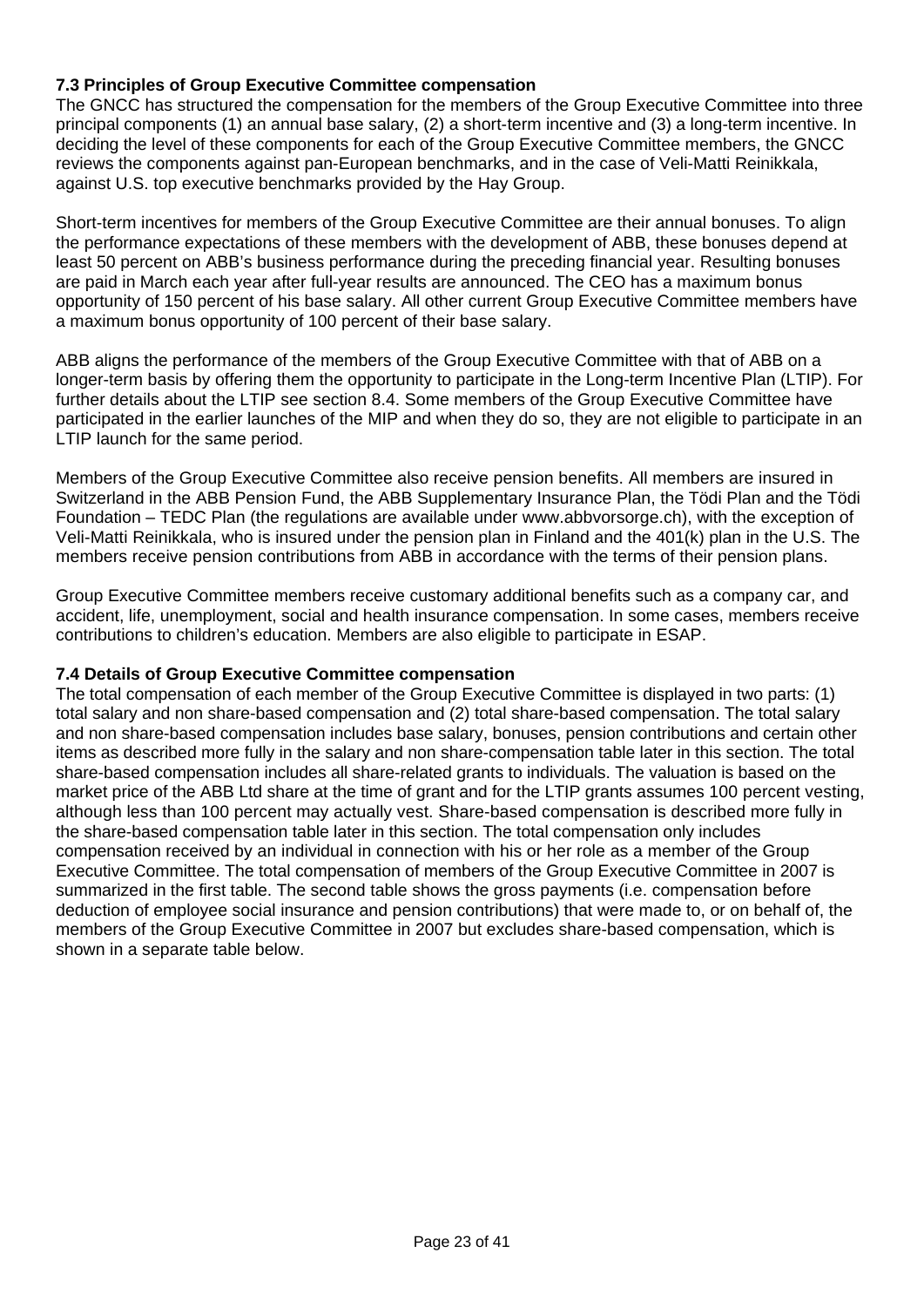# **7.3 Principles of Group Executive Committee compensation**

The GNCC has structured the compensation for the members of the Group Executive Committee into three principal components (1) an annual base salary, (2) a short-term incentive and (3) a long-term incentive. In deciding the level of these components for each of the Group Executive Committee members, the GNCC reviews the components against pan-European benchmarks, and in the case of Veli-Matti Reinikkala, against U.S. top executive benchmarks provided by the Hay Group.

Short-term incentives for members of the Group Executive Committee are their annual bonuses. To align the performance expectations of these members with the development of ABB, these bonuses depend at least 50 percent on ABB's business performance during the preceding financial year. Resulting bonuses are paid in March each year after full-year results are announced. The CEO has a maximum bonus opportunity of 150 percent of his base salary. All other current Group Executive Committee members have a maximum bonus opportunity of 100 percent of their base salary.

ABB aligns the performance of the members of the Group Executive Committee with that of ABB on a longer-term basis by offering them the opportunity to participate in the Long-term Incentive Plan (LTIP). For further details about the LTIP see section 8.4. Some members of the Group Executive Committee have participated in the earlier launches of the MIP and when they do so, they are not eligible to participate in an LTIP launch for the same period.

Members of the Group Executive Committee also receive pension benefits. All members are insured in Switzerland in the ABB Pension Fund, the ABB Supplementary Insurance Plan, the Tödi Plan and the Tödi Foundation – TEDC Plan (the regulations are available under www.abbvorsorge.ch), with the exception of Veli-Matti Reinikkala, who is insured under the pension plan in Finland and the 401(k) plan in the U.S. The members receive pension contributions from ABB in accordance with the terms of their pension plans.

Group Executive Committee members receive customary additional benefits such as a company car, and accident, life, unemployment, social and health insurance compensation. In some cases, members receive contributions to children's education. Members are also eligible to participate in ESAP.

## **7.4 Details of Group Executive Committee compensation**

The total compensation of each member of the Group Executive Committee is displayed in two parts: (1) total salary and non share-based compensation and (2) total share-based compensation. The total salary and non share-based compensation includes base salary, bonuses, pension contributions and certain other items as described more fully in the salary and non share-compensation table later in this section. The total share-based compensation includes all share-related grants to individuals. The valuation is based on the market price of the ABB Ltd share at the time of grant and for the LTIP grants assumes 100 percent vesting. although less than 100 percent may actually vest. Share-based compensation is described more fully in the share-based compensation table later in this section. The total compensation only includes compensation received by an individual in connection with his or her role as a member of the Group Executive Committee. The total compensation of members of the Group Executive Committee in 2007 is summarized in the first table. The second table shows the gross payments (i.e. compensation before deduction of employee social insurance and pension contributions) that were made to, or on behalf of, the members of the Group Executive Committee in 2007 but excludes share-based compensation, which is shown in a separate table below.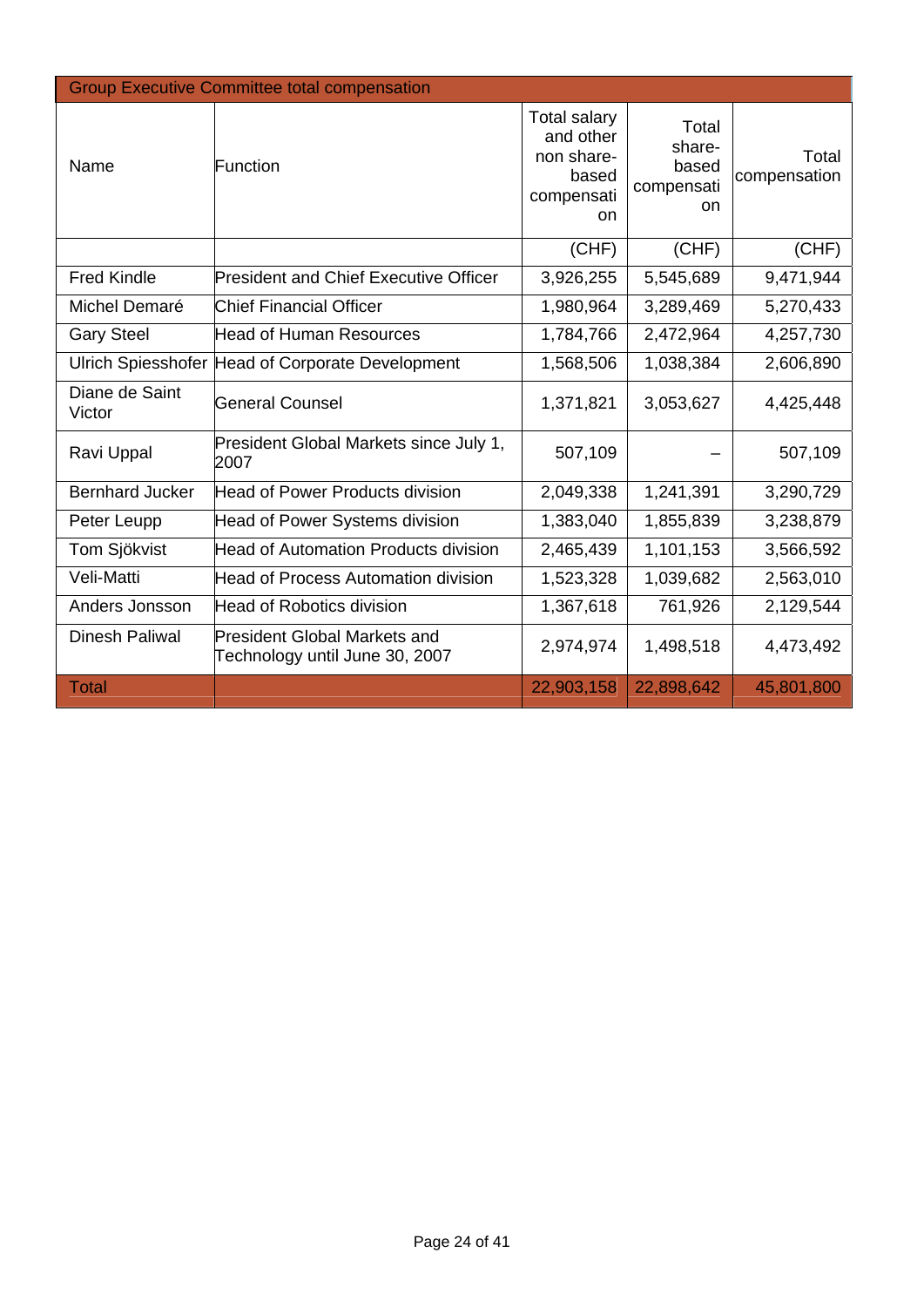| <b>Group Executive Committee total compensation</b> |                                                                       |                                                                             |                                              |                       |  |  |  |
|-----------------------------------------------------|-----------------------------------------------------------------------|-----------------------------------------------------------------------------|----------------------------------------------|-----------------------|--|--|--|
| Name                                                | Function                                                              | <b>Total salary</b><br>and other<br>non share-<br>based<br>compensati<br>on | Total<br>share-<br>based<br>compensati<br>on | Total<br>compensation |  |  |  |
|                                                     |                                                                       | (CHF)                                                                       | (CHF)                                        | (CHF)                 |  |  |  |
| <b>Fred Kindle</b>                                  | <b>President and Chief Executive Officer</b>                          | 3,926,255                                                                   | 5,545,689                                    | 9,471,944             |  |  |  |
| Michel Demaré                                       | <b>Chief Financial Officer</b>                                        | 1,980,964                                                                   | 3,289,469                                    | 5,270,433             |  |  |  |
| <b>Gary Steel</b>                                   | <b>Head of Human Resources</b>                                        | 1,784,766                                                                   | 2,472,964                                    | 4,257,730             |  |  |  |
|                                                     | Ulrich Spiesshofer Head of Corporate Development                      | 1,568,506                                                                   | 1,038,384                                    | 2,606,890             |  |  |  |
| Diane de Saint<br>Victor                            | <b>General Counsel</b>                                                | 1,371,821                                                                   | 3,053,627                                    | 4,425,448             |  |  |  |
| Ravi Uppal                                          | President Global Markets since July 1,<br>2007                        | 507,109                                                                     |                                              | 507,109               |  |  |  |
| <b>Bernhard Jucker</b>                              | Head of Power Products division                                       | 2,049,338                                                                   | 1,241,391                                    | 3,290,729             |  |  |  |
| Peter Leupp                                         | Head of Power Systems division                                        | 1,383,040                                                                   | 1,855,839                                    | 3,238,879             |  |  |  |
| Tom Sjökvist                                        | <b>Head of Automation Products division</b>                           | 2,465,439                                                                   | 1,101,153                                    | 3,566,592             |  |  |  |
| Veli-Matti                                          | <b>Head of Process Automation division</b>                            | 1,523,328                                                                   | 1,039,682                                    | 2,563,010             |  |  |  |
| Anders Jonsson                                      | <b>Head of Robotics division</b>                                      | 1,367,618                                                                   | 761,926                                      | 2,129,544             |  |  |  |
| <b>Dinesh Paliwal</b>                               | <b>President Global Markets and</b><br>Technology until June 30, 2007 | 2,974,974                                                                   | 1,498,518                                    | 4,473,492             |  |  |  |
| <b>Total</b>                                        |                                                                       | 22,903,158                                                                  | 22,898,642                                   | 45,801,800            |  |  |  |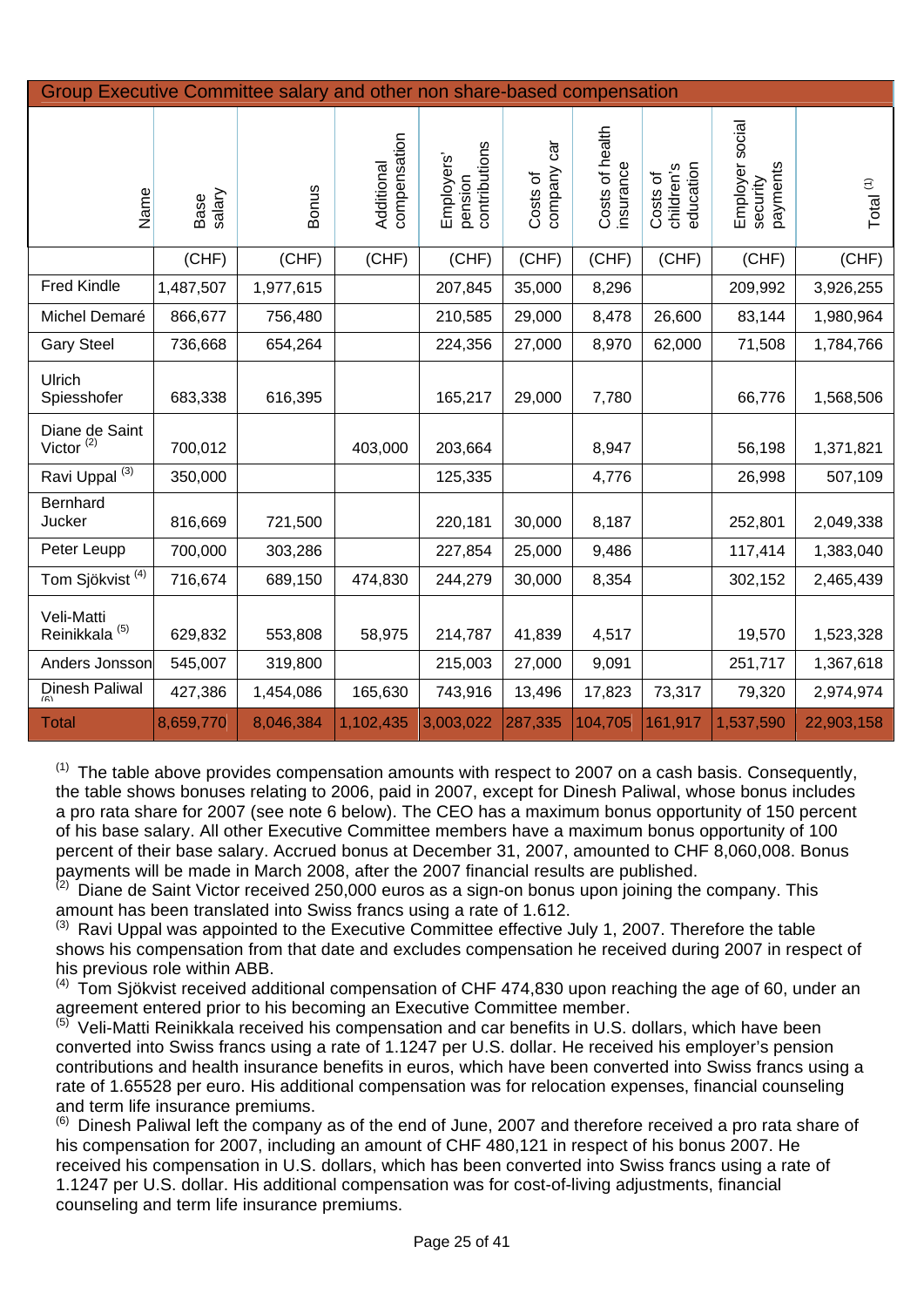| Group Executive Committee salary and other non share-based compensation |                |              |                            |                                       |                            |                              |                                     |                                         |             |
|-------------------------------------------------------------------------|----------------|--------------|----------------------------|---------------------------------------|----------------------------|------------------------------|-------------------------------------|-----------------------------------------|-------------|
| Name                                                                    | salary<br>Base | <b>Bonus</b> | compensation<br>Additional | pension<br>contributions<br>Employers | car<br>company<br>Costs of | Costs of health<br>insurance | children's<br>education<br>Costs of | Employer social<br>payments<br>security | Total $(1)$ |
|                                                                         | (CHF)          | (CHF)        | (CHF)                      | (CHF)                                 | (CHF)                      | (CHF)                        | (CHF)                               | (CHF)                                   | (CHF)       |
| <b>Fred Kindle</b>                                                      | 1,487,507      | 1,977,615    |                            | 207,845                               | 35,000                     | 8,296                        |                                     | 209,992                                 | 3,926,255   |
| Michel Demaré                                                           | 866,677        | 756,480      |                            | 210,585                               | 29,000                     | 8,478                        | 26,600                              | 83,144                                  | 1,980,964   |
| <b>Gary Steel</b>                                                       | 736,668        | 654,264      |                            | 224,356                               | 27,000                     | 8,970                        | 62,000                              | 71,508                                  | 1,784,766   |
| <b>Ulrich</b><br>Spiesshofer                                            | 683,338        | 616,395      |                            | 165,217                               | 29,000                     | 7,780                        |                                     | 66,776                                  | 1,568,506   |
| Diane de Saint<br>Victor $(2)$                                          | 700,012        |              | 403,000                    | 203,664                               |                            | 8,947                        |                                     | 56,198                                  | 1,371,821   |
| Ravi Uppal <sup>(3)</sup>                                               | 350,000        |              |                            | 125,335                               |                            | 4,776                        |                                     | 26,998                                  | 507,109     |
| Bernhard<br>Jucker                                                      | 816,669        | 721,500      |                            | 220,181                               | 30,000                     | 8,187                        |                                     | 252,801                                 | 2,049,338   |
| Peter Leupp                                                             | 700,000        | 303,286      |                            | 227,854                               | 25,000                     | 9,486                        |                                     | 117,414                                 | 1,383,040   |
| Tom Sjökvist <sup>(4)</sup>                                             | 716,674        | 689,150      | 474,830                    | 244,279                               | 30,000                     | 8,354                        |                                     | 302,152                                 | 2,465,439   |
| Veli-Matti<br>Reinikkala <sup>(5)</sup>                                 | 629,832        | 553,808      | 58,975                     | 214,787                               | 41,839                     | 4,517                        |                                     | 19,570                                  | 1,523,328   |
| Anders Jonsson                                                          | 545,007        | 319,800      |                            | 215,003                               | 27,000                     | 9,091                        |                                     | 251,717                                 | 1,367,618   |
| Dinesh Paliwal                                                          | 427,386        | 1,454,086    | 165,630                    | 743,916                               | 13,496                     | 17,823                       | 73,317                              | 79,320                                  | 2,974,974   |
| <b>Total</b>                                                            | 8,659,770      | 8,046,384    | 1,102,435                  | 3,003,022                             | 287,335                    | 104,705                      | 161,917                             | 1,537,590                               | 22,903,158  |

 $(1)$  The table above provides compensation amounts with respect to 2007 on a cash basis. Consequently, the table shows bonuses relating to 2006, paid in 2007, except for Dinesh Paliwal, whose bonus includes a pro rata share for 2007 (see note 6 below). The CEO has a maximum bonus opportunity of 150 percent of his base salary. All other Executive Committee members have a maximum bonus opportunity of 100 percent of their base salary. Accrued bonus at December 31, 2007, amounted to CHF 8,060,008. Bonus payments will be made in March 2008, after the 2007 financial results are published.

 $(2)$  Diane de Saint Victor received 250,000 euros as a sign-on bonus upon joining the company. This amount has been translated into Swiss francs using a rate of 1.612.

 $(3)$  Ravi Uppal was appointed to the Executive Committee effective July 1, 2007. Therefore the table shows his compensation from that date and excludes compensation he received during 2007 in respect of his previous role within ABB.

 $(4)$  Tom Siökvist received additional compensation of CHF 474,830 upon reaching the age of 60, under an agreement entered prior to his becoming an Executive Committee member.

 $^{(5)}$  Veli-Matti Reinikkala received his compensation and car benefits in U.S. dollars, which have been converted into Swiss francs using a rate of 1.1247 per U.S. dollar. He received his employer's pension contributions and health insurance benefits in euros, which have been converted into Swiss francs using a rate of 1.65528 per euro. His additional compensation was for relocation expenses, financial counseling and term life insurance premiums.

(6) Dinesh Paliwal left the company as of the end of June, 2007 and therefore received a pro rata share of his compensation for 2007, including an amount of CHF 480,121 in respect of his bonus 2007. He received his compensation in U.S. dollars, which has been converted into Swiss francs using a rate of 1.1247 per U.S. dollar. His additional compensation was for cost-of-living adjustments, financial counseling and term life insurance premiums.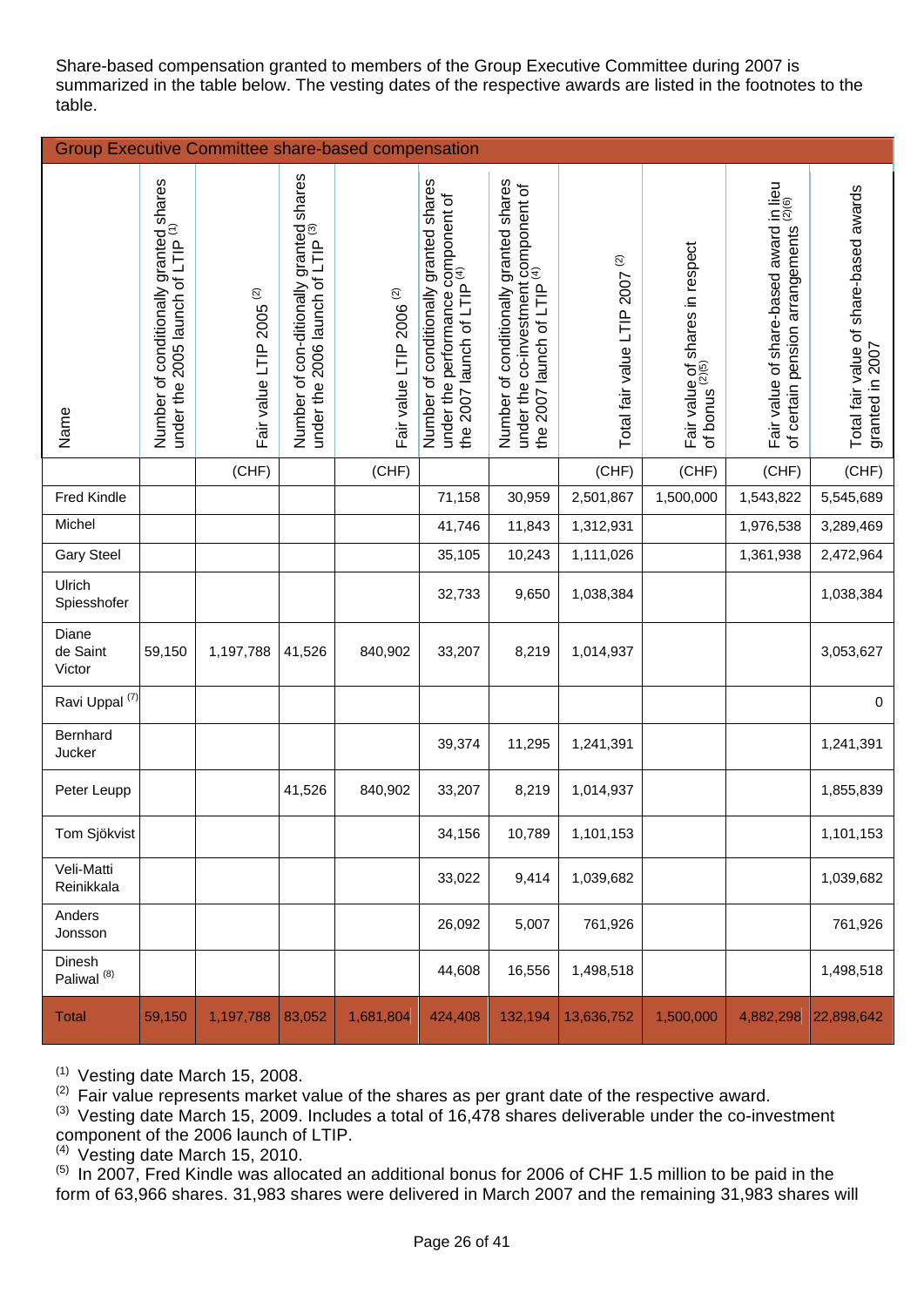Share-based compensation granted to members of the Group Executive Committee during 2007 is summarized in the table below. The vesting dates of the respective awards are listed in the footnotes to the table.

| <b>Group Executive Committee share-based compensation</b> |                                                                                        |                                            |                                                                                         |                                     |                                                                                                                        |                                                                                                                          |                                                  |                                                               |                                                                                  |                                                           |
|-----------------------------------------------------------|----------------------------------------------------------------------------------------|--------------------------------------------|-----------------------------------------------------------------------------------------|-------------------------------------|------------------------------------------------------------------------------------------------------------------------|--------------------------------------------------------------------------------------------------------------------------|--------------------------------------------------|---------------------------------------------------------------|----------------------------------------------------------------------------------|-----------------------------------------------------------|
| Name                                                      | Number of conditionally granted shares<br>under the 2005 launch of LTIP <sup>(1)</sup> | $\widehat{\varpi}$<br>Fair value LTIP 2005 | Number of con-ditionally granted shares<br>under the 2006 launch of LTIP <sup>(3)</sup> | Fair value LTIP 2006 <sup>(2)</sup> | Number of conditionally granted shares<br>under the performance component of<br>the 2007 launch of LTIP <sup>(4)</sup> | Number of conditionally granted shares<br>under the co-investment component of<br>the 2007 launch of LTIP <sup>(4)</sup> | $\widehat{\infty}$<br>Total fair value LTIP 2007 | Fair value of shares in respect<br>of bonus <sup>(2)(5)</sup> | Fair value of share-based award in lieu<br>of certain pension arrangements (2/6) | Total fair value of share-based awards<br>granted in 2007 |
|                                                           |                                                                                        | (CHF)                                      |                                                                                         | (CHF)                               |                                                                                                                        |                                                                                                                          | (CHF)                                            | (CHF)                                                         | (CHF)                                                                            | (CHF)                                                     |
| Fred Kindle                                               |                                                                                        |                                            |                                                                                         |                                     | 71,158                                                                                                                 | 30,959                                                                                                                   | 2,501,867                                        | 1,500,000                                                     | 1,543,822                                                                        | 5,545,689                                                 |
| Michel                                                    |                                                                                        |                                            |                                                                                         |                                     | 41,746                                                                                                                 | 11,843                                                                                                                   | 1,312,931                                        |                                                               | 1,976,538                                                                        | 3,289,469                                                 |
| <b>Gary Steel</b>                                         |                                                                                        |                                            |                                                                                         |                                     | 35,105                                                                                                                 | 10,243                                                                                                                   | 1,111,026                                        |                                                               | 1,361,938                                                                        | 2,472,964                                                 |
| Ulrich<br>Spiesshofer                                     |                                                                                        |                                            |                                                                                         |                                     | 32,733                                                                                                                 | 9,650                                                                                                                    | 1,038,384                                        |                                                               |                                                                                  | 1,038,384                                                 |
| Diane<br>de Saint<br>Victor                               | 59,150                                                                                 | 1,197,788                                  | 41,526                                                                                  | 840,902                             | 33,207                                                                                                                 | 8,219                                                                                                                    | 1,014,937                                        |                                                               |                                                                                  | 3,053,627                                                 |
| Ravi Uppal <sup>(7)</sup>                                 |                                                                                        |                                            |                                                                                         |                                     |                                                                                                                        |                                                                                                                          |                                                  |                                                               |                                                                                  | 0                                                         |
| Bernhard<br>Jucker                                        |                                                                                        |                                            |                                                                                         |                                     | 39,374                                                                                                                 | 11,295                                                                                                                   | 1,241,391                                        |                                                               |                                                                                  | 1,241,391                                                 |
| Peter Leupp                                               |                                                                                        |                                            | 41,526                                                                                  | 840,902                             | 33,207                                                                                                                 | 8,219                                                                                                                    | 1,014,937                                        |                                                               |                                                                                  | 1,855,839                                                 |
| Tom Sjökvist                                              |                                                                                        |                                            |                                                                                         |                                     | 34,156                                                                                                                 | 10,789                                                                                                                   | 1,101,153                                        |                                                               |                                                                                  | 1,101,153                                                 |
| Veli-Matti<br>Reinikkala                                  |                                                                                        |                                            |                                                                                         |                                     | 33,022                                                                                                                 | 9,414                                                                                                                    | 1,039,682                                        |                                                               |                                                                                  | 1,039,682                                                 |
| Anders<br>Jonsson                                         |                                                                                        |                                            |                                                                                         |                                     | 26,092                                                                                                                 | 5,007                                                                                                                    | 761,926                                          |                                                               |                                                                                  | 761,926                                                   |
| Dinesh<br>Paliwal <sup>(8)</sup>                          |                                                                                        |                                            |                                                                                         |                                     | 44,608                                                                                                                 | 16,556                                                                                                                   | 1,498,518                                        |                                                               |                                                                                  | 1,498,518                                                 |
| <b>Total</b>                                              | 59,150                                                                                 | 1,197,788                                  | 83,052                                                                                  | 1,681,804                           | 424,408                                                                                                                | 132,194                                                                                                                  | 13,636,752                                       | 1,500,000                                                     | 4,882,298                                                                        | 22,898,642                                                |

 $(1)$  Vesting date March 15, 2008.

 $(2)$  Fair value represents market value of the shares as per grant date of the respective award.

(3) Vesting date March 15, 2009. Includes a total of 16,478 shares deliverable under the co-investment component of the 2006 launch of LTIP.

 $(4)$  Vesting date March 15, 2010.

 $<sup>(5)</sup>$  In 2007, Fred Kindle was allocated an additional bonus for 2006 of CHF 1.5 million to be paid in the</sup> form of 63,966 shares. 31,983 shares were delivered in March 2007 and the remaining 31,983 shares will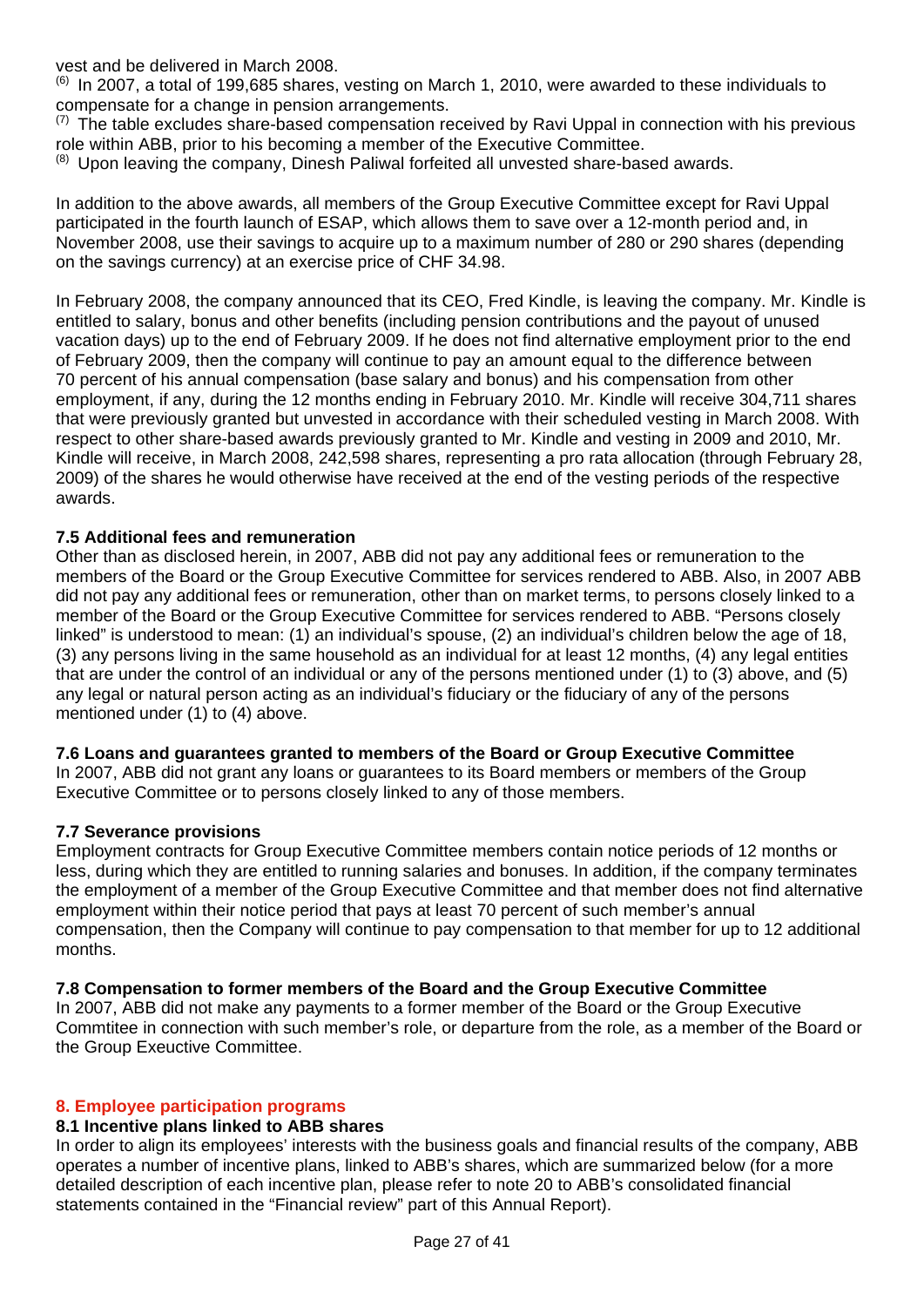vest and be delivered in March 2008.

 $^{(6)}$  In 2007, a total of 199,685 shares, vesting on March 1, 2010, were awarded to these individuals to compensate for a change in pension arrangements.

 $(7)$  The table excludes share-based compensation received by Ravi Uppal in connection with his previous role within ABB, prior to his becoming a member of the Executive Committee.

 $(8)$  Upon leaving the company, Dinesh Paliwal forfeited all unvested share-based awards.

In addition to the above awards, all members of the Group Executive Committee except for Ravi Uppal participated in the fourth launch of ESAP, which allows them to save over a 12-month period and, in November 2008, use their savings to acquire up to a maximum number of 280 or 290 shares (depending on the savings currency) at an exercise price of CHF 34.98.

In February 2008, the company announced that its CEO, Fred Kindle, is leaving the company. Mr. Kindle is entitled to salary, bonus and other benefits (including pension contributions and the payout of unused vacation days) up to the end of February 2009. If he does not find alternative employment prior to the end of February 2009, then the company will continue to pay an amount equal to the difference between 70 percent of his annual compensation (base salary and bonus) and his compensation from other employment, if any, during the 12 months ending in February 2010. Mr. Kindle will receive 304,711 shares that were previously granted but unvested in accordance with their scheduled vesting in March 2008. With respect to other share-based awards previously granted to Mr. Kindle and vesting in 2009 and 2010, Mr. Kindle will receive, in March 2008, 242,598 shares, representing a pro rata allocation (through February 28, 2009) of the shares he would otherwise have received at the end of the vesting periods of the respective awards.

## **7.5 Additional fees and remuneration**

Other than as disclosed herein, in 2007, ABB did not pay any additional fees or remuneration to the members of the Board or the Group Executive Committee for services rendered to ABB. Also, in 2007 ABB did not pay any additional fees or remuneration, other than on market terms, to persons closely linked to a member of the Board or the Group Executive Committee for services rendered to ABB. "Persons closely linked" is understood to mean: (1) an individual's spouse, (2) an individual's children below the age of 18, (3) any persons living in the same household as an individual for at least 12 months, (4) any legal entities that are under the control of an individual or any of the persons mentioned under (1) to (3) above, and (5) any legal or natural person acting as an individual's fiduciary or the fiduciary of any of the persons mentioned under (1) to (4) above.

## **7.6 Loans and guarantees granted to members of the Board or Group Executive Committee**

In 2007, ABB did not grant any loans or guarantees to its Board members or members of the Group Executive Committee or to persons closely linked to any of those members.

## **7.7 Severance provisions**

Employment contracts for Group Executive Committee members contain notice periods of 12 months or less, during which they are entitled to running salaries and bonuses. In addition, if the company terminates the employment of a member of the Group Executive Committee and that member does not find alternative employment within their notice period that pays at least 70 percent of such member's annual compensation, then the Company will continue to pay compensation to that member for up to 12 additional months.

# **7.8 Compensation to former members of the Board and the Group Executive Committee**

In 2007, ABB did not make any payments to a former member of the Board or the Group Executive Commtitee in connection with such member's role, or departure from the role, as a member of the Board or the Group Exeuctive Committee.

## **8. Employee participation programs**

## **8.1 Incentive plans linked to ABB shares**

In order to align its employees' interests with the business goals and financial results of the company, ABB operates a number of incentive plans, linked to ABB's shares, which are summarized below (for a more detailed description of each incentive plan, please refer to note 20 to ABB's consolidated financial statements contained in the "Financial review" part of this Annual Report).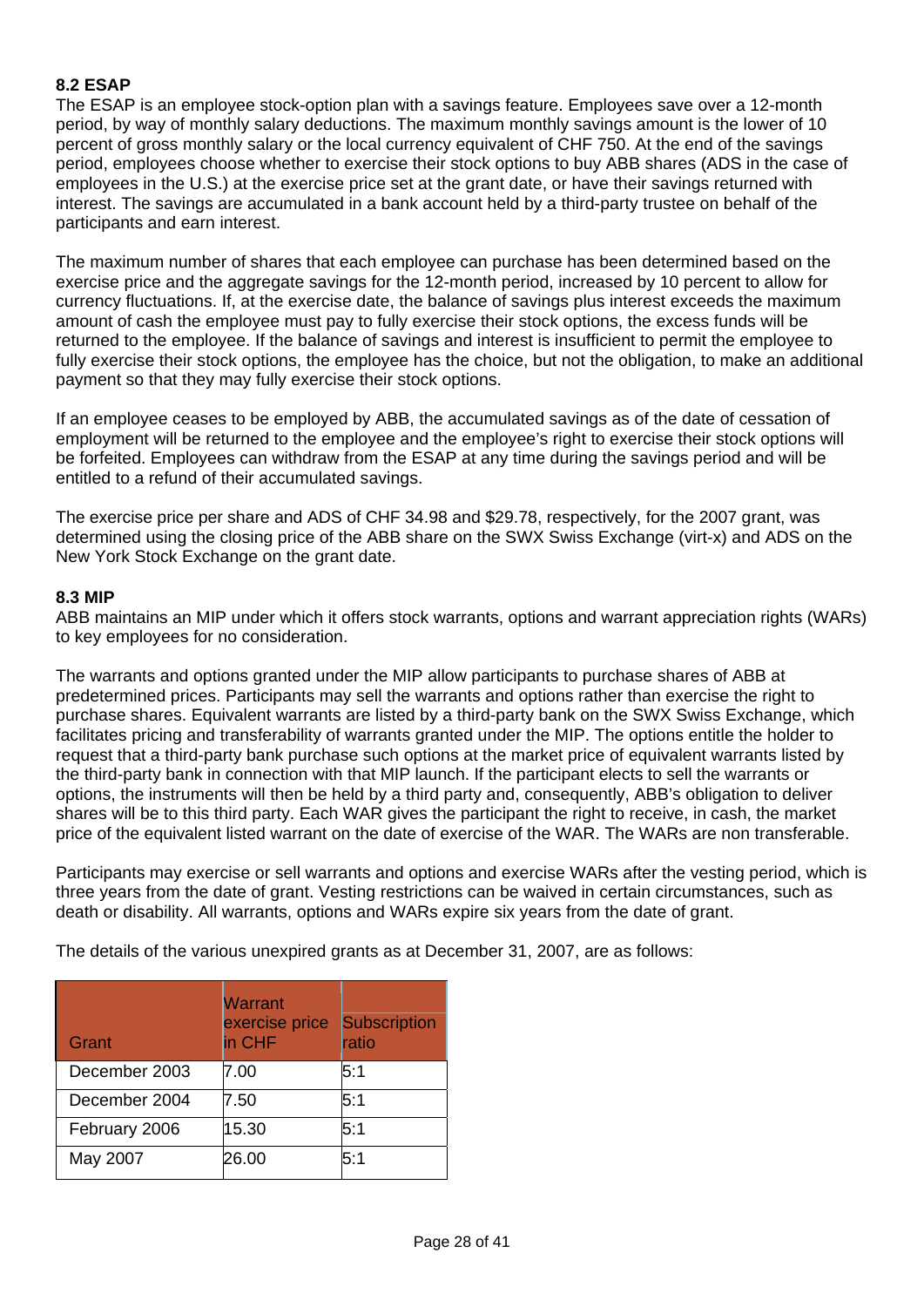# **8.2 ESAP**

The ESAP is an employee stock-option plan with a savings feature. Employees save over a 12-month period, by way of monthly salary deductions. The maximum monthly savings amount is the lower of 10 percent of gross monthly salary or the local currency equivalent of CHF 750. At the end of the savings period, employees choose whether to exercise their stock options to buy ABB shares (ADS in the case of employees in the U.S.) at the exercise price set at the grant date, or have their savings returned with interest. The savings are accumulated in a bank account held by a third-party trustee on behalf of the participants and earn interest.

The maximum number of shares that each employee can purchase has been determined based on the exercise price and the aggregate savings for the 12-month period, increased by 10 percent to allow for currency fluctuations. If, at the exercise date, the balance of savings plus interest exceeds the maximum amount of cash the employee must pay to fully exercise their stock options, the excess funds will be returned to the employee. If the balance of savings and interest is insufficient to permit the employee to fully exercise their stock options, the employee has the choice, but not the obligation, to make an additional payment so that they may fully exercise their stock options.

If an employee ceases to be employed by ABB, the accumulated savings as of the date of cessation of employment will be returned to the employee and the employee's right to exercise their stock options will be forfeited. Employees can withdraw from the ESAP at any time during the savings period and will be entitled to a refund of their accumulated savings.

The exercise price per share and ADS of CHF 34.98 and \$29.78, respectively, for the 2007 grant, was determined using the closing price of the ABB share on the SWX Swiss Exchange (virt-x) and ADS on the New York Stock Exchange on the grant date.

#### **8.3 MIP**

ABB maintains an MIP under which it offers stock warrants, options and warrant appreciation rights (WARs) to key employees for no consideration.

The warrants and options granted under the MIP allow participants to purchase shares of ABB at predetermined prices. Participants may sell the warrants and options rather than exercise the right to purchase shares. Equivalent warrants are listed by a third-party bank on the SWX Swiss Exchange, which facilitates pricing and transferability of warrants granted under the MIP. The options entitle the holder to request that a third-party bank purchase such options at the market price of equivalent warrants listed by the third-party bank in connection with that MIP launch. If the participant elects to sell the warrants or options, the instruments will then be held by a third party and, consequently, ABB's obligation to deliver shares will be to this third party. Each WAR gives the participant the right to receive, in cash, the market price of the equivalent listed warrant on the date of exercise of the WAR. The WARs are non transferable.

Participants may exercise or sell warrants and options and exercise WARs after the vesting period, which is three years from the date of grant. Vesting restrictions can be waived in certain circumstances, such as death or disability. All warrants, options and WARs expire six years from the date of grant.

The details of the various unexpired grants as at December 31, 2007, are as follows:

| Grant         | Warrant<br>exercise price<br>in CHF | <b>Subscription</b><br>ratio |
|---------------|-------------------------------------|------------------------------|
| December 2003 | 7.00                                | 5:1                          |
| December 2004 | 7.50                                | 5:1                          |
| February 2006 | 15.30                               | 5:1                          |
| May 2007      | 26.00                               | 5:1                          |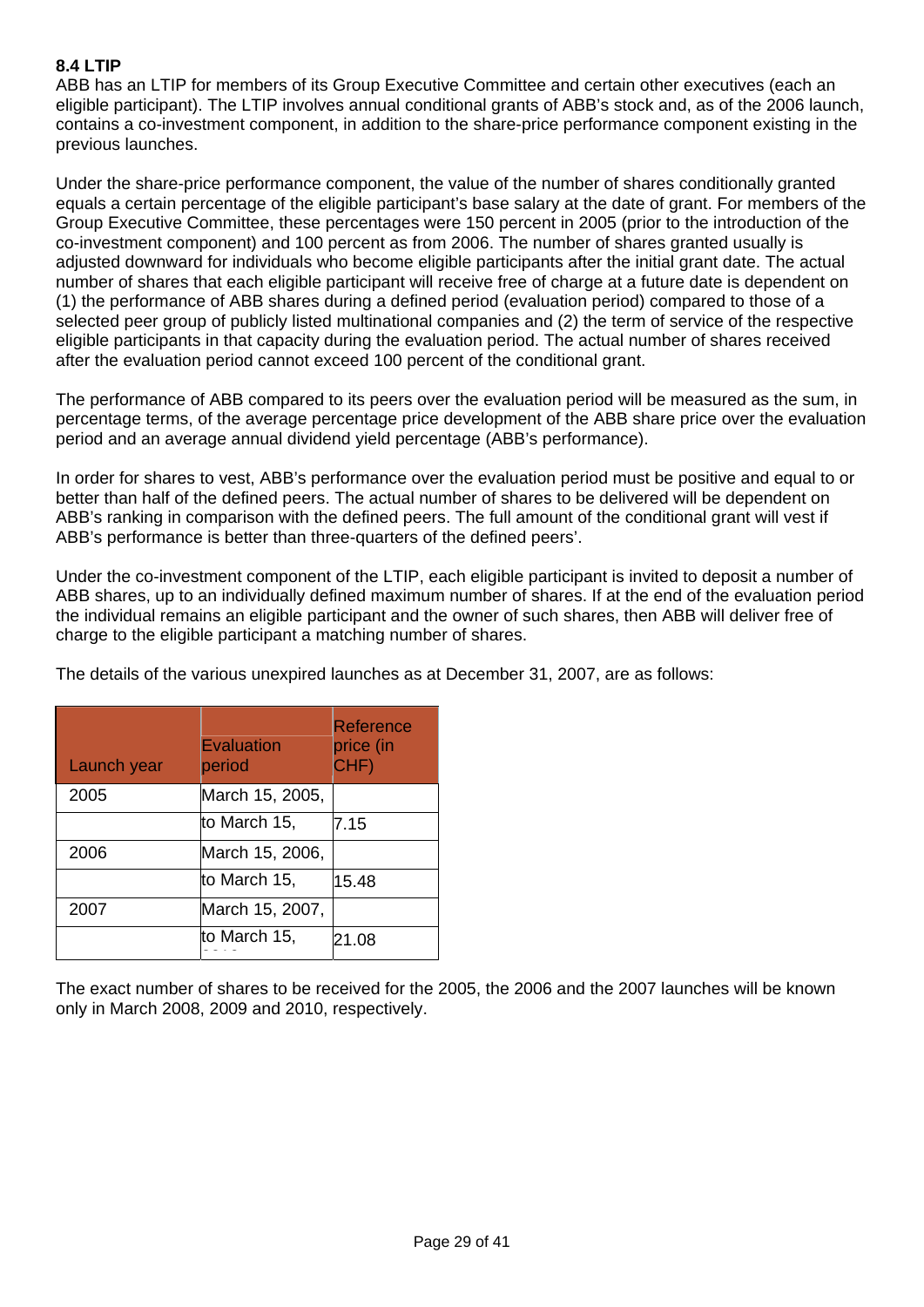# **8.4 LTIP**

ABB has an LTIP for members of its Group Executive Committee and certain other executives (each an eligible participant). The LTIP involves annual conditional grants of ABB's stock and, as of the 2006 launch, contains a co-investment component, in addition to the share-price performance component existing in the previous launches.

Under the share-price performance component, the value of the number of shares conditionally granted equals a certain percentage of the eligible participant's base salary at the date of grant. For members of the Group Executive Committee, these percentages were 150 percent in 2005 (prior to the introduction of the co-investment component) and 100 percent as from 2006. The number of shares granted usually is adjusted downward for individuals who become eligible participants after the initial grant date. The actual number of shares that each eligible participant will receive free of charge at a future date is dependent on (1) the performance of ABB shares during a defined period (evaluation period) compared to those of a selected peer group of publicly listed multinational companies and (2) the term of service of the respective eligible participants in that capacity during the evaluation period. The actual number of shares received after the evaluation period cannot exceed 100 percent of the conditional grant.

The performance of ABB compared to its peers over the evaluation period will be measured as the sum, in percentage terms, of the average percentage price development of the ABB share price over the evaluation period and an average annual dividend yield percentage (ABB's performance).

In order for shares to vest, ABB's performance over the evaluation period must be positive and equal to or better than half of the defined peers. The actual number of shares to be delivered will be dependent on ABB's ranking in comparison with the defined peers. The full amount of the conditional grant will vest if ABB's performance is better than three-quarters of the defined peers'.

Under the co-investment component of the LTIP, each eligible participant is invited to deposit a number of ABB shares, up to an individually defined maximum number of shares. If at the end of the evaluation period the individual remains an eligible participant and the owner of such shares, then ABB will deliver free of charge to the eligible participant a matching number of shares.

The details of the various unexpired launches as at December 31, 2007, are as follows:

| Launch year | <b>Evaluation</b><br>period | <b>Reference</b><br>price (in<br>CHF) |
|-------------|-----------------------------|---------------------------------------|
| 2005        | March 15, 2005,             |                                       |
|             | to March 15,                | 7.15                                  |
| 2006        | March 15, 2006,             |                                       |
|             | to March 15,                | 15.48                                 |
| 2007        | March 15, 2007,             |                                       |
|             | to March 15,                | 21.08                                 |

The exact number of shares to be received for the 2005, the 2006 and the 2007 launches will be known only in March 2008, 2009 and 2010, respectively.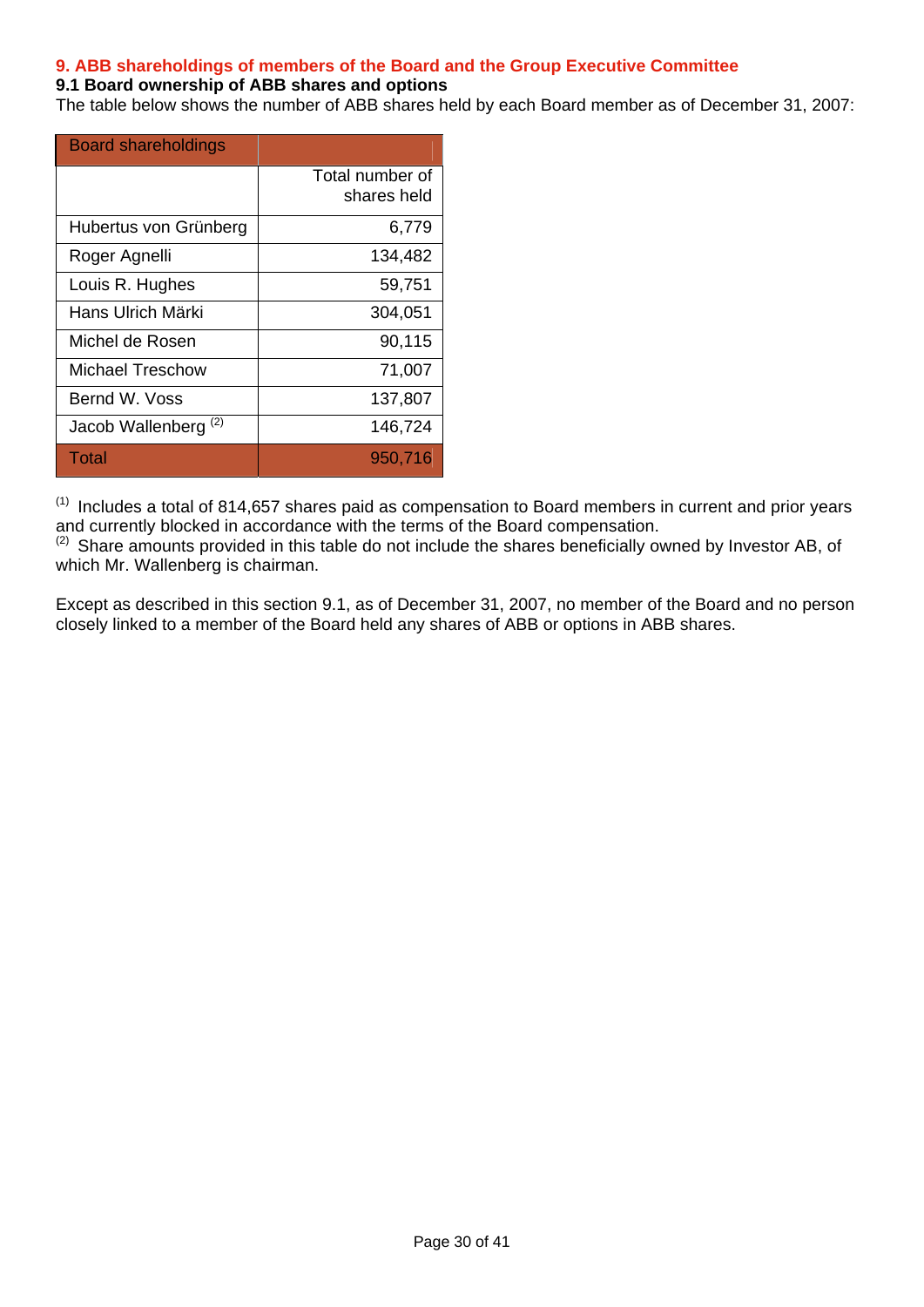# **9. ABB shareholdings of members of the Board and the Group Executive Committee**

#### **9.1 Board ownership of ABB shares and options**

The table below shows the number of ABB shares held by each Board member as of December 31, 2007:

| <b>Board shareholdings</b> |                                |
|----------------------------|--------------------------------|
|                            | Total number of<br>shares held |
| Hubertus von Grünberg      | 6,779                          |
| Roger Agnelli              | 134,482                        |
| Louis R. Hughes            | 59,751                         |
| Hans Ulrich Märki          | 304,051                        |
| Michel de Rosen            | 90,115                         |
| Michael Treschow           | 71,007                         |
| Bernd W. Voss              | 137,807                        |
| (2)<br>Jacob Wallenberg    | 146,724                        |
| Total                      | 950,716                        |

 $(1)$  Includes a total of 814,657 shares paid as compensation to Board members in current and prior years and currently blocked in accordance with the terms of the Board compensation.

(2) Share amounts provided in this table do not include the shares beneficially owned by Investor AB, of which Mr. Wallenberg is chairman.

Except as described in this section 9.1, as of December 31, 2007, no member of the Board and no person closely linked to a member of the Board held any shares of ABB or options in ABB shares.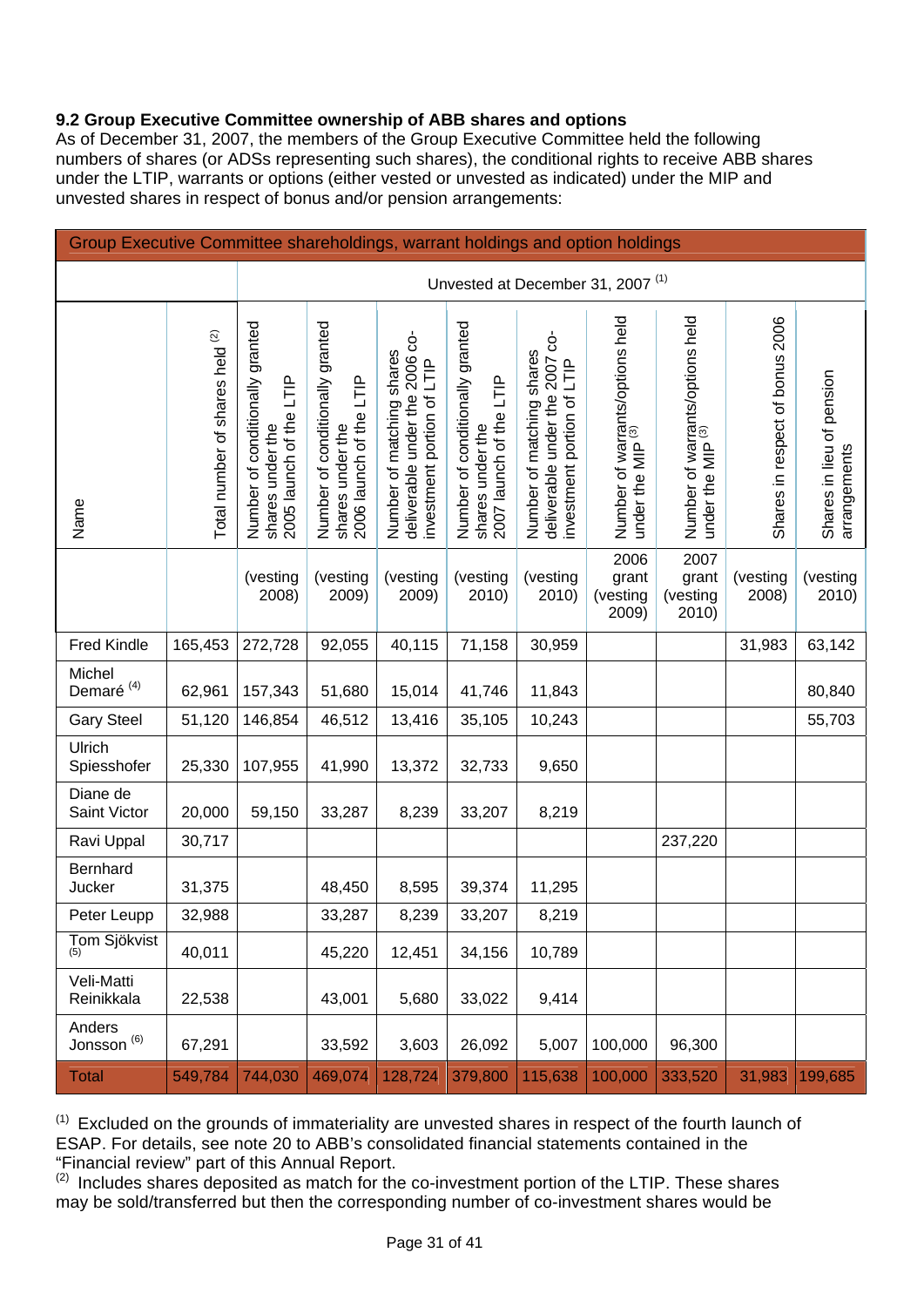# **9.2 Group Executive Committee ownership of ABB shares and options**

As of December 31, 2007, the members of the Group Executive Committee held the following numbers of shares (or ADSs representing such shares), the conditional rights to receive ABB shares under the LTIP, warrants or options (either vested or unvested as indicated) under the MIP and unvested shares in respect of bonus and/or pension arrangements:

| Group Executive Committee shareholdings, warrant holdings and option holdings |                                 |                                                                                |                                                                                |                                                                                           |                                                                                |                                                                                            |                                                                 |                                                                 |                                 |                                           |
|-------------------------------------------------------------------------------|---------------------------------|--------------------------------------------------------------------------------|--------------------------------------------------------------------------------|-------------------------------------------------------------------------------------------|--------------------------------------------------------------------------------|--------------------------------------------------------------------------------------------|-----------------------------------------------------------------|-----------------------------------------------------------------|---------------------------------|-------------------------------------------|
|                                                                               |                                 | Unvested at December 31, 2007 <sup>(1)</sup>                                   |                                                                                |                                                                                           |                                                                                |                                                                                            |                                                                 |                                                                 |                                 |                                           |
| Name                                                                          | Total number of shares held (2) | Number of conditionally granted<br>2005 launch of the LTIP<br>shares under the | Number of conditionally granted<br>shares under the<br>2006 launch of the LTIP | deliverable under the 2006 co-<br>Number of matching shares<br>investment portion of LTIP | Number of conditionally granted<br>2007 launch of the LTIP<br>shares under the | ģ<br>Number of matching shares<br>deliverable under the 2007<br>investment portion of LTIP | Number of warrants/options held<br>under the MIP <sup>(3)</sup> | Number of warrants/options held<br>under the MIP <sup>(3)</sup> | Shares in respect of bonus 2006 | Shares in lieu of pension<br>arrangements |
|                                                                               |                                 | (vesting<br>2008)                                                              | (vesting<br>2009)                                                              | (vesting<br>2009)                                                                         | (vesting<br>2010)                                                              | (vesting<br>2010)                                                                          | 2006<br>grant<br>(vesting<br>2009)                              | 2007<br>grant<br>(vesting<br>2010)                              | (vesting<br>2008)               | (vesting<br>2010)                         |
| <b>Fred Kindle</b>                                                            | 165,453                         | 272,728                                                                        | 92,055                                                                         | 40,115                                                                                    | 71,158                                                                         | 30,959                                                                                     |                                                                 |                                                                 | 31,983                          | 63,142                                    |
| Michel<br>Demaré <sup>(4)</sup>                                               | 62,961                          | 157,343                                                                        | 51,680                                                                         | 15,014                                                                                    | 41,746                                                                         | 11,843                                                                                     |                                                                 |                                                                 |                                 | 80,840                                    |
| <b>Gary Steel</b>                                                             | 51,120                          | 146,854                                                                        | 46,512                                                                         | 13,416                                                                                    | 35,105                                                                         | 10,243                                                                                     |                                                                 |                                                                 |                                 | 55,703                                    |
| Ulrich<br>Spiesshofer                                                         | 25,330                          | 107,955                                                                        | 41,990                                                                         | 13,372                                                                                    | 32,733                                                                         | 9,650                                                                                      |                                                                 |                                                                 |                                 |                                           |
| Diane de<br>Saint Victor                                                      | 20,000                          | 59,150                                                                         | 33,287                                                                         | 8,239                                                                                     | 33,207                                                                         | 8,219                                                                                      |                                                                 |                                                                 |                                 |                                           |
| Ravi Uppal                                                                    | 30,717                          |                                                                                |                                                                                |                                                                                           |                                                                                |                                                                                            |                                                                 | 237,220                                                         |                                 |                                           |
| Bernhard<br>Jucker                                                            | 31,375                          |                                                                                | 48,450                                                                         | 8,595                                                                                     | 39,374                                                                         | 11,295                                                                                     |                                                                 |                                                                 |                                 |                                           |
| Peter Leupp                                                                   | 32,988                          |                                                                                | 33,287                                                                         | 8,239                                                                                     | 33,207                                                                         | 8,219                                                                                      |                                                                 |                                                                 |                                 |                                           |
| Tom Sjökvist                                                                  | 40,011                          |                                                                                | 45,220                                                                         | 12,451                                                                                    | 34,156                                                                         | 10,789                                                                                     |                                                                 |                                                                 |                                 |                                           |
| Veli-Matti<br>Reinikkala                                                      | 22,538                          |                                                                                | 43,001                                                                         | 5,680                                                                                     | 33,022                                                                         | 9,414                                                                                      |                                                                 |                                                                 |                                 |                                           |
| Anders<br>Jonsson $^{(6)}$                                                    | 67,291                          |                                                                                | 33,592                                                                         | 3,603                                                                                     | 26,092                                                                         | 5,007                                                                                      | 100,000                                                         | 96,300                                                          |                                 |                                           |
| <b>Total</b>                                                                  | 549,784                         | 744,030                                                                        | 469,074                                                                        | 128,724                                                                                   | 379,800                                                                        | 115,638                                                                                    | 100,000                                                         | 333,520                                                         | 31,983                          | 199,685                                   |

 $(1)$  Excluded on the grounds of immateriality are unvested shares in respect of the fourth launch of ESAP. For details, see note 20 to ABB's consolidated financial statements contained in the "Financial review" part of this Annual Report.

 $(2)$  Includes shares deposited as match for the co-investment portion of the LTIP. These shares may be sold/transferred but then the corresponding number of co-investment shares would be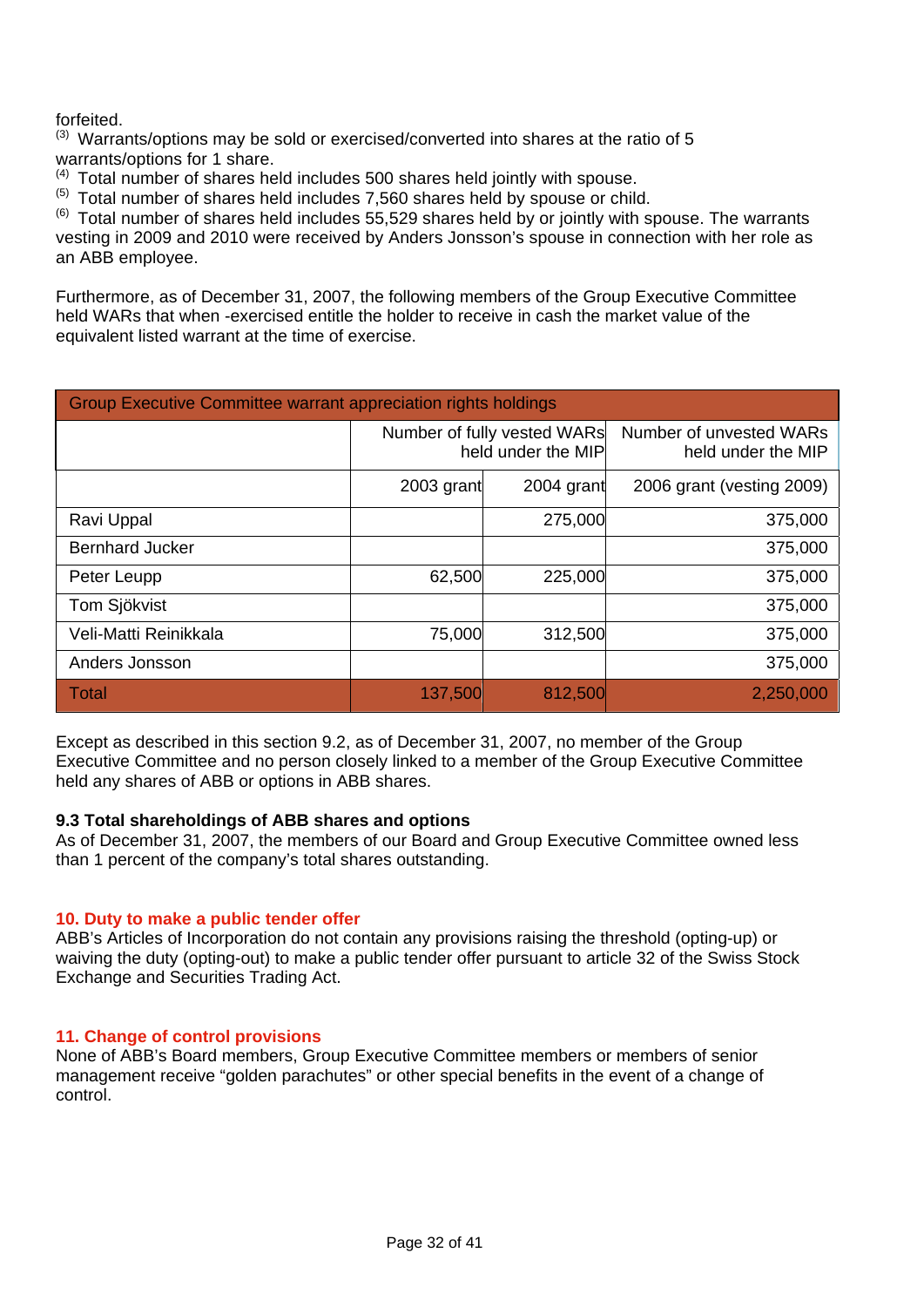# forfeited.

 $^{(3)}$  Warrants/options may be sold or exercised/converted into shares at the ratio of 5 warrants/options for 1 share.

(4) Total number of shares held includes 500 shares held jointly with spouse.

 $(5)$  Total number of shares held includes 7,560 shares held by spouse or child.

 $^{(6)}$  Total number of shares held includes 55,529 shares held by or jointly with spouse. The warrants vesting in 2009 and 2010 were received by Anders Jonsson's spouse in connection with her role as an ABB employee.

Furthermore, as of December 31, 2007, the following members of the Group Executive Committee held WARs that when -exercised entitle the holder to receive in cash the market value of the equivalent listed warrant at the time of exercise.

| <b>Group Executive Committee warrant appreciation rights holdings</b> |            |                                                   |                                               |  |  |
|-----------------------------------------------------------------------|------------|---------------------------------------------------|-----------------------------------------------|--|--|
|                                                                       |            | Number of fully vested WARs<br>held under the MIP | Number of unvested WARs<br>held under the MIP |  |  |
|                                                                       | 2003 grant | 2004 grant                                        | 2006 grant (vesting 2009)                     |  |  |
| Ravi Uppal                                                            |            | 275,000                                           | 375,000                                       |  |  |
| <b>Bernhard Jucker</b>                                                |            |                                                   | 375,000                                       |  |  |
| Peter Leupp                                                           | 62,500     | 225,000                                           | 375,000                                       |  |  |
| Tom Sjökvist                                                          |            |                                                   | 375,000                                       |  |  |
| Veli-Matti Reinikkala                                                 | 75,000     | 312,500                                           | 375,000                                       |  |  |
| Anders Jonsson                                                        |            |                                                   | 375,000                                       |  |  |
| <b>Total</b>                                                          | 137,500    | 812,500                                           | 2,250,000                                     |  |  |

Except as described in this section 9.2, as of December 31, 2007, no member of the Group Executive Committee and no person closely linked to a member of the Group Executive Committee held any shares of ABB or options in ABB shares.

#### **9.3 Total shareholdings of ABB shares and options**

As of December 31, 2007, the members of our Board and Group Executive Committee owned less than 1 percent of the company's total shares outstanding.

#### **10. Duty to make a public tender offer**

ABB's Articles of Incorporation do not contain any provisions raising the threshold (opting-up) or waiving the duty (opting-out) to make a public tender offer pursuant to article 32 of the Swiss Stock Exchange and Securities Trading Act.

#### **11. Change of control provisions**

None of ABB's Board members, Group Executive Committee members or members of senior management receive "golden parachutes" or other special benefits in the event of a change of control.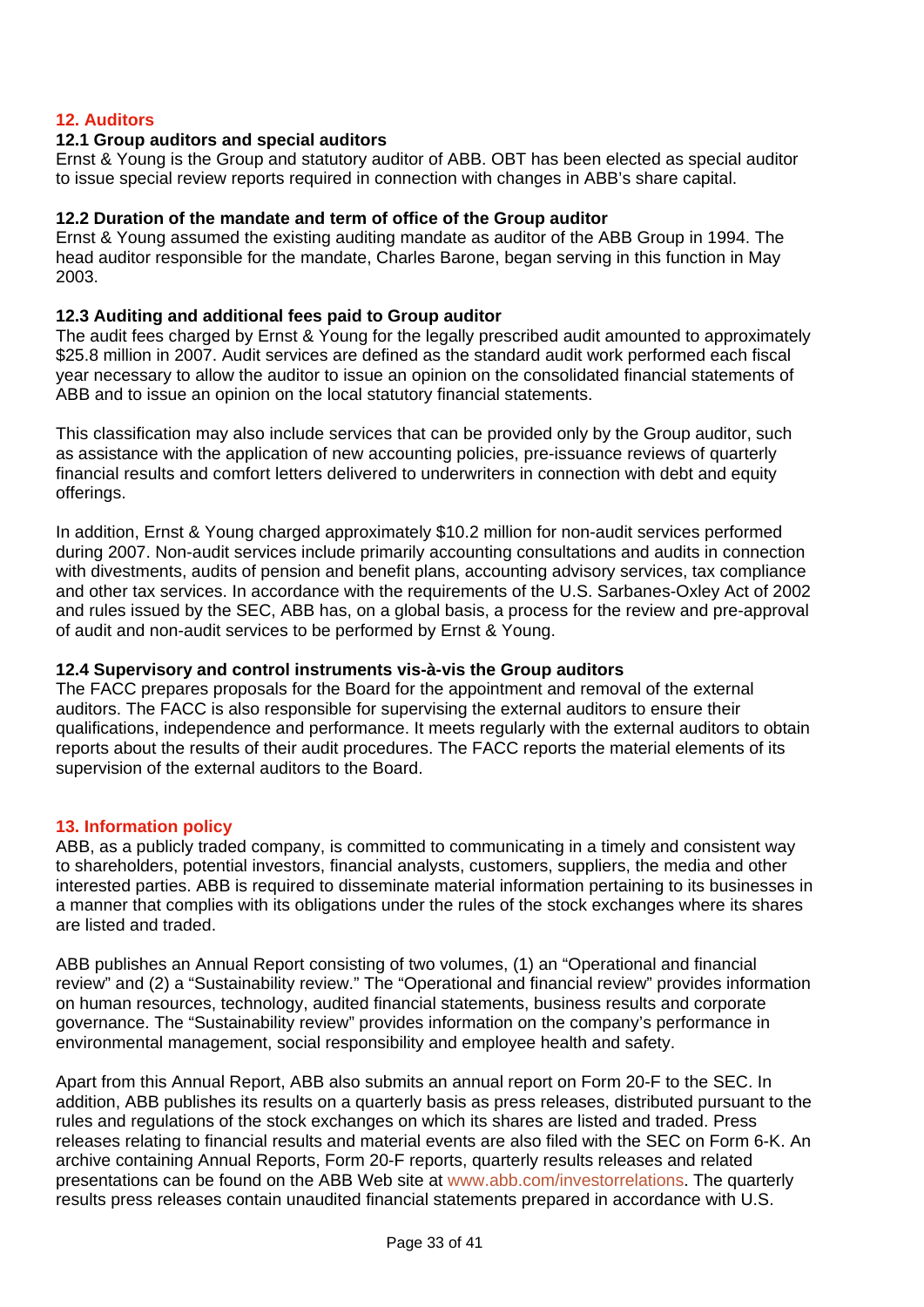# **12. Auditors**

#### **12.1 Group auditors and special auditors**

Ernst & Young is the Group and statutory auditor of ABB. OBT has been elected as special auditor to issue special review reports required in connection with changes in ABB's share capital.

#### **12.2 Duration of the mandate and term of office of the Group auditor**

Ernst & Young assumed the existing auditing mandate as auditor of the ABB Group in 1994. The head auditor responsible for the mandate, Charles Barone, began serving in this function in May 2003.

#### **12.3 Auditing and additional fees paid to Group auditor**

The audit fees charged by Ernst & Young for the legally prescribed audit amounted to approximately \$25.8 million in 2007. Audit services are defined as the standard audit work performed each fiscal year necessary to allow the auditor to issue an opinion on the consolidated financial statements of ABB and to issue an opinion on the local statutory financial statements.

This classification may also include services that can be provided only by the Group auditor, such as assistance with the application of new accounting policies, pre-issuance reviews of quarterly financial results and comfort letters delivered to underwriters in connection with debt and equity offerings.

In addition, Ernst & Young charged approximately \$10.2 million for non-audit services performed during 2007. Non-audit services include primarily accounting consultations and audits in connection with divestments, audits of pension and benefit plans, accounting advisory services, tax compliance and other tax services. In accordance with the requirements of the U.S. Sarbanes-Oxley Act of 2002 and rules issued by the SEC, ABB has, on a global basis, a process for the review and pre-approval of audit and non-audit services to be performed by Ernst & Young.

#### **12.4 Supervisory and control instruments vis-à-vis the Group auditors**

The FACC prepares proposals for the Board for the appointment and removal of the external auditors. The FACC is also responsible for supervising the external auditors to ensure their qualifications, independence and performance. It meets regularly with the external auditors to obtain reports about the results of their audit procedures. The FACC reports the material elements of its supervision of the external auditors to the Board.

## **13. Information policy**

ABB, as a publicly traded company, is committed to communicating in a timely and consistent way to shareholders, potential investors, financial analysts, customers, suppliers, the media and other interested parties. ABB is required to disseminate material information pertaining to its businesses in a manner that complies with its obligations under the rules of the stock exchanges where its shares are listed and traded.

ABB publishes an Annual Report consisting of two volumes, (1) an "Operational and financial review" and (2) a "Sustainability review." The "Operational and financial review" provides information on human resources, technology, audited financial statements, business results and corporate governance. The "Sustainability review" provides information on the company's performance in environmental management, social responsibility and employee health and safety.

Apart from this Annual Report, ABB also submits an annual report on Form 20-F to the SEC. In addition, ABB publishes its results on a quarterly basis as press releases, distributed pursuant to the rules and regulations of the stock exchanges on which its shares are listed and traded. Press releases relating to financial results and material events are also filed with the SEC on Form 6-K. An archive containing Annual Reports, Form 20-F reports, quarterly results releases and related presentations can be found on the ABB Web site at www.abb.com/investorrelations. The quarterly results press releases contain unaudited financial statements prepared in accordance with U.S.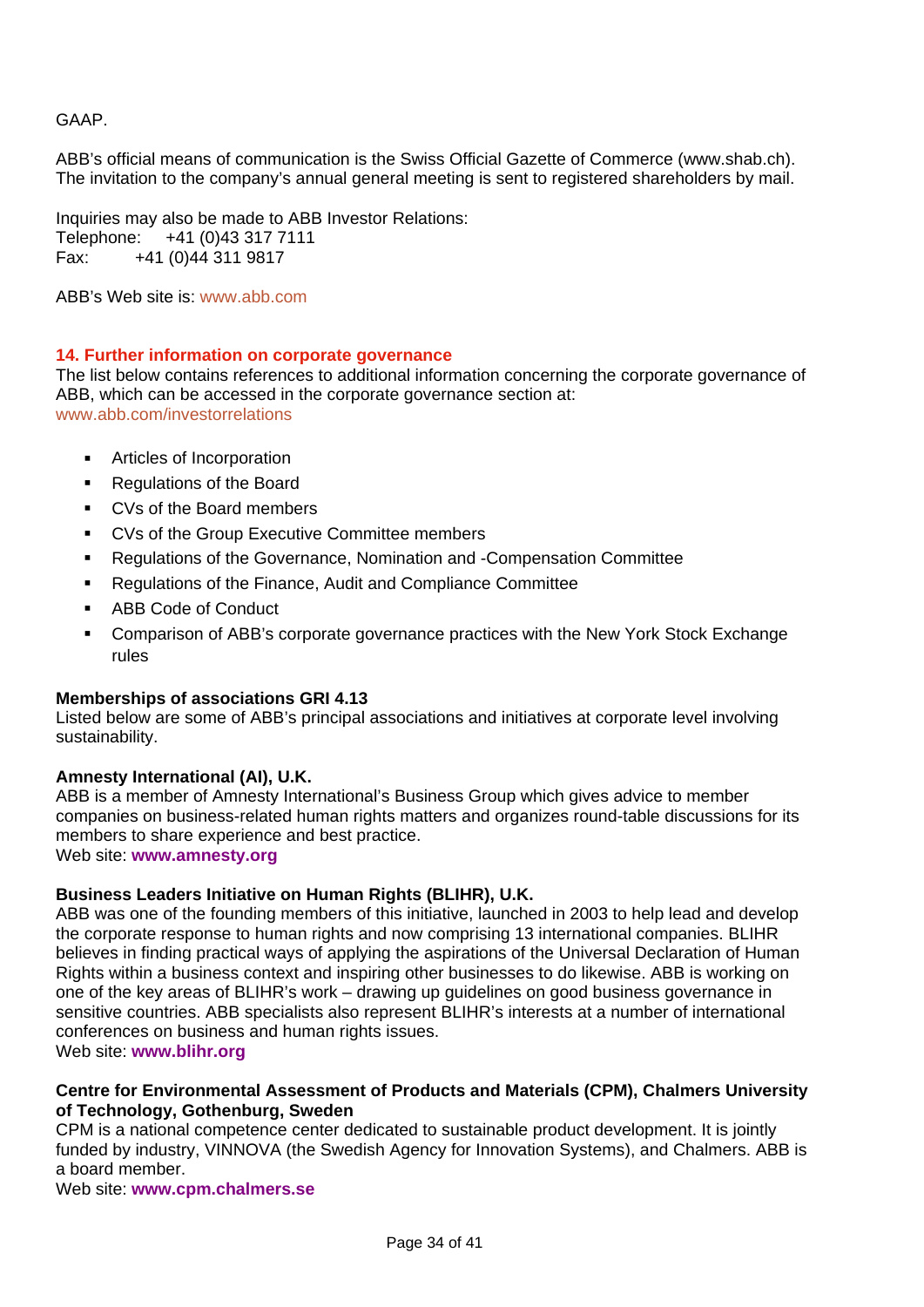# GAAP.

ABB's official means of communication is the Swiss Official Gazette of Commerce (www.shab.ch). The invitation to the company's annual general meeting is sent to registered shareholders by mail.

Inquiries may also be made to ABB Investor Relations: Telephone: +41 (0)43 317 7111 Fax: +41 (0)44 311 9817

ABB's Web site is: www.abb.com

#### **14. Further information on corporate governance**

The list below contains references to additional information concerning the corporate governance of ABB, which can be accessed in the corporate governance section at: www.abb.com/investorrelations

- Articles of Incorporation
- Regulations of the Board
- CVs of the Board members
- **CVs of the Group Executive Committee members**
- Regulations of the Governance, Nomination and -Compensation Committee
- Regulations of the Finance, Audit and Compliance Committee
- **ABB Code of Conduct**
- Comparison of ABB's corporate governance practices with the New York Stock Exchange rules

#### **Memberships of associations GRI 4.13**

Listed below are some of ABB's principal associations and initiatives at corporate level involving sustainability.

## **Amnesty International (AI), U.K.**

ABB is a member of Amnesty International's Business Group which gives advice to member companies on business-related human rights matters and organizes round-table discussions for its members to share experience and best practice. Web site: **www.amnesty.org** 

#### **Business Leaders Initiative on Human Rights (BLIHR), U.K.**

ABB was one of the founding members of this initiative, launched in 2003 to help lead and develop the corporate response to human rights and now comprising 13 international companies. BLIHR believes in finding practical ways of applying the aspirations of the Universal Declaration of Human Rights within a business context and inspiring other businesses to do likewise. ABB is working on one of the key areas of BLIHR's work – drawing up guidelines on good business governance in sensitive countries. ABB specialists also represent BLIHR's interests at a number of international conferences on business and human rights issues.

Web site: **www.blihr.org** 

#### **Centre for Environmental Assessment of Products and Materials (CPM), Chalmers University of Technology, Gothenburg, Sweden**

CPM is a national competence center dedicated to sustainable product development. It is jointly funded by industry, VINNOVA (the Swedish Agency for Innovation Systems), and Chalmers. ABB is a board member.

Web site: **www.cpm.chalmers.se**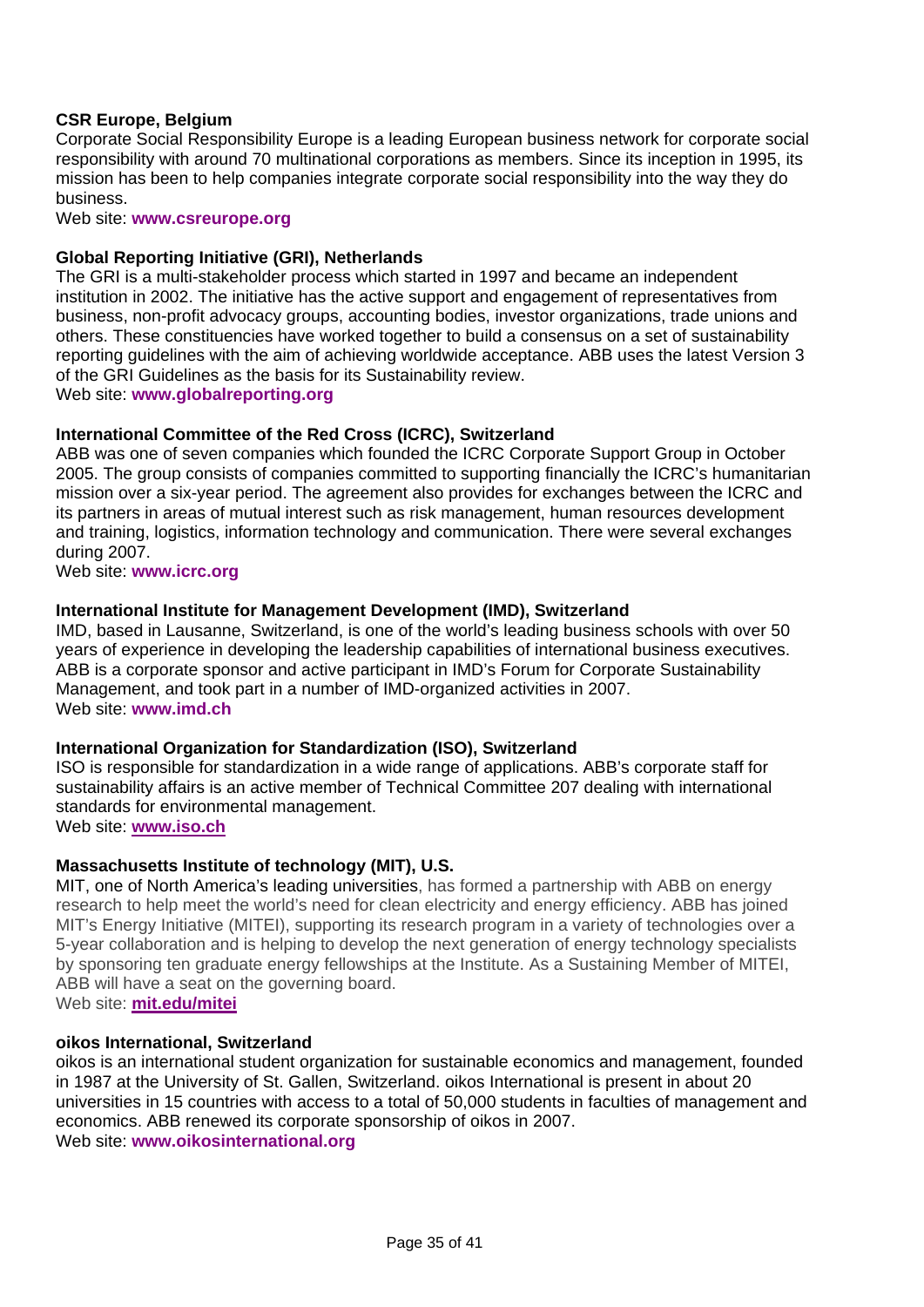# **CSR Europe, Belgium**

Corporate Social Responsibility Europe is a leading European business network for corporate social responsibility with around 70 multinational corporations as members. Since its inception in 1995, its mission has been to help companies integrate corporate social responsibility into the way they do business.

Web site: **www.csreurope.org**

#### **Global Reporting Initiative (GRI), Netherlands**

The GRI is a multi-stakeholder process which started in 1997 and became an independent institution in 2002. The initiative has the active support and engagement of representatives from business, non-profit advocacy groups, accounting bodies, investor organizations, trade unions and others. These constituencies have worked together to build a consensus on a set of sustainability reporting guidelines with the aim of achieving worldwide acceptance. ABB uses the latest Version 3 of the GRI Guidelines as the basis for its Sustainability review.

Web site: **www.globalreporting.org**

#### **International Committee of the Red Cross (ICRC), Switzerland**

ABB was one of seven companies which founded the ICRC Corporate Support Group in October 2005. The group consists of companies committed to supporting financially the ICRC's humanitarian mission over a six-year period. The agreement also provides for exchanges between the ICRC and its partners in areas of mutual interest such as risk management, human resources development and training, logistics, information technology and communication. There were several exchanges during 2007.

Web site: **www.icrc.org**

#### **International Institute for Management Development (IMD), Switzerland**

IMD, based in Lausanne, Switzerland, is one of the world's leading business schools with over 50 years of experience in developing the leadership capabilities of international business executives. ABB is a corporate sponsor and active participant in IMD's Forum for Corporate Sustainability Management, and took part in a number of IMD-organized activities in 2007. Web site: **www.imd.ch** 

#### **International Organization for Standardization (ISO), Switzerland**

ISO is responsible for standardization in a wide range of applications. ABB's corporate staff for sustainability affairs is an active member of Technical Committee 207 dealing with international standards for environmental management.

Web site: **[www.iso.ch](http://www.iso.ch/)**

## **Massachusetts Institute of technology (MIT), U.S.**

MIT, one of North America's leading universities, has formed a partnership with ABB on energy research to help meet the world's need for clean electricity and energy efficiency. ABB has joined MIT's Energy Initiative (MITEI), supporting its research program in a variety of technologies over a 5-year collaboration and is helping to develop the next generation of energy technology specialists by sponsoring ten graduate energy fellowships at the Institute. As a Sustaining Member of MITEI, ABB will have a seat on the governing board.

Web site: **mit.edu/mitei**

#### **oikos International, Switzerland**

oikos is an international student organization for sustainable economics and management, founded in 1987 at the University of St. Gallen, Switzerland. oikos International is present in about 20 universities in 15 countries with access to a total of 50,000 students in faculties of management and economics. ABB renewed its corporate sponsorship of oikos in 2007. Web site: **www.oikosinternational.org**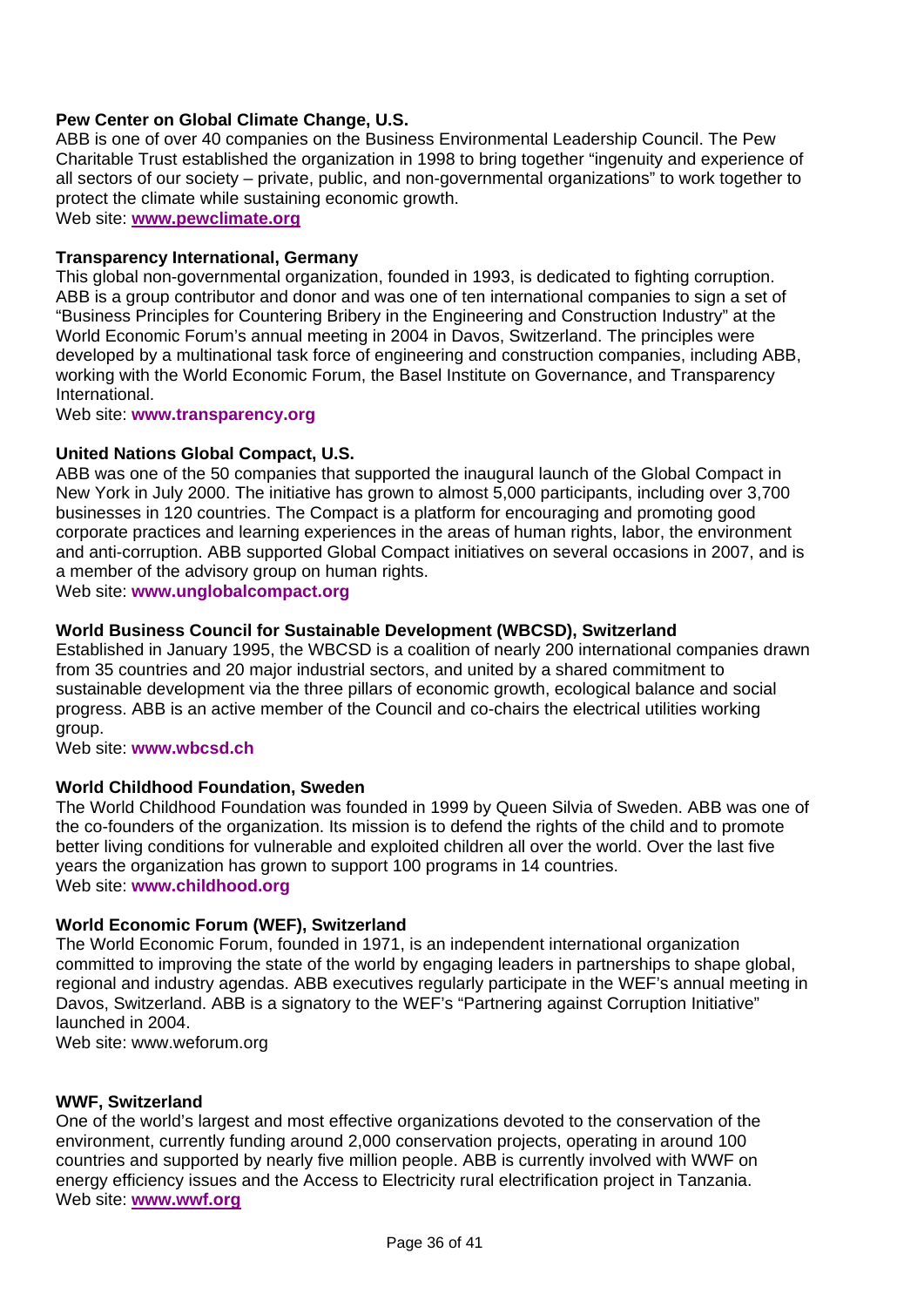# **Pew Center on Global Climate Change, U.S.**

ABB is one of over 40 companies on the Business Environmental Leadership Council. The Pew Charitable Trust established the organization in 1998 to bring together "ingenuity and experience of all sectors of our society – private, public, and non-governmental organizations" to work together to protect the climate while sustaining economic growth.

Web site: **[www.pewclimate.org](http://www.pewclimate.org/)**

#### **Transparency International, Germany**

This global non-governmental organization, founded in 1993, is dedicated to fighting corruption. ABB is a group contributor and donor and was one of ten international companies to sign a set of "Business Principles for Countering Bribery in the Engineering and Construction Industry" at the World Economic Forum's annual meeting in 2004 in Davos, Switzerland. The principles were developed by a multinational task force of engineering and construction companies, including ABB, working with the World Economic Forum, the Basel Institute on Governance, and Transparency International.

Web site: **www.transparency.org** 

#### **United Nations Global Compact, U.S.**

ABB was one of the 50 companies that supported the inaugural launch of the Global Compact in New York in July 2000. The initiative has grown to almost 5,000 participants, including over 3,700 businesses in 120 countries. The Compact is a platform for encouraging and promoting good corporate practices and learning experiences in the areas of human rights, labor, the environment and anti-corruption. ABB supported Global Compact initiatives on several occasions in 2007, and is a member of the advisory group on human rights.

Web site: **www.unglobalcompact.org**

#### **World Business Council for Sustainable Development (WBCSD), Switzerland**

Established in January 1995, the WBCSD is a coalition of nearly 200 international companies drawn from 35 countries and 20 major industrial sectors, and united by a shared commitment to sustainable development via the three pillars of economic growth, ecological balance and social progress. ABB is an active member of the Council and co-chairs the electrical utilities working group.

Web site: **www.wbcsd.ch** 

#### **World Childhood Foundation, Sweden**

The World Childhood Foundation was founded in 1999 by Queen Silvia of Sweden. ABB was one of the co-founders of the organization. Its mission is to defend the rights of the child and to promote better living conditions for vulnerable and exploited children all over the world. Over the last five years the organization has grown to support 100 programs in 14 countries. Web site: **www.childhood.org**

#### **World Economic Forum (WEF), Switzerland**

The World Economic Forum, founded in 1971, is an independent international organization committed to improving the state of the world by engaging leaders in partnerships to shape global, regional and industry agendas. ABB executives regularly participate in the WEF's annual meeting in Davos, Switzerland. ABB is a signatory to the WEF's "Partnering against Corruption Initiative" launched in 2004.

Web site: www.weforum.org

#### **WWF, Switzerland**

One of the world's largest and most effective organizations devoted to the conservation of the environment, currently funding around 2,000 conservation projects, operating in around 100 countries and supported by nearly five million people. ABB is currently involved with WWF on energy efficiency issues and the Access to Electricity rural electrification project in Tanzania. Web site: **[www.wwf.org](http://www.wwf.org/)**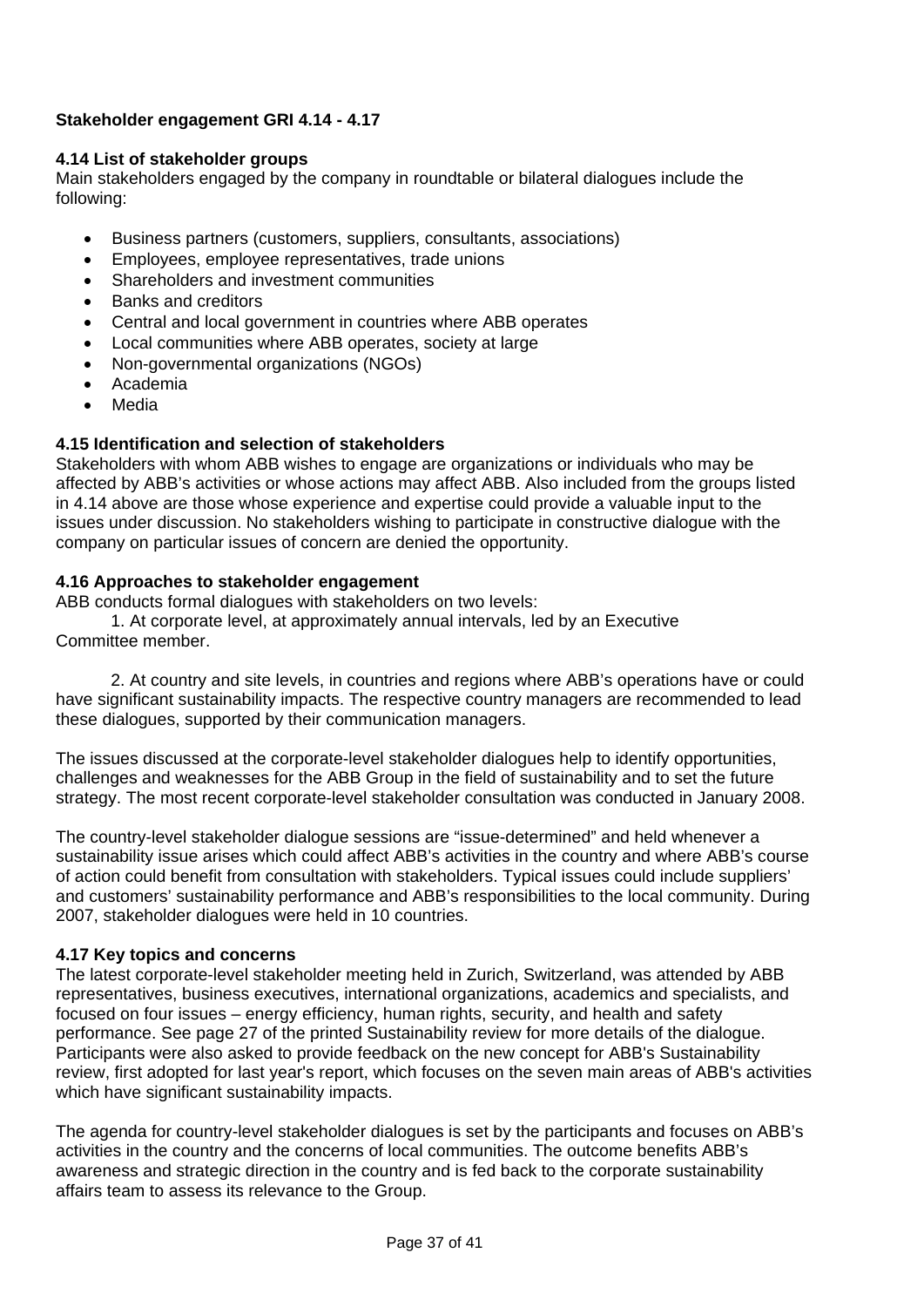# **Stakeholder engagement GRI 4.14 - 4.17**

#### **4.14 List of stakeholder groups**

Main stakeholders engaged by the company in roundtable or bilateral dialogues include the following:

- Business partners (customers, suppliers, consultants, associations)
- Employees, employee representatives, trade unions
- Shareholders and investment communities
- Banks and creditors
- Central and local government in countries where ABB operates
- Local communities where ABB operates, society at large
- Non-governmental organizations (NGOs)
- Academia
- Media

# **4.15 Identification and selection of stakeholders**

Stakeholders with whom ABB wishes to engage are organizations or individuals who may be affected by ABB's activities or whose actions may affect ABB. Also included from the groups listed in 4.14 above are those whose experience and expertise could provide a valuable input to the issues under discussion. No stakeholders wishing to participate in constructive dialogue with the company on particular issues of concern are denied the opportunity.

## **4.16 Approaches to stakeholder engagement**

ABB conducts formal dialogues with stakeholders on two levels:

 1. At corporate level, at approximately annual intervals, led by an Executive Committee member.

 2. At country and site levels, in countries and regions where ABB's operations have or could have significant sustainability impacts. The respective country managers are recommended to lead these dialogues, supported by their communication managers.

The issues discussed at the corporate-level stakeholder dialogues help to identify opportunities, challenges and weaknesses for the ABB Group in the field of sustainability and to set the future strategy. The most recent corporate-level stakeholder consultation was conducted in January 2008.

The country-level stakeholder dialogue sessions are "issue-determined" and held whenever a sustainability issue arises which could affect ABB's activities in the country and where ABB's course of action could benefit from consultation with stakeholders. Typical issues could include suppliers' and customers' sustainability performance and ABB's responsibilities to the local community. During 2007, stakeholder dialogues were held in 10 countries.

## **4.17 Key topics and concerns**

The latest corporate-level stakeholder meeting held in Zurich, Switzerland, was attended by ABB representatives, business executives, international organizations, academics and specialists, and focused on four issues – energy efficiency, human rights, security, and health and safety performance. See page 27 of the printed Sustainability review for more details of the dialogue. Participants were also asked to provide feedback on the new concept for ABB's Sustainability review, first adopted for last year's report, which focuses on the seven main areas of ABB's activities which have significant sustainability impacts.

The agenda for country-level stakeholder dialogues is set by the participants and focuses on ABB's activities in the country and the concerns of local communities. The outcome benefits ABB's awareness and strategic direction in the country and is fed back to the corporate sustainability affairs team to assess its relevance to the Group.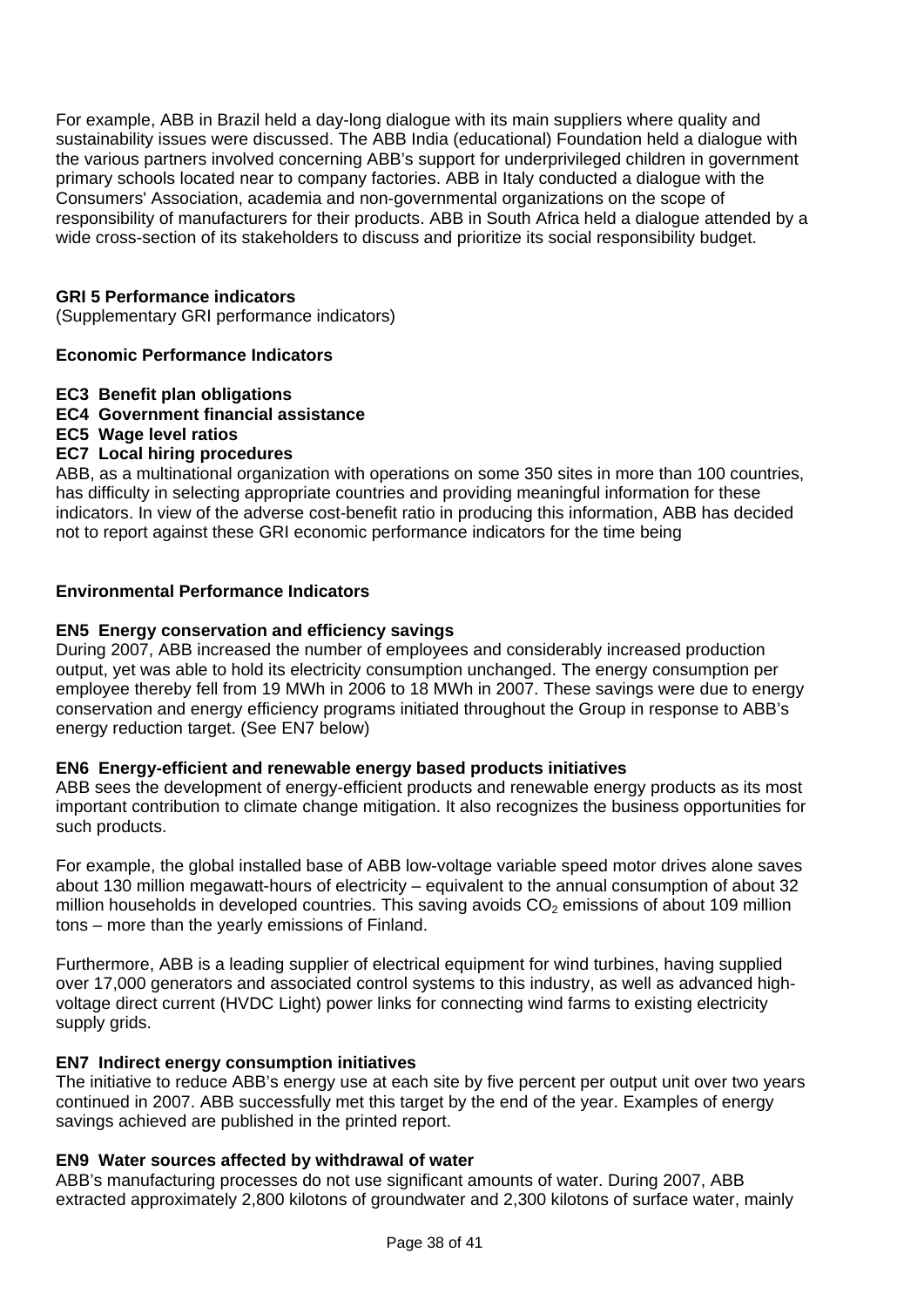For example, ABB in Brazil held a day-long dialogue with its main suppliers where quality and sustainability issues were discussed. The ABB India (educational) Foundation held a dialogue with the various partners involved concerning ABB's support for underprivileged children in government primary schools located near to company factories. ABB in Italy conducted a dialogue with the Consumers' Association, academia and non-governmental organizations on the scope of responsibility of manufacturers for their products. ABB in South Africa held a dialogue attended by a wide cross-section of its stakeholders to discuss and prioritize its social responsibility budget.

## **GRI 5 Performance indicators**

(Supplementary GRI performance indicators)

#### **Economic Performance Indicators**

- **EC3 Benefit plan obligations**
- **EC4 Government financial assistance**
- **EC5 Wage level ratios**

#### **EC7 Local hiring procedures**

ABB, as a multinational organization with operations on some 350 sites in more than 100 countries, has difficulty in selecting appropriate countries and providing meaningful information for these indicators. In view of the adverse cost-benefit ratio in producing this information, ABB has decided not to report against these GRI economic performance indicators for the time being

#### **Environmental Performance Indicators**

#### **EN5 Energy conservation and efficiency savings**

During 2007, ABB increased the number of employees and considerably increased production output, yet was able to hold its electricity consumption unchanged. The energy consumption per employee thereby fell from 19 MWh in 2006 to 18 MWh in 2007. These savings were due to energy conservation and energy efficiency programs initiated throughout the Group in response to ABB's energy reduction target. (See EN7 below)

#### **EN6 Energy-efficient and renewable energy based products initiatives**

ABB sees the development of energy-efficient products and renewable energy products as its most important contribution to climate change mitigation. It also recognizes the business opportunities for such products.

For example, the global installed base of ABB low-voltage variable speed motor drives alone saves about 130 million megawatt-hours of electricity – equivalent to the annual consumption of about 32 million households in developed countries. This saving avoids  $CO<sub>2</sub>$  emissions of about 109 million tons – more than the yearly emissions of Finland.

Furthermore, ABB is a leading supplier of electrical equipment for wind turbines, having supplied over 17,000 generators and associated control systems to this industry, as well as advanced highvoltage direct current (HVDC Light) power links for connecting wind farms to existing electricity supply grids.

## **EN7 Indirect energy consumption initiatives**

The initiative to reduce ABB's energy use at each site by five percent per output unit over two years continued in 2007. ABB successfully met this target by the end of the year. Examples of energy savings achieved are published in the printed report.

#### **EN9 Water sources affected by withdrawal of water**

ABB's manufacturing processes do not use significant amounts of water. During 2007, ABB extracted approximately 2,800 kilotons of groundwater and 2,300 kilotons of surface water, mainly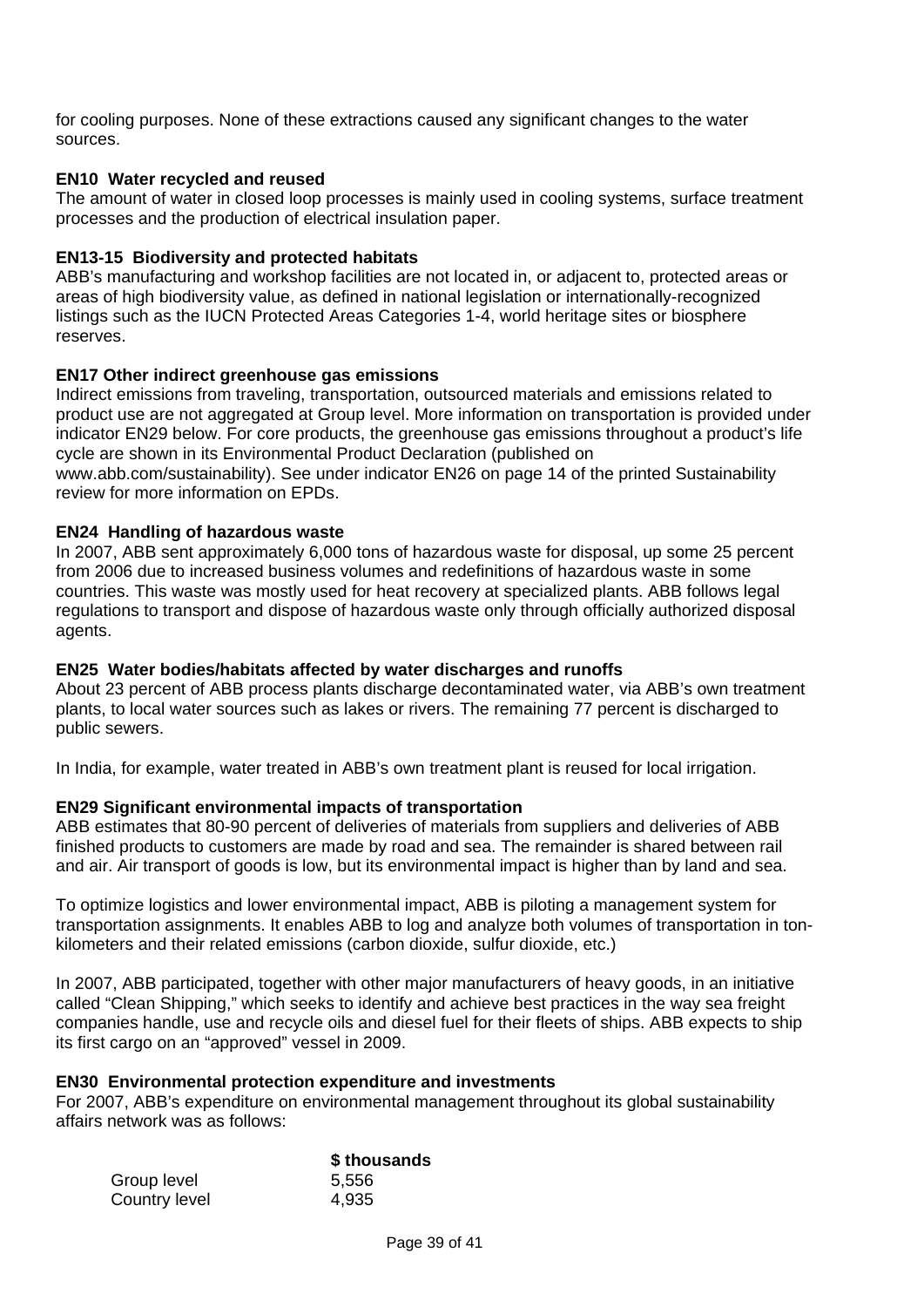for cooling purposes. None of these extractions caused any significant changes to the water sources.

# **EN10 Water recycled and reused**

The amount of water in closed loop processes is mainly used in cooling systems, surface treatment processes and the production of electrical insulation paper.

## **EN13-15 Biodiversity and protected habitats**

ABB's manufacturing and workshop facilities are not located in, or adjacent to, protected areas or areas of high biodiversity value, as defined in national legislation or internationally-recognized listings such as the IUCN Protected Areas Categories 1-4, world heritage sites or biosphere reserves.

#### **EN17 Other indirect greenhouse gas emissions**

Indirect emissions from traveling, transportation, outsourced materials and emissions related to product use are not aggregated at Group level. More information on transportation is provided under indicator EN29 below. For core products, the greenhouse gas emissions throughout a product's life cycle are shown in its Environmental Product Declaration (published on

www.abb.com/sustainability). See under indicator EN26 on page 14 of the printed Sustainability review for more information on EPDs.

#### **EN24 Handling of hazardous waste**

In 2007, ABB sent approximately 6,000 tons of hazardous waste for disposal, up some 25 percent from 2006 due to increased business volumes and redefinitions of hazardous waste in some countries. This waste was mostly used for heat recovery at specialized plants. ABB follows legal regulations to transport and dispose of hazardous waste only through officially authorized disposal agents.

## **EN25 Water bodies/habitats affected by water discharges and runoffs**

About 23 percent of ABB process plants discharge decontaminated water, via ABB's own treatment plants, to local water sources such as lakes or rivers. The remaining 77 percent is discharged to public sewers.

In India, for example, water treated in ABB's own treatment plant is reused for local irrigation.

## **EN29 Significant environmental impacts of transportation**

ABB estimates that 80-90 percent of deliveries of materials from suppliers and deliveries of ABB finished products to customers are made by road and sea. The remainder is shared between rail and air. Air transport of goods is low, but its environmental impact is higher than by land and sea.

To optimize logistics and lower environmental impact, ABB is piloting a management system for transportation assignments. It enables ABB to log and analyze both volumes of transportation in tonkilometers and their related emissions (carbon dioxide, sulfur dioxide, etc.)

In 2007, ABB participated, together with other major manufacturers of heavy goods, in an initiative called "Clean Shipping," which seeks to identify and achieve best practices in the way sea freight companies handle, use and recycle oils and diesel fuel for their fleets of ships. ABB expects to ship its first cargo on an "approved" vessel in 2009.

#### **EN30 Environmental protection expenditure and investments**

For 2007, ABB's expenditure on environmental management throughout its global sustainability affairs network was as follows:

|               | \$ thousands |
|---------------|--------------|
| Group level   | 5,556        |
| Country level | 4,935        |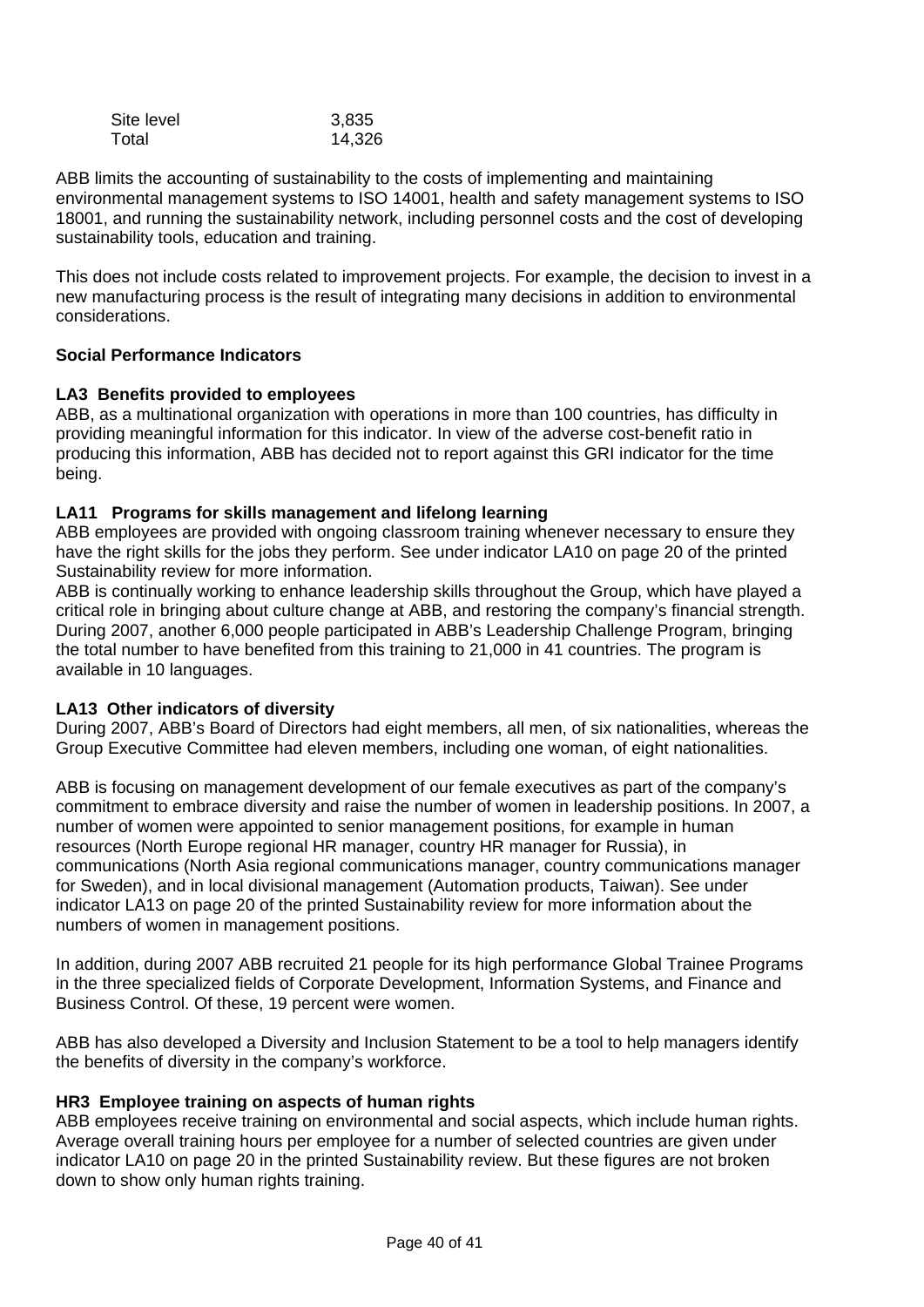| Site level | 3,835  |
|------------|--------|
| Total      | 14,326 |

ABB limits the accounting of sustainability to the costs of implementing and maintaining environmental management systems to ISO 14001, health and safety management systems to ISO 18001, and running the sustainability network, including personnel costs and the cost of developing sustainability tools, education and training.

This does not include costs related to improvement projects. For example, the decision to invest in a new manufacturing process is the result of integrating many decisions in addition to environmental considerations.

# **Social Performance Indicators**

# **LA3 Benefits provided to employees**

ABB, as a multinational organization with operations in more than 100 countries, has difficulty in providing meaningful information for this indicator. In view of the adverse cost-benefit ratio in producing this information, ABB has decided not to report against this GRI indicator for the time being.

## **LA11 Programs for skills management and lifelong learning**

ABB employees are provided with ongoing classroom training whenever necessary to ensure they have the right skills for the jobs they perform. See under indicator LA10 on page 20 of the printed Sustainability review for more information.

ABB is continually working to enhance leadership skills throughout the Group, which have played a critical role in bringing about culture change at ABB, and restoring the company's financial strength. During 2007, another 6,000 people participated in ABB's Leadership Challenge Program, bringing the total number to have benefited from this training to 21,000 in 41 countries. The program is available in 10 languages.

## **LA13 Other indicators of diversity**

During 2007, ABB's Board of Directors had eight members, all men, of six nationalities, whereas the Group Executive Committee had eleven members, including one woman, of eight nationalities.

ABB is focusing on management development of our female executives as part of the company's commitment to embrace diversity and raise the number of women in leadership positions. In 2007, a number of women were appointed to senior management positions, for example in human resources (North Europe regional HR manager, country HR manager for Russia), in communications (North Asia regional communications manager, country communications manager for Sweden), and in local divisional management (Automation products, Taiwan). See under indicator LA13 on page 20 of the printed Sustainability review for more information about the numbers of women in management positions.

In addition, during 2007 ABB recruited 21 people for its high performance Global Trainee Programs in the three specialized fields of Corporate Development, Information Systems, and Finance and Business Control. Of these, 19 percent were women.

ABB has also developed a Diversity and Inclusion Statement to be a tool to help managers identify the benefits of diversity in the company's workforce.

## **HR3 Employee training on aspects of human rights**

ABB employees receive training on environmental and social aspects, which include human rights. Average overall training hours per employee for a number of selected countries are given under indicator LA10 on page 20 in the printed Sustainability review. But these figures are not broken down to show only human rights training.